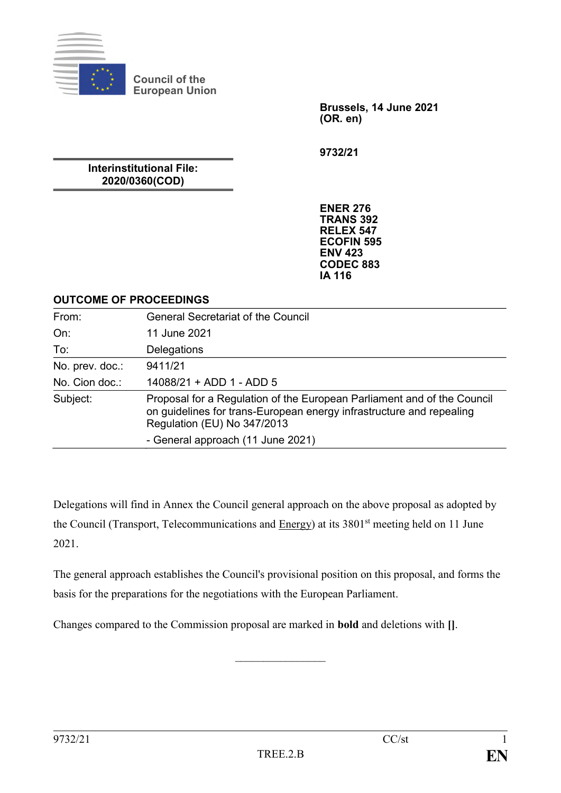

**Council of the European Union**

> **Brussels, 14 June 2021 (OR. en)**

**9732/21**

**Interinstitutional File: 2020/0360(COD)**

> **ENER 276 TRANS 392 RELEX 547 ECOFIN 595 ENV 423 CODEC 883 IA 116**

### **OUTCOME OF PROCEEDINGS**

| From:           | <b>General Secretariat of the Council</b>                                                                                                                                      |
|-----------------|--------------------------------------------------------------------------------------------------------------------------------------------------------------------------------|
| On:             | 11 June 2021                                                                                                                                                                   |
| To:             | Delegations                                                                                                                                                                    |
| No. prev. doc.: | 9411/21                                                                                                                                                                        |
| No. Cion doc.:  | 14088/21 + ADD 1 - ADD 5                                                                                                                                                       |
| Subject:        | Proposal for a Regulation of the European Parliament and of the Council<br>on guidelines for trans-European energy infrastructure and repealing<br>Regulation (EU) No 347/2013 |
|                 | - General approach (11 June 2021)                                                                                                                                              |

Delegations will find in Annex the Council general approach on the above proposal as adopted by the Council (Transport, Telecommunications and Energy) at its 3801<sup>st</sup> meeting held on 11 June 2021.

The general approach establishes the Council's provisional position on this proposal, and forms the basis for the preparations for the negotiations with the European Parliament.

 $\frac{1}{2}$ 

Changes compared to the Commission proposal are marked in **bold** and deletions with **[]**.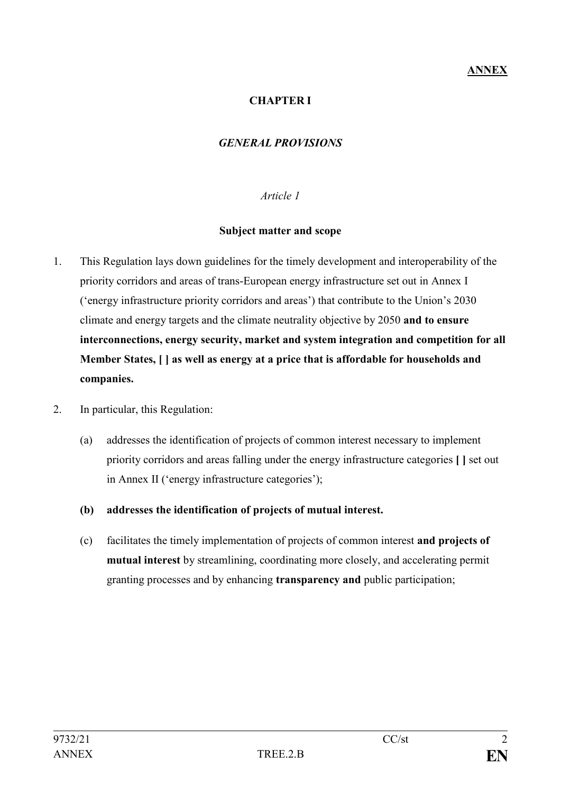### **CHAPTER I**

### *GENERAL PROVISIONS*

#### *Article 1*

#### **Subject matter and scope**

- 1. This Regulation lays down guidelines for the timely development and interoperability of the priority corridors and areas of trans-European energy infrastructure set out in Annex I ('energy infrastructure priority corridors and areas') that contribute to the Union's 2030 climate and energy targets and the climate neutrality objective by 2050 **and to ensure interconnections, energy security, market and system integration and competition for all Member States, [ ] as well as energy at a price that is affordable for households and companies.**
- 2. In particular, this Regulation:
	- (a) addresses the identification of projects of common interest necessary to implement priority corridors and areas falling under the energy infrastructure categories **[ ]** set out in Annex II ('energy infrastructure categories');
	- **(b) addresses the identification of projects of mutual interest.**
	- (c) facilitates the timely implementation of projects of common interest **and projects of mutual interest** by streamlining, coordinating more closely, and accelerating permit granting processes and by enhancing **transparency and** public participation;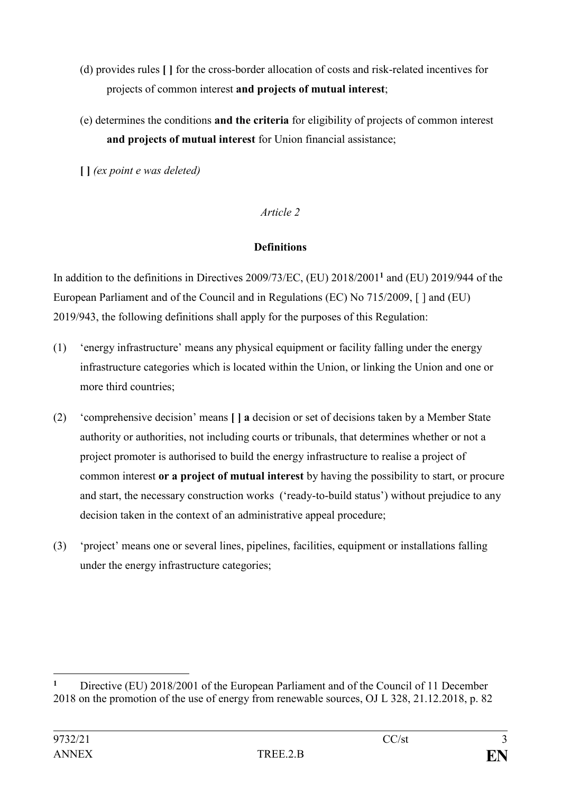- (d) provides rules **[ ]** for the cross-border allocation of costs and risk-related incentives for projects of common interest **and projects of mutual interest**;
- (e) determines the conditions **and the criteria** for eligibility of projects of common interest **and projects of mutual interest** for Union financial assistance;
- **[ ]** *(ex point e was deleted)*

*Article 2*

## **Definitions**

In addition to the definitions in Directives 2009/73/EC, (EU) 2018/2001**<sup>1</sup>** and (EU) 2019/944 of the European Parliament and of the Council and in Regulations (EC) No 715/2009, [ ] and (EU) 2019/943, the following definitions shall apply for the purposes of this Regulation:

- (1) 'energy infrastructure' means any physical equipment or facility falling under the energy infrastructure categories which is located within the Union, or linking the Union and one or more third countries;
- (2) 'comprehensive decision' means **[ ] a** decision or set of decisions taken by a Member State authority or authorities, not including courts or tribunals, that determines whether or not a project promoter is authorised to build the energy infrastructure to realise a project of common interest **or a project of mutual interest** by having the possibility to start, or procure and start, the necessary construction works ('ready-to-build status') without prejudice to any decision taken in the context of an administrative appeal procedure;
- (3) 'project' means one or several lines, pipelines, facilities, equipment or installations falling under the energy infrastructure categories;

<sup>&</sup>lt;u>.</u> **<sup>1</sup>** Directive (EU) 2018/2001 of the European Parliament and of the Council of 11 December 2018 on the promotion of the use of energy from renewable sources, OJ L 328, 21.12.2018, p. 82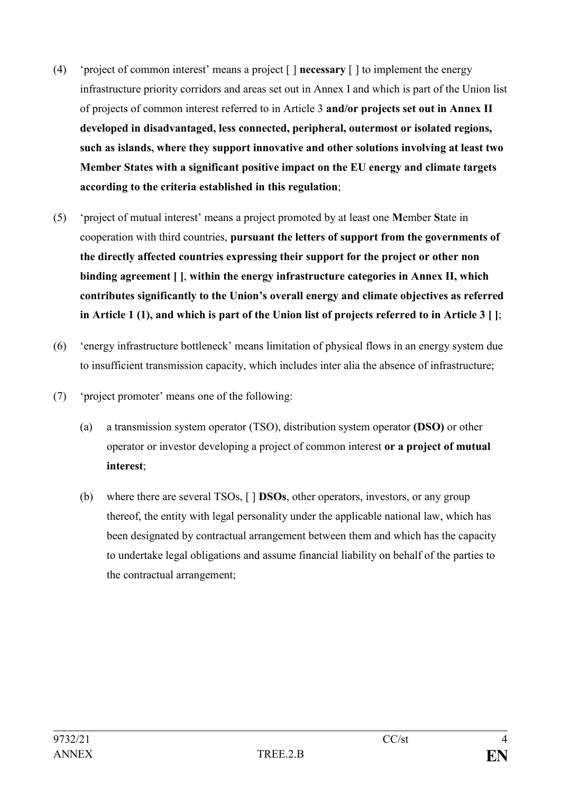- (4) 'project of common interest' means a project [ ] **necessary** [ ] to implement the energy infrastructure priority corridors and areas set out in Annex I and which is part of the Union list of projects of common interest referred to in Article 3 **and/or projects set out in Annex II developed in disadvantaged, less connected, peripheral, outermost or isolated regions, such as islands, where they support innovative and other solutions involving at least two Member States with a significant positive impact on the EU energy and climate targets according to the criteria established in this regulation**;
- (5) 'project of mutual interest' means a project promoted by at least one **M**ember **S**tate in cooperation with third countries, **pursuant the letters of support from the governments of the directly affected countries expressing their support for the project or other non binding agreement [ ]**, **within the energy infrastructure categories in Annex II, which contributes significantly to the Union's overall energy and climate objectives as referred in Article 1 (1), and which is part of the Union list of projects referred to in Article 3 [ ]**;
- (6) 'energy infrastructure bottleneck' means limitation of physical flows in an energy system due to insufficient transmission capacity, which includes inter alia the absence of infrastructure;
- (7) 'project promoter' means one of the following:
	- (a) a transmission system operator (TSO), distribution system operator **(DSO)** or other operator or investor developing a project of common interest **or a project of mutual interest**;
	- (b) where there are several TSOs, [ ] **DSOs**, other operators, investors, or any group thereof, the entity with legal personality under the applicable national law, which has been designated by contractual arrangement between them and which has the capacity to undertake legal obligations and assume financial liability on behalf of the parties to the contractual arrangement;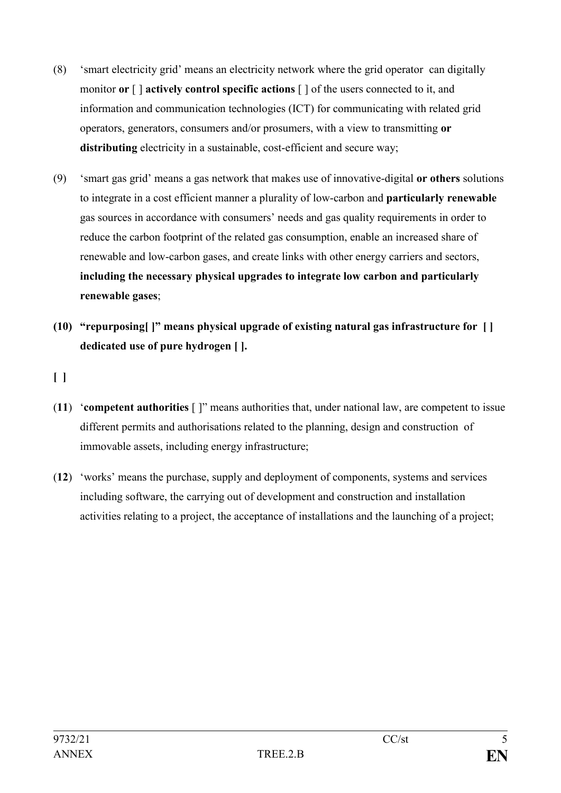- (8) 'smart electricity grid' means an electricity network where the grid operator can digitally monitor **or** [ ] **actively control specific actions** [ ] of the users connected to it, and information and communication technologies (ICT) for communicating with related grid operators, generators, consumers and/or prosumers, with a view to transmitting **or**  distributing electricity in a sustainable, cost-efficient and secure way:
- (9) 'smart gas grid' means a gas network that makes use of innovative-digital **or others** solutions to integrate in a cost efficient manner a plurality of low-carbon and **particularly renewable** gas sources in accordance with consumers' needs and gas quality requirements in order to reduce the carbon footprint of the related gas consumption, enable an increased share of renewable and low-carbon gases, and create links with other energy carriers and sectors, **including the necessary physical upgrades to integrate low carbon and particularly renewable gases**;
- **(10) "repurposing[ ]" means physical upgrade of existing natural gas infrastructure for [ ] dedicated use of pure hydrogen [ ].**

# **[ ]**

- (**11**) '**competent authorities** [ ]" means authorities that, under national law, are competent to issue different permits and authorisations related to the planning, design and construction of immovable assets, including energy infrastructure;
- (**12**) 'works' means the purchase, supply and deployment of components, systems and services including software, the carrying out of development and construction and installation activities relating to a project, the acceptance of installations and the launching of a project;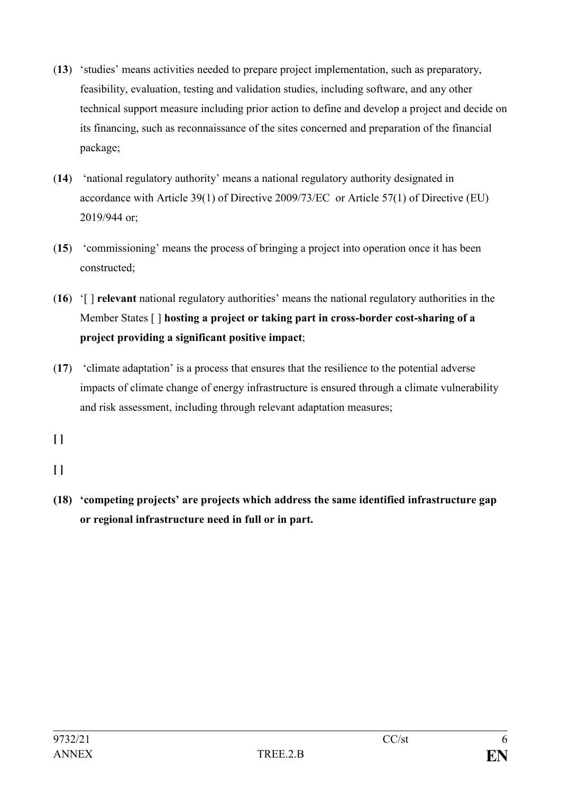- (**13**) 'studies' means activities needed to prepare project implementation, such as preparatory, feasibility, evaluation, testing and validation studies, including software, and any other technical support measure including prior action to define and develop a project and decide on its financing, such as reconnaissance of the sites concerned and preparation of the financial package;
- (**14**) 'national regulatory authority' means a national regulatory authority designated in accordance with Article 39(1) of Directive 2009/73/EC or Article 57(1) of Directive (EU) 2019/944 or;
- (**15**) 'commissioning' means the process of bringing a project into operation once it has been constructed;
- (**16**) '[ ] **relevant** national regulatory authorities' means the national regulatory authorities in the Member States [ ] **hosting a project or taking part in cross-border cost-sharing of a project providing a significant positive impact**;
- (**17**) 'climate adaptation' is a process that ensures that the resilience to the potential adverse impacts of climate change of energy infrastructure is ensured through a climate vulnerability and risk assessment, including through relevant adaptation measures;

**[ ]**

- **[ ]**
- **(18) 'competing projects' are projects which address the same identified infrastructure gap or regional infrastructure need in full or in part.**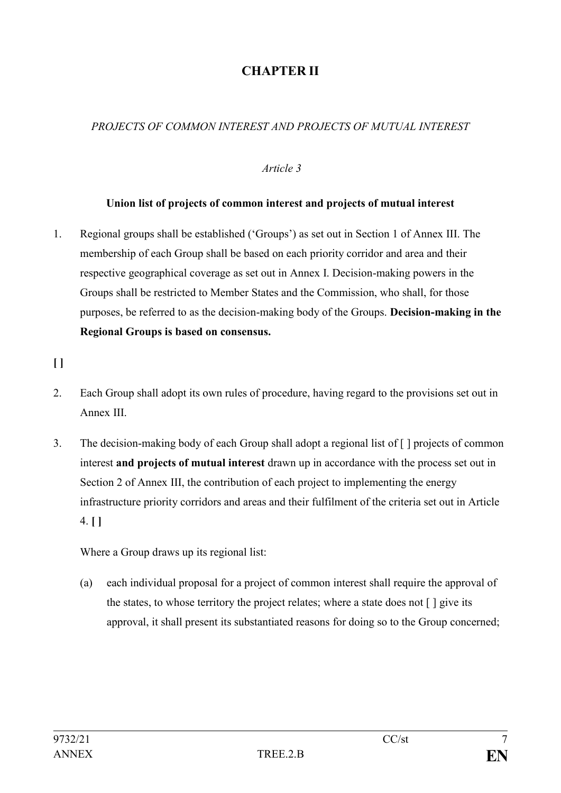# **CHAPTER II**

# *PROJECTS OF COMMON INTEREST AND PROJECTS OF MUTUAL INTEREST*

### *Article 3*

### **Union list of projects of common interest and projects of mutual interest**

1. Regional groups shall be established ('Groups') as set out in Section 1 of Annex III. The membership of each Group shall be based on each priority corridor and area and their respective geographical coverage as set out in Annex I. Decision-making powers in the Groups shall be restricted to Member States and the Commission, who shall, for those purposes, be referred to as the decision-making body of the Groups. **Decision-making in the Regional Groups is based on consensus.**

**[ ]**

- 2. Each Group shall adopt its own rules of procedure, having regard to the provisions set out in Annex III.
- 3. The decision-making body of each Group shall adopt a regional list of [ ] projects of common interest **and projects of mutual interest** drawn up in accordance with the process set out in Section 2 of Annex III, the contribution of each project to implementing the energy infrastructure priority corridors and areas and their fulfilment of the criteria set out in Article 4. **[ ]**

Where a Group draws up its regional list:

(a) each individual proposal for a project of common interest shall require the approval of the states, to whose territory the project relates; where a state does not [ ] give its approval, it shall present its substantiated reasons for doing so to the Group concerned;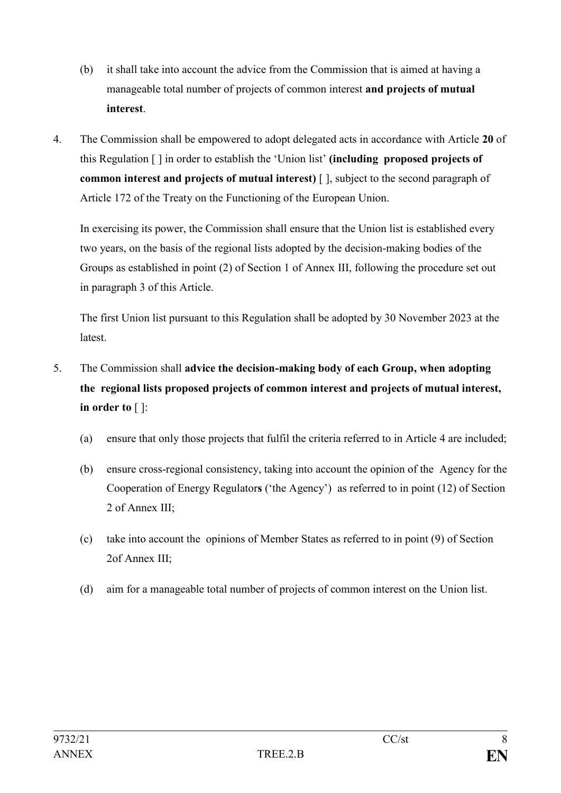- (b) it shall take into account the advice from the Commission that is aimed at having a manageable total number of projects of common interest **and projects of mutual interest**.
- 4. The Commission shall be empowered to adopt delegated acts in accordance with Article **20** of this Regulation [ ] in order to establish the 'Union list' **(including proposed projects of common interest and projects of mutual interest)** [ ], subject to the second paragraph of Article 172 of the Treaty on the Functioning of the European Union.

In exercising its power, the Commission shall ensure that the Union list is established every two years, on the basis of the regional lists adopted by the decision-making bodies of the Groups as established in point (2) of Section 1 of Annex III, following the procedure set out in paragraph 3 of this Article.

The first Union list pursuant to this Regulation shall be adopted by 30 November 2023 at the **latest** 

- 5. The Commission shall **advice the decision-making body of each Group, when adopting the regional lists proposed projects of common interest and projects of mutual interest, in order to** [ ]:
	- (a) ensure that only those projects that fulfil the criteria referred to in Article 4 are included;
	- (b) ensure cross-regional consistency, taking into account the opinion of the Agency for the Cooperation of Energy Regulator**s** ('the Agency') as referred to in point (12) of Section 2 of Annex III;
	- (c) take into account the opinions of Member States as referred to in point (9) of Section 2of Annex III;
	- (d) aim for a manageable total number of projects of common interest on the Union list.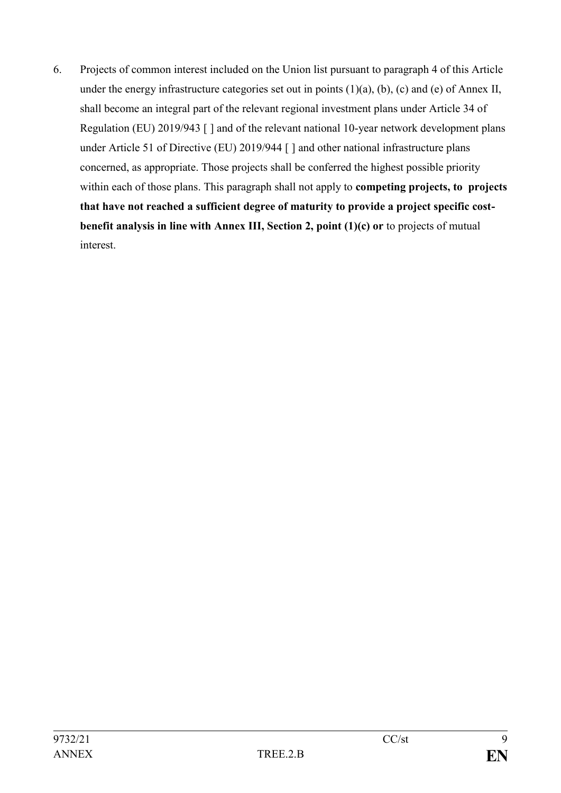6. Projects of common interest included on the Union list pursuant to paragraph 4 of this Article under the energy infrastructure categories set out in points  $(1)(a)$ ,  $(b)$ ,  $(c)$  and  $(e)$  of Annex II, shall become an integral part of the relevant regional investment plans under Article 34 of Regulation (EU) 2019/943 [ ] and of the relevant national 10-year network development plans under Article 51 of Directive (EU) 2019/944 [ ] and other national infrastructure plans concerned, as appropriate. Those projects shall be conferred the highest possible priority within each of those plans. This paragraph shall not apply to **competing projects, to projects that have not reached a sufficient degree of maturity to provide a project specific costbenefit analysis in line with Annex III, Section 2, point (1)(c) or** to projects of mutual interest.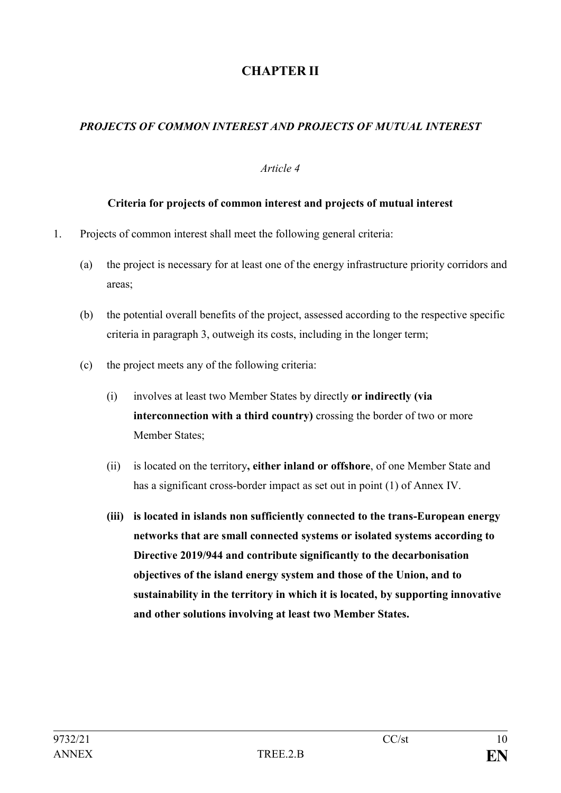# **CHAPTER II**

# *PROJECTS OF COMMON INTEREST AND PROJECTS OF MUTUAL INTEREST*

### *Article 4*

#### **Criteria for projects of common interest and projects of mutual interest**

- 1. Projects of common interest shall meet the following general criteria:
	- (a) the project is necessary for at least one of the energy infrastructure priority corridors and areas;
	- (b) the potential overall benefits of the project, assessed according to the respective specific criteria in paragraph 3, outweigh its costs, including in the longer term;
	- (c) the project meets any of the following criteria:
		- (i) involves at least two Member States by directly **or indirectly (via interconnection with a third country)** crossing the border of two or more Member States;
		- (ii) is located on the territory**, either inland or offshore**, of one Member State and has a significant cross-border impact as set out in point (1) of Annex IV.
		- **(iii) is located in islands non sufficiently connected to the trans-European energy networks that are small connected systems or isolated systems according to Directive 2019/944 and contribute significantly to the decarbonisation objectives of the island energy system and those of the Union, and to sustainability in the territory in which it is located, by supporting innovative and other solutions involving at least two Member States.**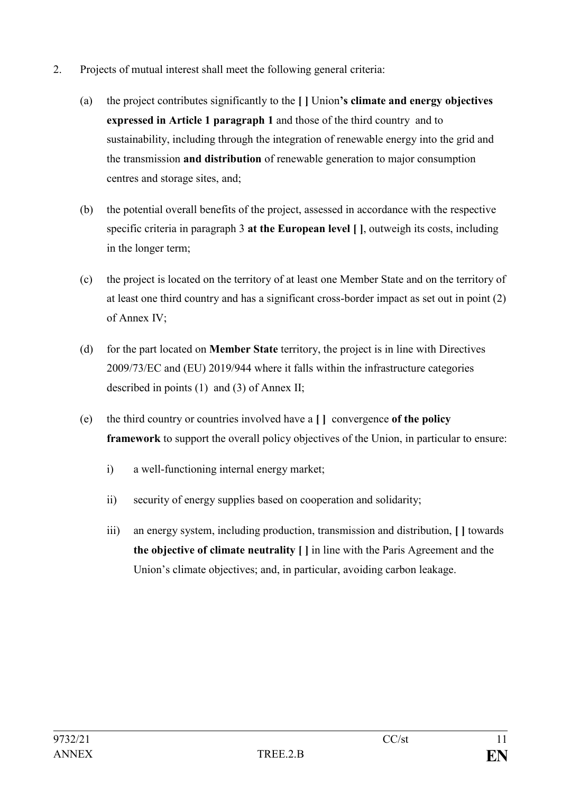- 2. Projects of mutual interest shall meet the following general criteria:
	- (a) the project contributes significantly to the **[ ]** Union**'s climate and energy objectives expressed in Article 1 paragraph 1** and those of the third country and to sustainability, including through the integration of renewable energy into the grid and the transmission **and distribution** of renewable generation to major consumption centres and storage sites, and;
	- (b) the potential overall benefits of the project, assessed in accordance with the respective specific criteria in paragraph 3 **at the European level [ ]**, outweigh its costs, including in the longer term;
	- (c) the project is located on the territory of at least one Member State and on the territory of at least one third country and has a significant cross-border impact as set out in point (2) of Annex IV;
	- (d) for the part located on **Member State** territory, the project is in line with Directives 2009/73/EC and (EU) 2019/944 where it falls within the infrastructure categories described in points (1) and (3) of Annex II;
	- (e) the third country or countries involved have a **[ ]** convergence **of the policy framework** to support the overall policy objectives of the Union, in particular to ensure:
		- i) a well-functioning internal energy market;
		- ii) security of energy supplies based on cooperation and solidarity;
		- iii) an energy system, including production, transmission and distribution, **[ ]** towards **the objective of climate neutrality [ ]** in line with the Paris Agreement and the Union's climate objectives; and, in particular, avoiding carbon leakage.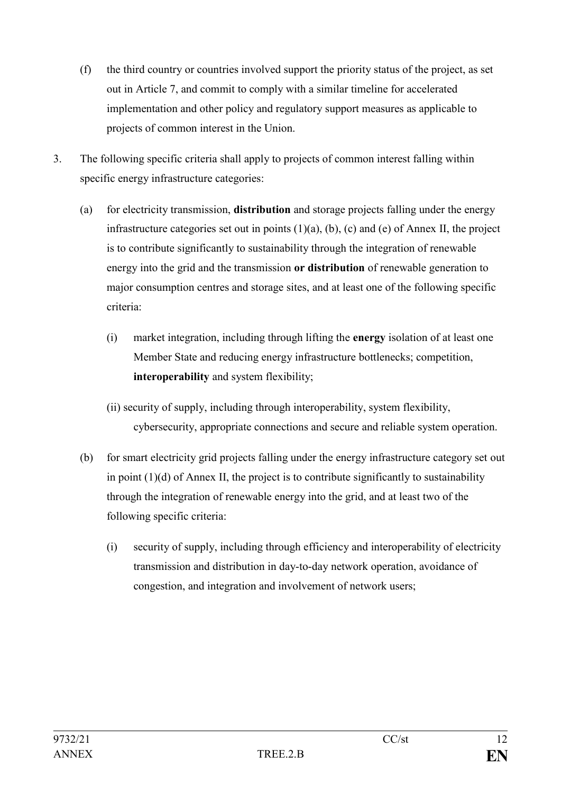- (f) the third country or countries involved support the priority status of the project, as set out in Article 7, and commit to comply with a similar timeline for accelerated implementation and other policy and regulatory support measures as applicable to projects of common interest in the Union.
- 3. The following specific criteria shall apply to projects of common interest falling within specific energy infrastructure categories:
	- (a) for electricity transmission, **distribution** and storage projects falling under the energy infrastructure categories set out in points  $(1)(a)$ ,  $(b)$ ,  $(c)$  and  $(e)$  of Annex II, the project is to contribute significantly to sustainability through the integration of renewable energy into the grid and the transmission **or distribution** of renewable generation to major consumption centres and storage sites, and at least one of the following specific criteria:
		- (i) market integration, including through lifting the **energy** isolation of at least one Member State and reducing energy infrastructure bottlenecks; competition, **interoperability** and system flexibility;
		- (ii) security of supply, including through interoperability, system flexibility, cybersecurity, appropriate connections and secure and reliable system operation.
	- (b) for smart electricity grid projects falling under the energy infrastructure category set out in point  $(1)(d)$  of Annex II, the project is to contribute significantly to sustainability through the integration of renewable energy into the grid, and at least two of the following specific criteria:
		- (i) security of supply, including through efficiency and interoperability of electricity transmission and distribution in day-to-day network operation, avoidance of congestion, and integration and involvement of network users;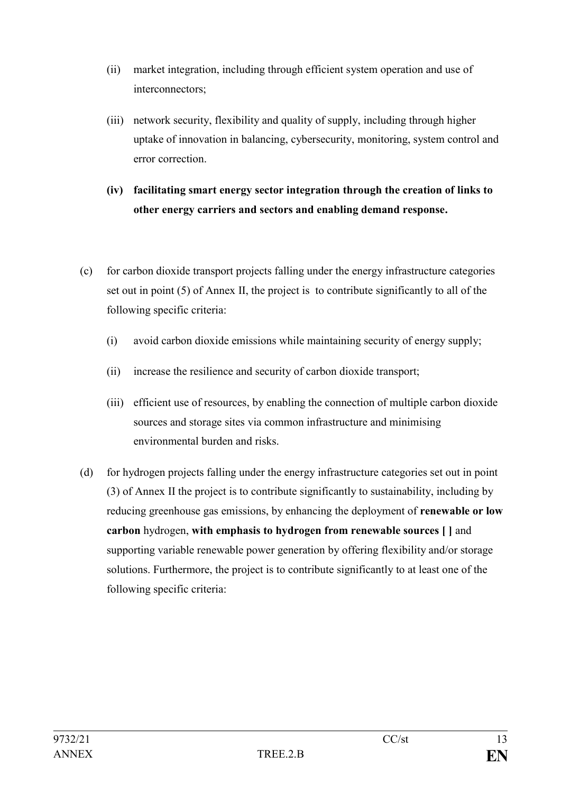- (ii) market integration, including through efficient system operation and use of interconnectors;
- (iii) network security, flexibility and quality of supply, including through higher uptake of innovation in balancing, cybersecurity, monitoring, system control and error correction.
- **(iv) facilitating smart energy sector integration through the creation of links to other energy carriers and sectors and enabling demand response.**
- (c) for carbon dioxide transport projects falling under the energy infrastructure categories set out in point (5) of Annex II, the project is to contribute significantly to all of the following specific criteria:
	- (i) avoid carbon dioxide emissions while maintaining security of energy supply;
	- (ii) increase the resilience and security of carbon dioxide transport;
	- (iii) efficient use of resources, by enabling the connection of multiple carbon dioxide sources and storage sites via common infrastructure and minimising environmental burden and risks.
- (d) for hydrogen projects falling under the energy infrastructure categories set out in point (3) of Annex II the project is to contribute significantly to sustainability, including by reducing greenhouse gas emissions, by enhancing the deployment of **renewable or low carbon** hydrogen, **with emphasis to hydrogen from renewable sources [ ]** and supporting variable renewable power generation by offering flexibility and/or storage solutions. Furthermore, the project is to contribute significantly to at least one of the following specific criteria: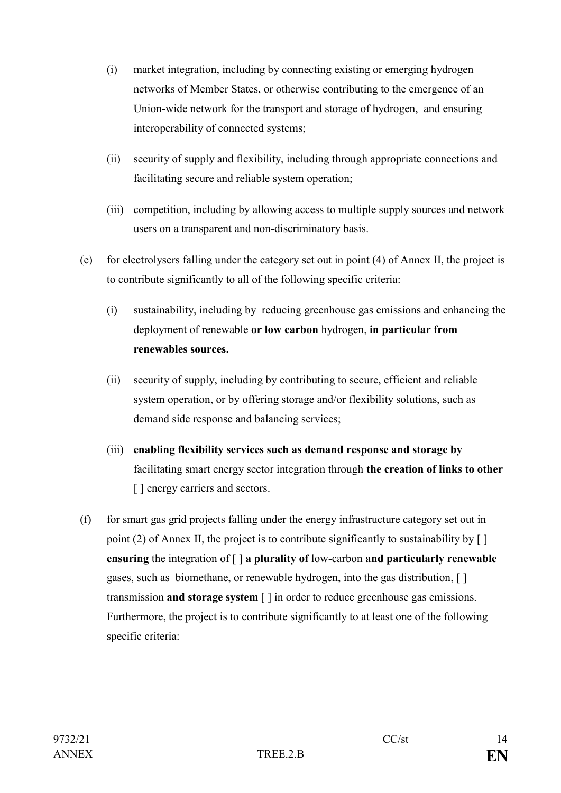- (i) market integration, including by connecting existing or emerging hydrogen networks of Member States, or otherwise contributing to the emergence of an Union-wide network for the transport and storage of hydrogen, and ensuring interoperability of connected systems;
- (ii) security of supply and flexibility, including through appropriate connections and facilitating secure and reliable system operation;
- (iii) competition, including by allowing access to multiple supply sources and network users on a transparent and non-discriminatory basis.
- (e) for electrolysers falling under the category set out in point (4) of Annex II, the project is to contribute significantly to all of the following specific criteria:
	- (i) sustainability, including by reducing greenhouse gas emissions and enhancing the deployment of renewable **or low carbon** hydrogen, **in particular from renewables sources.**
	- (ii) security of supply, including by contributing to secure, efficient and reliable system operation, or by offering storage and/or flexibility solutions, such as demand side response and balancing services;
	- (iii) **enabling flexibility services such as demand response and storage by** facilitating smart energy sector integration through **the creation of links to other**  [ ] energy carriers and sectors.
- (f) for smart gas grid projects falling under the energy infrastructure category set out in point (2) of Annex II, the project is to contribute significantly to sustainability by  $\lceil \cdot \rceil$ **ensuring** the integration of [ ] **a plurality of** low-carbon **and particularly renewable** gases, such as biomethane, or renewable hydrogen, into the gas distribution, [ ] transmission **and storage system** [ ] in order to reduce greenhouse gas emissions. Furthermore, the project is to contribute significantly to at least one of the following specific criteria: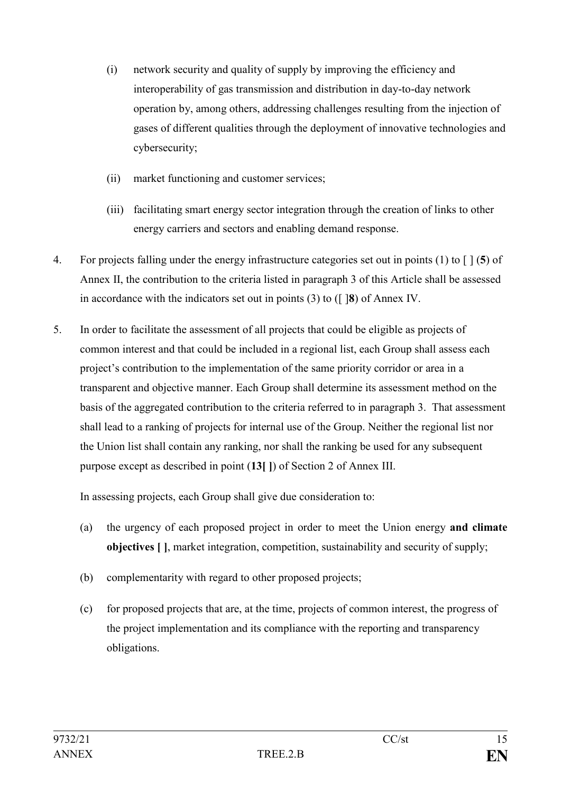- (i) network security and quality of supply by improving the efficiency and interoperability of gas transmission and distribution in day-to-day network operation by, among others, addressing challenges resulting from the injection of gases of different qualities through the deployment of innovative technologies and cybersecurity;
- (ii) market functioning and customer services;
- (iii) facilitating smart energy sector integration through the creation of links to other energy carriers and sectors and enabling demand response.
- 4. For projects falling under the energy infrastructure categories set out in points (1) to [ ] (**5**) of Annex II, the contribution to the criteria listed in paragraph 3 of this Article shall be assessed in accordance with the indicators set out in points (3) to ([ ]**8**) of Annex IV.
- 5. In order to facilitate the assessment of all projects that could be eligible as projects of common interest and that could be included in a regional list, each Group shall assess each project's contribution to the implementation of the same priority corridor or area in a transparent and objective manner. Each Group shall determine its assessment method on the basis of the aggregated contribution to the criteria referred to in paragraph 3. That assessment shall lead to a ranking of projects for internal use of the Group. Neither the regional list nor the Union list shall contain any ranking, nor shall the ranking be used for any subsequent purpose except as described in point (**13[ ]**) of Section 2 of Annex III.

In assessing projects, each Group shall give due consideration to:

- (a) the urgency of each proposed project in order to meet the Union energy **and climate objectives [ ]**, market integration, competition, sustainability and security of supply;
- (b) complementarity with regard to other proposed projects;
- (c) for proposed projects that are, at the time, projects of common interest, the progress of the project implementation and its compliance with the reporting and transparency obligations.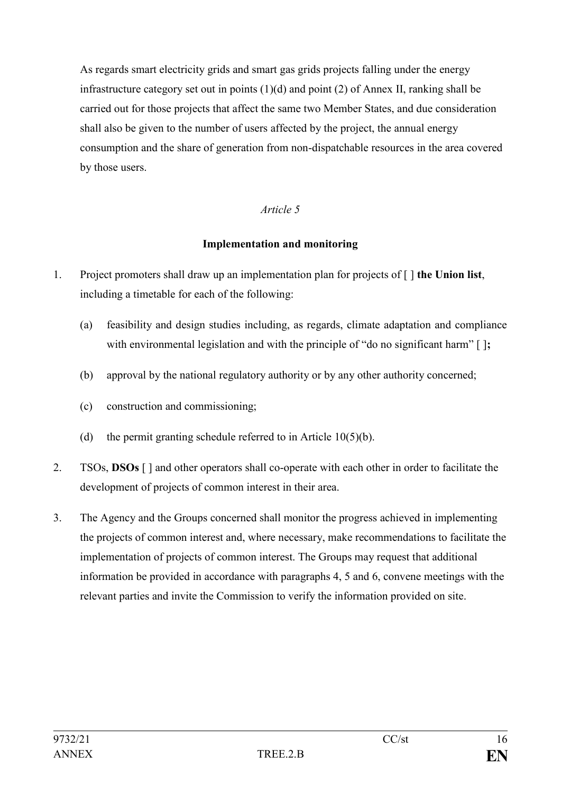As regards smart electricity grids and smart gas grids projects falling under the energy infrastructure category set out in points (1)(d) and point (2) of Annex II, ranking shall be carried out for those projects that affect the same two Member States, and due consideration shall also be given to the number of users affected by the project, the annual energy consumption and the share of generation from non-dispatchable resources in the area covered by those users.

## *Article 5*

### **Implementation and monitoring**

- 1. Project promoters shall draw up an implementation plan for projects of [ ] **the Union list**, including a timetable for each of the following:
	- (a) feasibility and design studies including, as regards, climate adaptation and compliance with environmental legislation and with the principle of "do no significant harm" [];
	- (b) approval by the national regulatory authority or by any other authority concerned;
	- (c) construction and commissioning;
	- (d) the permit granting schedule referred to in Article  $10(5)(b)$ .
- 2. TSOs, **DSOs** [ ] and other operators shall co-operate with each other in order to facilitate the development of projects of common interest in their area.
- 3. The Agency and the Groups concerned shall monitor the progress achieved in implementing the projects of common interest and, where necessary, make recommendations to facilitate the implementation of projects of common interest. The Groups may request that additional information be provided in accordance with paragraphs 4, 5 and 6, convene meetings with the relevant parties and invite the Commission to verify the information provided on site.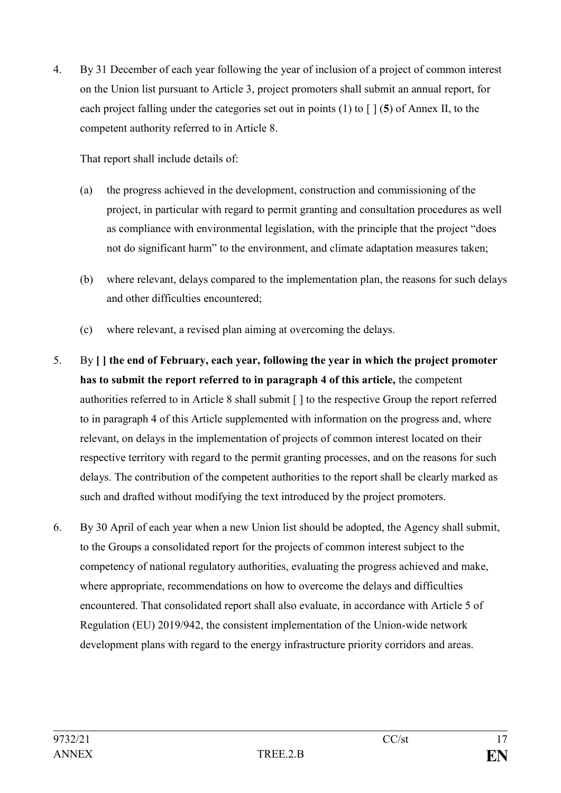4. By 31 December of each year following the year of inclusion of a project of common interest on the Union list pursuant to Article 3, project promoters shall submit an annual report, for each project falling under the categories set out in points (1) to [ ] (**5**) of Annex II, to the competent authority referred to in Article 8.

That report shall include details of:

- (a) the progress achieved in the development, construction and commissioning of the project, in particular with regard to permit granting and consultation procedures as well as compliance with environmental legislation, with the principle that the project "does not do significant harm" to the environment, and climate adaptation measures taken;
- (b) where relevant, delays compared to the implementation plan, the reasons for such delays and other difficulties encountered;
- (c) where relevant, a revised plan aiming at overcoming the delays.
- 5. By **[ ] the end of February, each year, following the year in which the project promoter has to submit the report referred to in paragraph 4 of this article,** the competent authorities referred to in Article 8 shall submit [ ] to the respective Group the report referred to in paragraph 4 of this Article supplemented with information on the progress and, where relevant, on delays in the implementation of projects of common interest located on their respective territory with regard to the permit granting processes, and on the reasons for such delays. The contribution of the competent authorities to the report shall be clearly marked as such and drafted without modifying the text introduced by the project promoters.
- 6. By 30 April of each year when a new Union list should be adopted, the Agency shall submit, to the Groups a consolidated report for the projects of common interest subject to the competency of national regulatory authorities, evaluating the progress achieved and make, where appropriate, recommendations on how to overcome the delays and difficulties encountered. That consolidated report shall also evaluate, in accordance with Article 5 of Regulation (EU) 2019/942, the consistent implementation of the Union-wide network development plans with regard to the energy infrastructure priority corridors and areas.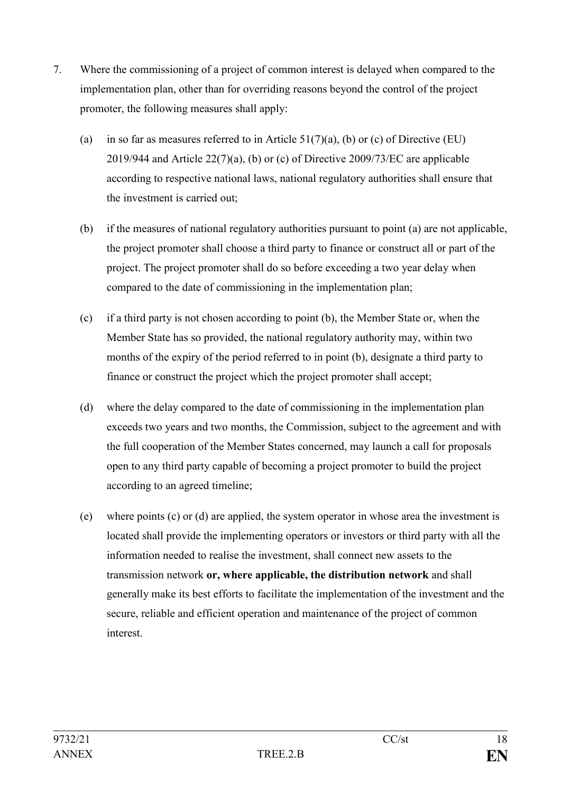- 7. Where the commissioning of a project of common interest is delayed when compared to the implementation plan, other than for overriding reasons beyond the control of the project promoter, the following measures shall apply:
	- (a) in so far as measures referred to in Article  $51(7)(a)$ , (b) or (c) of Directive (EU) 2019/944 and Article 22(7)(a), (b) or (c) of Directive 2009/73/EC are applicable according to respective national laws, national regulatory authorities shall ensure that the investment is carried out;
	- (b) if the measures of national regulatory authorities pursuant to point (a) are not applicable, the project promoter shall choose a third party to finance or construct all or part of the project. The project promoter shall do so before exceeding a two year delay when compared to the date of commissioning in the implementation plan;
	- (c) if a third party is not chosen according to point (b), the Member State or, when the Member State has so provided, the national regulatory authority may, within two months of the expiry of the period referred to in point (b), designate a third party to finance or construct the project which the project promoter shall accept;
	- (d) where the delay compared to the date of commissioning in the implementation plan exceeds two years and two months, the Commission, subject to the agreement and with the full cooperation of the Member States concerned, may launch a call for proposals open to any third party capable of becoming a project promoter to build the project according to an agreed timeline;
	- (e) where points (c) or (d) are applied, the system operator in whose area the investment is located shall provide the implementing operators or investors or third party with all the information needed to realise the investment, shall connect new assets to the transmission network **or, where applicable, the distribution network** and shall generally make its best efforts to facilitate the implementation of the investment and the secure, reliable and efficient operation and maintenance of the project of common interest.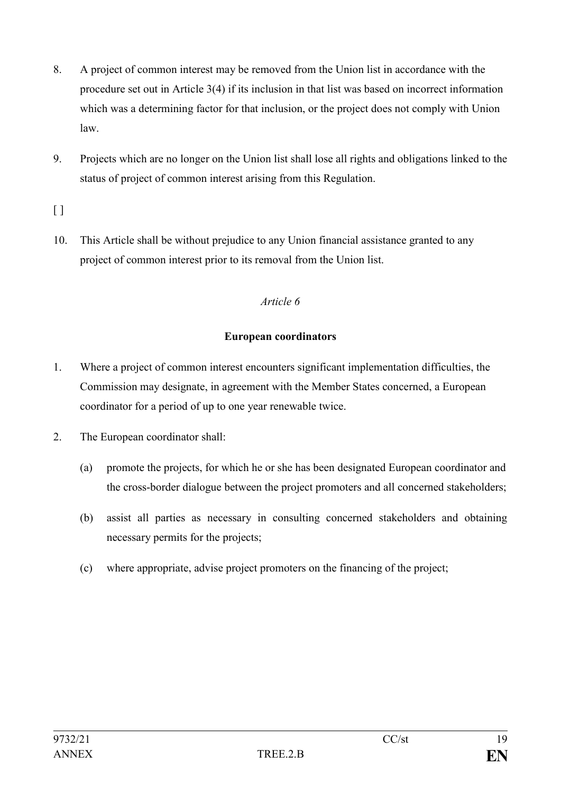- 8. A project of common interest may be removed from the Union list in accordance with the procedure set out in Article 3(4) if its inclusion in that list was based on incorrect information which was a determining factor for that inclusion, or the project does not comply with Union law.
- 9. Projects which are no longer on the Union list shall lose all rights and obligations linked to the status of project of common interest arising from this Regulation.

 $\lbrack$ 

10. This Article shall be without prejudice to any Union financial assistance granted to any project of common interest prior to its removal from the Union list.

### *Article 6*

### **European coordinators**

- 1. Where a project of common interest encounters significant implementation difficulties, the Commission may designate, in agreement with the Member States concerned, a European coordinator for a period of up to one year renewable twice.
- 2. The European coordinator shall:
	- (a) promote the projects, for which he or she has been designated European coordinator and the cross-border dialogue between the project promoters and all concerned stakeholders;
	- (b) assist all parties as necessary in consulting concerned stakeholders and obtaining necessary permits for the projects;
	- (c) where appropriate, advise project promoters on the financing of the project;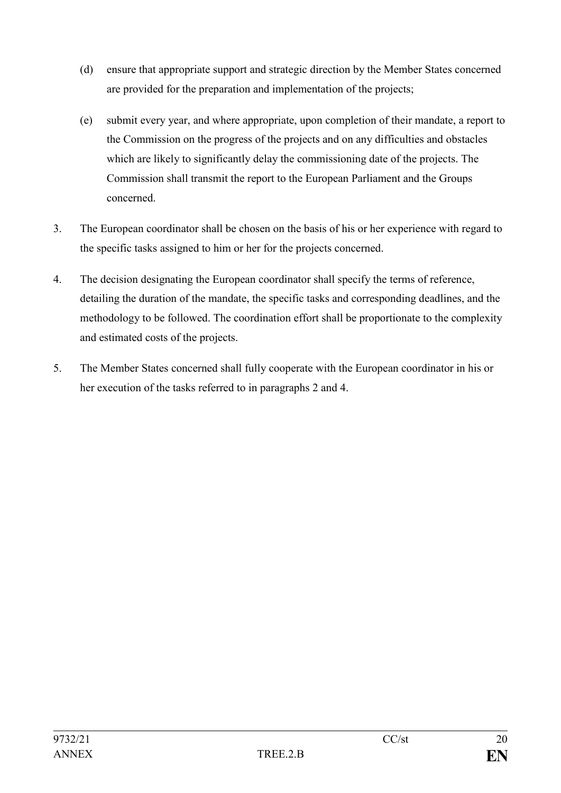- (d) ensure that appropriate support and strategic direction by the Member States concerned are provided for the preparation and implementation of the projects;
- (e) submit every year, and where appropriate, upon completion of their mandate, a report to the Commission on the progress of the projects and on any difficulties and obstacles which are likely to significantly delay the commissioning date of the projects. The Commission shall transmit the report to the European Parliament and the Groups concerned.
- 3. The European coordinator shall be chosen on the basis of his or her experience with regard to the specific tasks assigned to him or her for the projects concerned.
- 4. The decision designating the European coordinator shall specify the terms of reference, detailing the duration of the mandate, the specific tasks and corresponding deadlines, and the methodology to be followed. The coordination effort shall be proportionate to the complexity and estimated costs of the projects.
- 5. The Member States concerned shall fully cooperate with the European coordinator in his or her execution of the tasks referred to in paragraphs 2 and 4.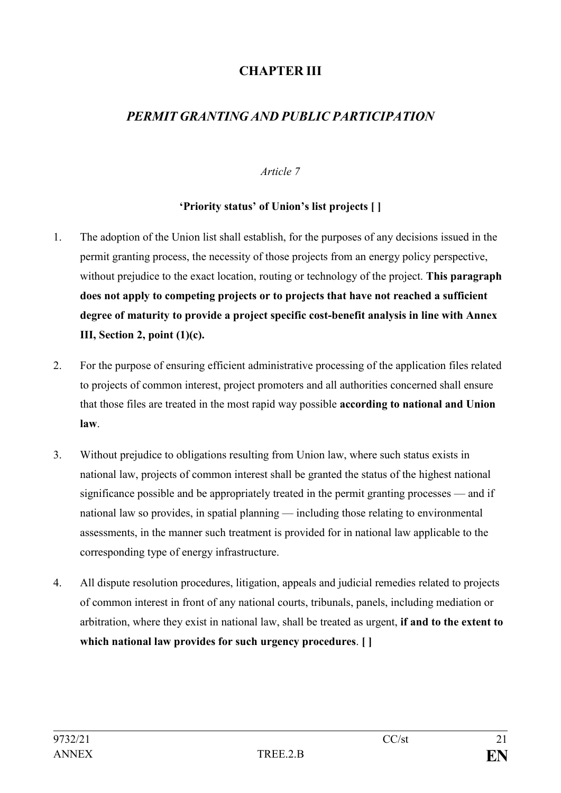# **CHAPTER III**

# *PERMIT GRANTING AND PUBLIC PARTICIPATION*

### *Article 7*

### **'Priority status' of Union's list projects [ ]**

- 1. The adoption of the Union list shall establish, for the purposes of any decisions issued in the permit granting process, the necessity of those projects from an energy policy perspective, without prejudice to the exact location, routing or technology of the project. **This paragraph does not apply to competing projects or to projects that have not reached a sufficient degree of maturity to provide a project specific cost-benefit analysis in line with Annex III, Section 2, point (1)(c).**
- 2. For the purpose of ensuring efficient administrative processing of the application files related to projects of common interest, project promoters and all authorities concerned shall ensure that those files are treated in the most rapid way possible **according to national and Union law**.
- 3. Without prejudice to obligations resulting from Union law, where such status exists in national law, projects of common interest shall be granted the status of the highest national significance possible and be appropriately treated in the permit granting processes — and if national law so provides, in spatial planning — including those relating to environmental assessments, in the manner such treatment is provided for in national law applicable to the corresponding type of energy infrastructure.
- 4. All dispute resolution procedures, litigation, appeals and judicial remedies related to projects of common interest in front of any national courts, tribunals, panels, including mediation or arbitration, where they exist in national law, shall be treated as urgent, **if and to the extent to which national law provides for such urgency procedures**. **[ ]**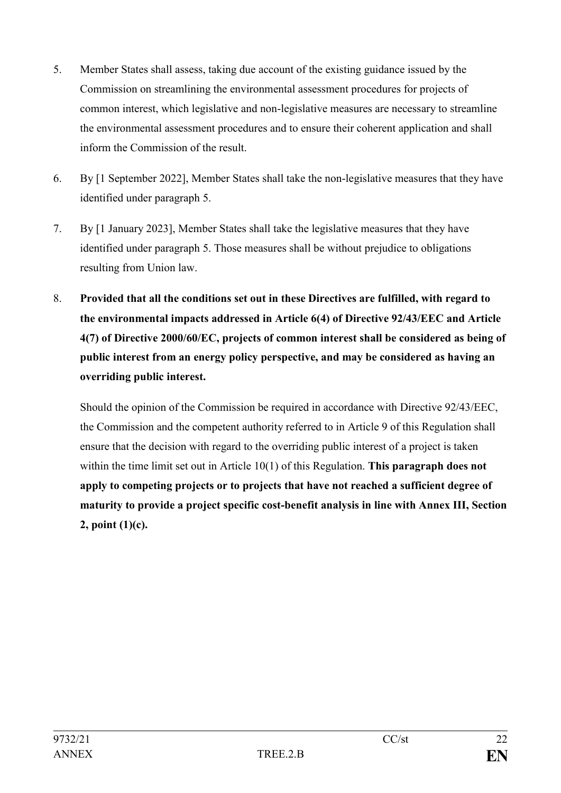- 5. Member States shall assess, taking due account of the existing guidance issued by the Commission on streamlining the environmental assessment procedures for projects of common interest, which legislative and non-legislative measures are necessary to streamline the environmental assessment procedures and to ensure their coherent application and shall inform the Commission of the result.
- 6. By [1 September 2022], Member States shall take the non-legislative measures that they have identified under paragraph 5.
- 7. By [1 January 2023], Member States shall take the legislative measures that they have identified under paragraph 5. Those measures shall be without prejudice to obligations resulting from Union law.
- 8. **Provided that all the conditions set out in these Directives are fulfilled, with regard to the environmental impacts addressed in Article 6(4) of Directive 92/43/EEC and Article 4(7) of Directive 2000/60/EC, projects of common interest shall be considered as being of public interest from an energy policy perspective, and may be considered as having an overriding public interest.**

Should the opinion of the Commission be required in accordance with Directive 92/43/EEC, the Commission and the competent authority referred to in Article 9 of this Regulation shall ensure that the decision with regard to the overriding public interest of a project is taken within the time limit set out in Article 10(1) of this Regulation. **This paragraph does not apply to competing projects or to projects that have not reached a sufficient degree of maturity to provide a project specific cost-benefit analysis in line with Annex III, Section 2, point (1)(c).**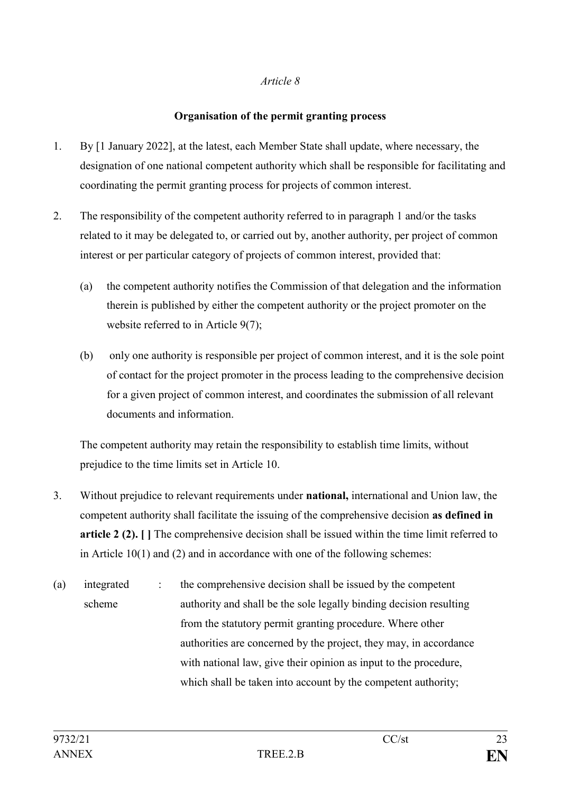### *Article 8*

### **Organisation of the permit granting process**

- 1. By [1 January 2022], at the latest, each Member State shall update, where necessary, the designation of one national competent authority which shall be responsible for facilitating and coordinating the permit granting process for projects of common interest.
- 2. The responsibility of the competent authority referred to in paragraph 1 and/or the tasks related to it may be delegated to, or carried out by, another authority, per project of common interest or per particular category of projects of common interest, provided that:
	- (a) the competent authority notifies the Commission of that delegation and the information therein is published by either the competent authority or the project promoter on the website referred to in Article 9(7);
	- (b) only one authority is responsible per project of common interest, and it is the sole point of contact for the project promoter in the process leading to the comprehensive decision for a given project of common interest, and coordinates the submission of all relevant documents and information.

The competent authority may retain the responsibility to establish time limits, without prejudice to the time limits set in Article 10.

- 3. Without prejudice to relevant requirements under **national,** international and Union law, the competent authority shall facilitate the issuing of the comprehensive decision **as defined in article 2 (2). [ ]** The comprehensive decision shall be issued within the time limit referred to in Article 10(1) and (2) and in accordance with one of the following schemes:
- (a) integrated scheme : the comprehensive decision shall be issued by the competent authority and shall be the sole legally binding decision resulting from the statutory permit granting procedure. Where other authorities are concerned by the project, they may, in accordance with national law, give their opinion as input to the procedure, which shall be taken into account by the competent authority;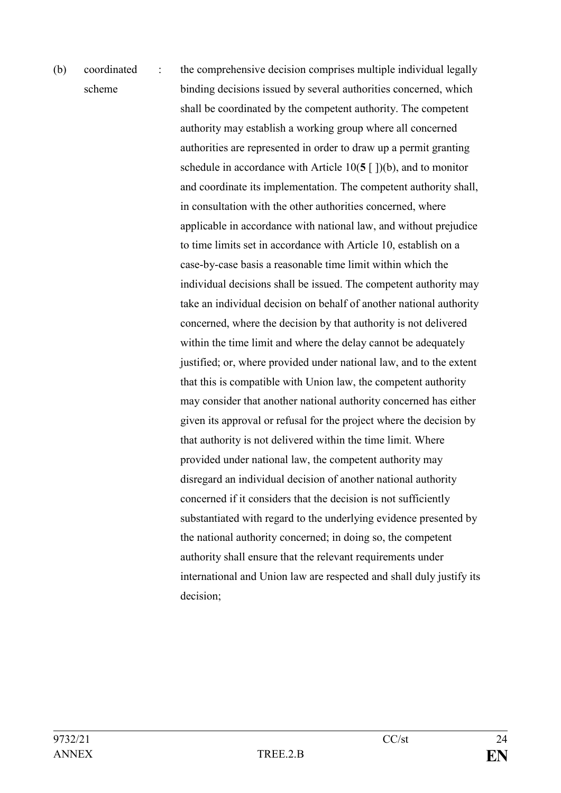# (b) coordinated scheme : the comprehensive decision comprises multiple individual legally binding decisions issued by several authorities concerned, which shall be coordinated by the competent authority. The competent authority may establish a working group where all concerned authorities are represented in order to draw up a permit granting schedule in accordance with Article 10(**5** [ ])(b), and to monitor and coordinate its implementation. The competent authority shall, in consultation with the other authorities concerned, where applicable in accordance with national law, and without prejudice to time limits set in accordance with Article 10, establish on a case-by-case basis a reasonable time limit within which the individual decisions shall be issued. The competent authority may take an individual decision on behalf of another national authority concerned, where the decision by that authority is not delivered within the time limit and where the delay cannot be adequately justified; or, where provided under national law, and to the extent that this is compatible with Union law, the competent authority may consider that another national authority concerned has either given its approval or refusal for the project where the decision by that authority is not delivered within the time limit. Where provided under national law, the competent authority may disregard an individual decision of another national authority concerned if it considers that the decision is not sufficiently substantiated with regard to the underlying evidence presented by the national authority concerned; in doing so, the competent authority shall ensure that the relevant requirements under international and Union law are respected and shall duly justify its decision;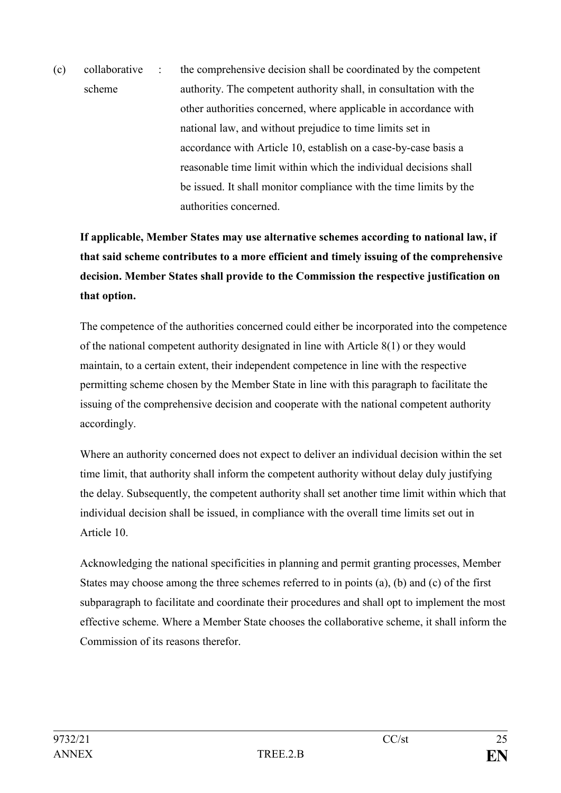(c) collaborative scheme : the comprehensive decision shall be coordinated by the competent authority. The competent authority shall, in consultation with the other authorities concerned, where applicable in accordance with national law, and without prejudice to time limits set in accordance with Article 10, establish on a case-by-case basis a reasonable time limit within which the individual decisions shall be issued. It shall monitor compliance with the time limits by the authorities concerned.

# **If applicable, Member States may use alternative schemes according to national law, if that said scheme contributes to a more efficient and timely issuing of the comprehensive decision. Member States shall provide to the Commission the respective justification on that option.**

The competence of the authorities concerned could either be incorporated into the competence of the national competent authority designated in line with Article 8(1) or they would maintain, to a certain extent, their independent competence in line with the respective permitting scheme chosen by the Member State in line with this paragraph to facilitate the issuing of the comprehensive decision and cooperate with the national competent authority accordingly.

Where an authority concerned does not expect to deliver an individual decision within the set time limit, that authority shall inform the competent authority without delay duly justifying the delay. Subsequently, the competent authority shall set another time limit within which that individual decision shall be issued, in compliance with the overall time limits set out in Article 10.

Acknowledging the national specificities in planning and permit granting processes, Member States may choose among the three schemes referred to in points (a), (b) and (c) of the first subparagraph to facilitate and coordinate their procedures and shall opt to implement the most effective scheme. Where a Member State chooses the collaborative scheme, it shall inform the Commission of its reasons therefor.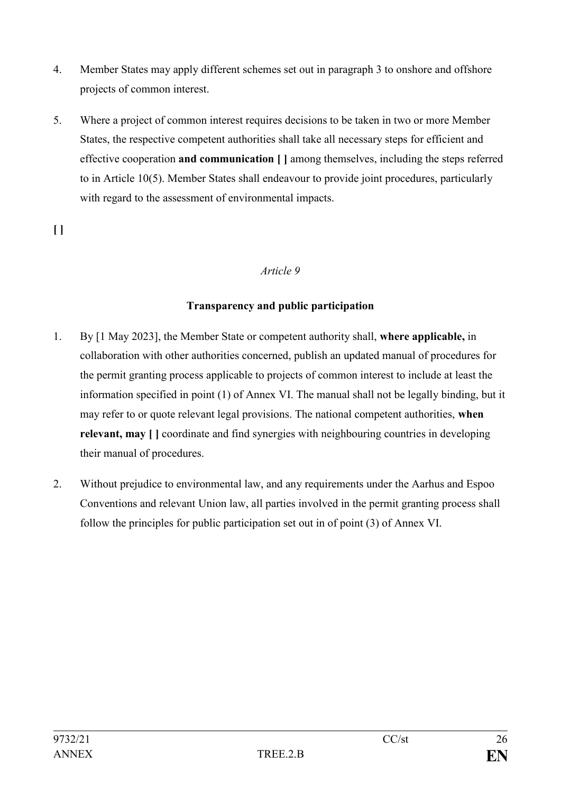- 4. Member States may apply different schemes set out in paragraph 3 to onshore and offshore projects of common interest.
- 5. Where a project of common interest requires decisions to be taken in two or more Member States, the respective competent authorities shall take all necessary steps for efficient and effective cooperation **and communication [ ]** among themselves, including the steps referred to in Article 10(5). Member States shall endeavour to provide joint procedures, particularly with regard to the assessment of environmental impacts.

**[ ]**

### *Article 9*

### **Transparency and public participation**

- 1. By [1 May 2023], the Member State or competent authority shall, **where applicable,** in collaboration with other authorities concerned, publish an updated manual of procedures for the permit granting process applicable to projects of common interest to include at least the information specified in point (1) of Annex VI. The manual shall not be legally binding, but it may refer to or quote relevant legal provisions. The national competent authorities, **when relevant, may [ ]** coordinate and find synergies with neighbouring countries in developing their manual of procedures.
- 2. Without prejudice to environmental law, and any requirements under the Aarhus and Espoo Conventions and relevant Union law, all parties involved in the permit granting process shall follow the principles for public participation set out in of point (3) of Annex VI.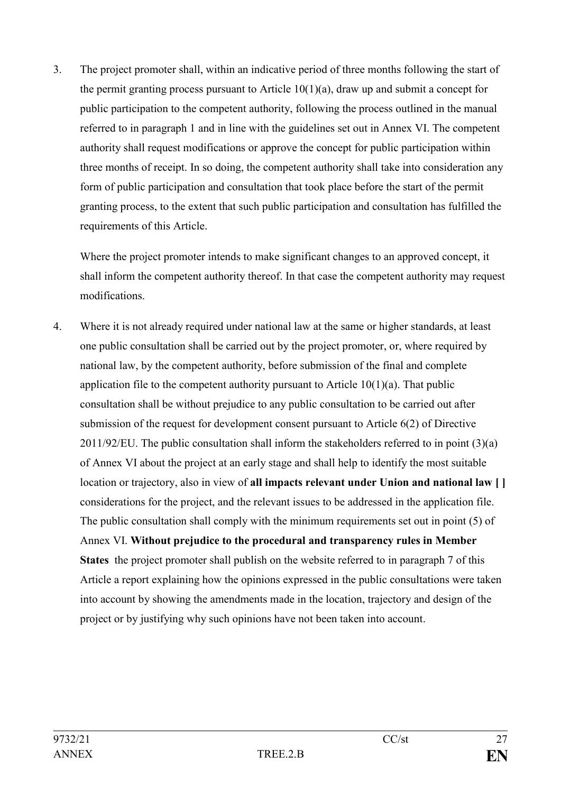3. The project promoter shall, within an indicative period of three months following the start of the permit granting process pursuant to Article 10(1)(a), draw up and submit a concept for public participation to the competent authority, following the process outlined in the manual referred to in paragraph 1 and in line with the guidelines set out in Annex VI. The competent authority shall request modifications or approve the concept for public participation within three months of receipt. In so doing, the competent authority shall take into consideration any form of public participation and consultation that took place before the start of the permit granting process, to the extent that such public participation and consultation has fulfilled the requirements of this Article.

Where the project promoter intends to make significant changes to an approved concept, it shall inform the competent authority thereof. In that case the competent authority may request modifications.

4. Where it is not already required under national law at the same or higher standards, at least one public consultation shall be carried out by the project promoter, or, where required by national law, by the competent authority, before submission of the final and complete application file to the competent authority pursuant to Article 10(1)(a). That public consultation shall be without prejudice to any public consultation to be carried out after submission of the request for development consent pursuant to Article 6(2) of Directive 2011/92/EU. The public consultation shall inform the stakeholders referred to in point (3)(a) of Annex VI about the project at an early stage and shall help to identify the most suitable location or trajectory, also in view of **all impacts relevant under Union and national law [ ]** considerations for the project, and the relevant issues to be addressed in the application file. The public consultation shall comply with the minimum requirements set out in point (5) of Annex VI. **Without prejudice to the procedural and transparency rules in Member States** the project promoter shall publish on the website referred to in paragraph 7 of this Article a report explaining how the opinions expressed in the public consultations were taken into account by showing the amendments made in the location, trajectory and design of the project or by justifying why such opinions have not been taken into account.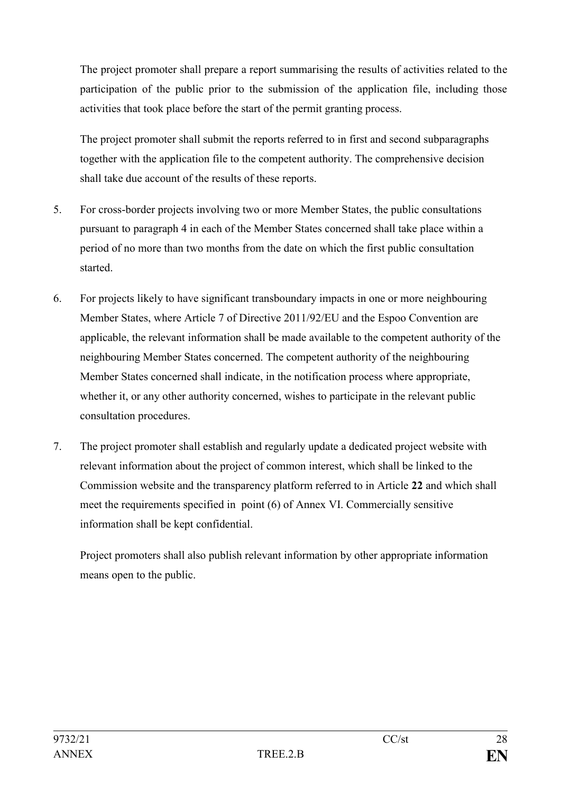The project promoter shall prepare a report summarising the results of activities related to the participation of the public prior to the submission of the application file, including those activities that took place before the start of the permit granting process.

The project promoter shall submit the reports referred to in first and second subparagraphs together with the application file to the competent authority. The comprehensive decision shall take due account of the results of these reports.

- 5. For cross-border projects involving two or more Member States, the public consultations pursuant to paragraph 4 in each of the Member States concerned shall take place within a period of no more than two months from the date on which the first public consultation started.
- 6. For projects likely to have significant transboundary impacts in one or more neighbouring Member States, where Article 7 of Directive 2011/92/EU and the Espoo Convention are applicable, the relevant information shall be made available to the competent authority of the neighbouring Member States concerned. The competent authority of the neighbouring Member States concerned shall indicate, in the notification process where appropriate, whether it, or any other authority concerned, wishes to participate in the relevant public consultation procedures.
- 7. The project promoter shall establish and regularly update a dedicated project website with relevant information about the project of common interest, which shall be linked to the Commission website and the transparency platform referred to in Article **22** and which shall meet the requirements specified in point (6) of Annex VI. Commercially sensitive information shall be kept confidential.

Project promoters shall also publish relevant information by other appropriate information means open to the public.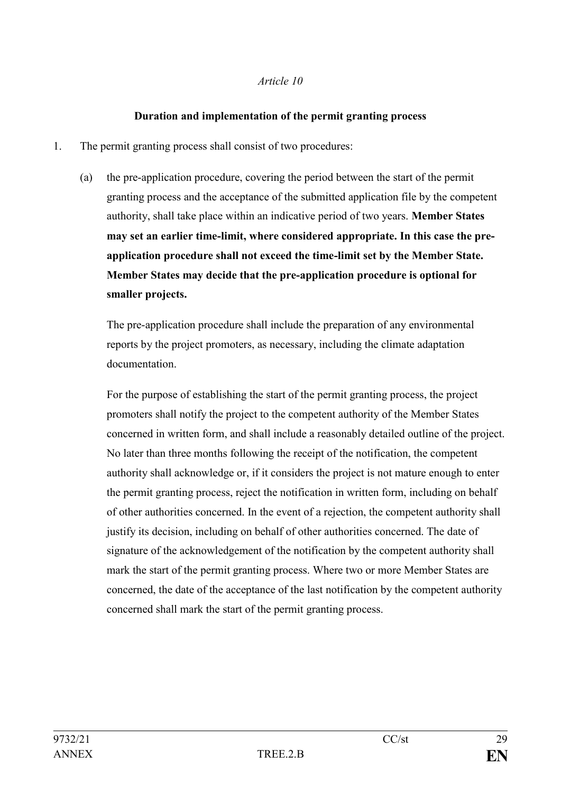### *Article 10*

### **Duration and implementation of the permit granting process**

- 1. The permit granting process shall consist of two procedures:
	- (a) the pre-application procedure, covering the period between the start of the permit granting process and the acceptance of the submitted application file by the competent authority, shall take place within an indicative period of two years. **Member States may set an earlier time-limit, where considered appropriate. In this case the preapplication procedure shall not exceed the time-limit set by the Member State. Member States may decide that the pre-application procedure is optional for smaller projects.**

The pre-application procedure shall include the preparation of any environmental reports by the project promoters, as necessary, including the climate adaptation documentation.

For the purpose of establishing the start of the permit granting process, the project promoters shall notify the project to the competent authority of the Member States concerned in written form, and shall include a reasonably detailed outline of the project. No later than three months following the receipt of the notification, the competent authority shall acknowledge or, if it considers the project is not mature enough to enter the permit granting process, reject the notification in written form, including on behalf of other authorities concerned. In the event of a rejection, the competent authority shall justify its decision, including on behalf of other authorities concerned. The date of signature of the acknowledgement of the notification by the competent authority shall mark the start of the permit granting process. Where two or more Member States are concerned, the date of the acceptance of the last notification by the competent authority concerned shall mark the start of the permit granting process.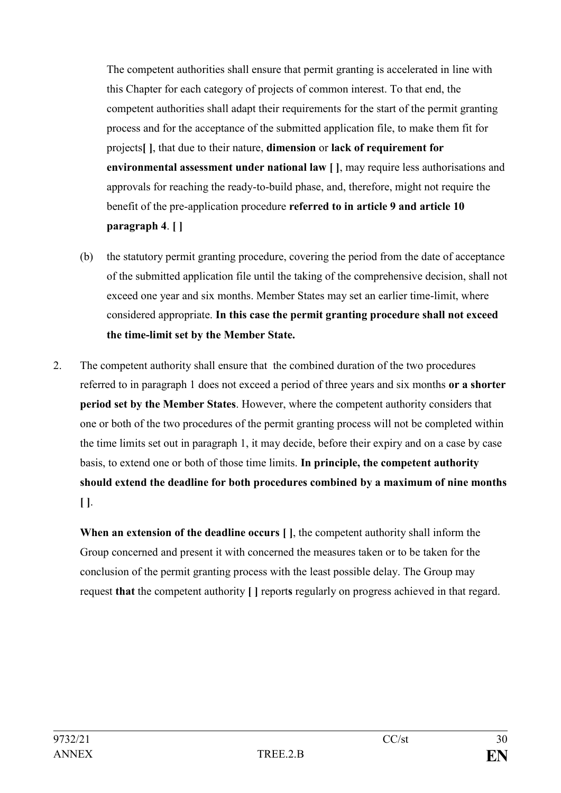The competent authorities shall ensure that permit granting is accelerated in line with this Chapter for each category of projects of common interest. To that end, the competent authorities shall adapt their requirements for the start of the permit granting process and for the acceptance of the submitted application file, to make them fit for projects**[ ]**, that due to their nature, **dimension** or **lack of requirement for environmental assessment under national law [ ]**, may require less authorisations and approvals for reaching the ready-to-build phase, and, therefore, might not require the benefit of the pre-application procedure **referred to in article 9 and article 10 paragraph 4**. **[ ]**

- (b) the statutory permit granting procedure, covering the period from the date of acceptance of the submitted application file until the taking of the comprehensive decision, shall not exceed one year and six months. Member States may set an earlier time-limit, where considered appropriate. **In this case the permit granting procedure shall not exceed the time-limit set by the Member State.**
- 2. The competent authority shall ensure that the combined duration of the two procedures referred to in paragraph 1 does not exceed a period of three years and six months **or a shorter period set by the Member States**. However, where the competent authority considers that one or both of the two procedures of the permit granting process will not be completed within the time limits set out in paragraph 1, it may decide, before their expiry and on a case by case basis, to extend one or both of those time limits. **In principle, the competent authority should extend the deadline for both procedures combined by a maximum of nine months [ ]**.

**When an extension of the deadline occurs [ ]**, the competent authority shall inform the Group concerned and present it with concerned the measures taken or to be taken for the conclusion of the permit granting process with the least possible delay. The Group may request **that** the competent authority **[ ]** report**s** regularly on progress achieved in that regard.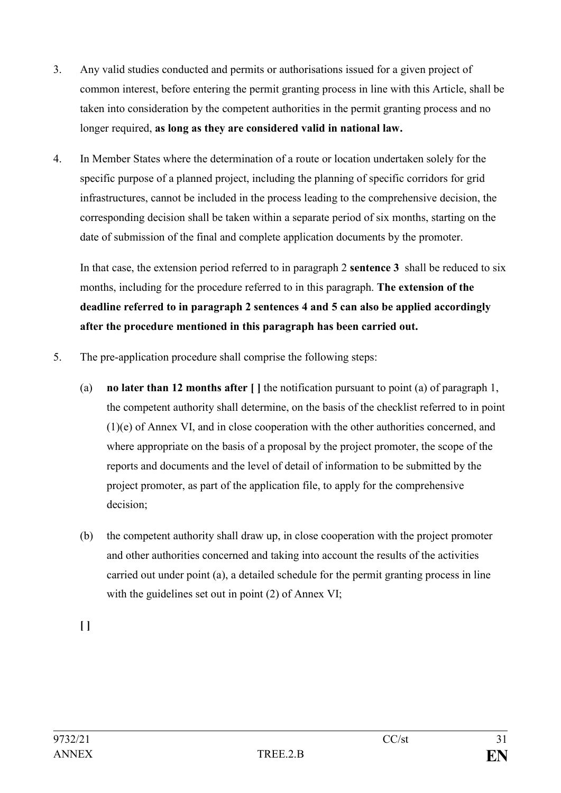- 3. Any valid studies conducted and permits or authorisations issued for a given project of common interest, before entering the permit granting process in line with this Article, shall be taken into consideration by the competent authorities in the permit granting process and no longer required, **as long as they are considered valid in national law.**
- 4. In Member States where the determination of a route or location undertaken solely for the specific purpose of a planned project, including the planning of specific corridors for grid infrastructures, cannot be included in the process leading to the comprehensive decision, the corresponding decision shall be taken within a separate period of six months, starting on the date of submission of the final and complete application documents by the promoter.

In that case, the extension period referred to in paragraph 2 **sentence 3** shall be reduced to six months, including for the procedure referred to in this paragraph. **The extension of the deadline referred to in paragraph 2 sentences 4 and 5 can also be applied accordingly after the procedure mentioned in this paragraph has been carried out.**

- 5. The pre-application procedure shall comprise the following steps:
	- (a) **no later than 12 months after [ ]** the notification pursuant to point (a) of paragraph 1, the competent authority shall determine, on the basis of the checklist referred to in point (1)(e) of Annex VI, and in close cooperation with the other authorities concerned, and where appropriate on the basis of a proposal by the project promoter, the scope of the reports and documents and the level of detail of information to be submitted by the project promoter, as part of the application file, to apply for the comprehensive decision;
	- (b) the competent authority shall draw up, in close cooperation with the project promoter and other authorities concerned and taking into account the results of the activities carried out under point (a), a detailed schedule for the permit granting process in line with the guidelines set out in point (2) of Annex VI;

**[ ]**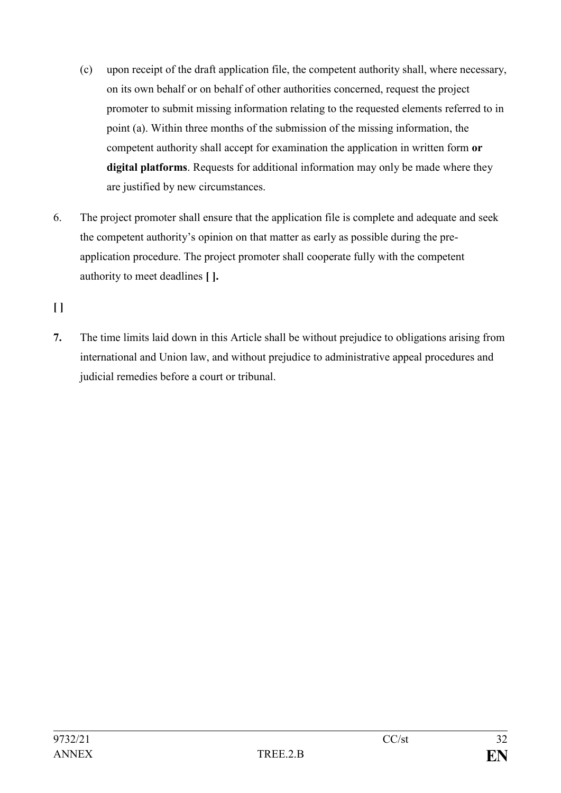- (c) upon receipt of the draft application file, the competent authority shall, where necessary, on its own behalf or on behalf of other authorities concerned, request the project promoter to submit missing information relating to the requested elements referred to in point (a). Within three months of the submission of the missing information, the competent authority shall accept for examination the application in written form **or digital platforms**. Requests for additional information may only be made where they are justified by new circumstances.
- 6. The project promoter shall ensure that the application file is complete and adequate and seek the competent authority's opinion on that matter as early as possible during the preapplication procedure. The project promoter shall cooperate fully with the competent authority to meet deadlines **[ ].**

**[ ]**

**7.** The time limits laid down in this Article shall be without prejudice to obligations arising from international and Union law, and without prejudice to administrative appeal procedures and judicial remedies before a court or tribunal.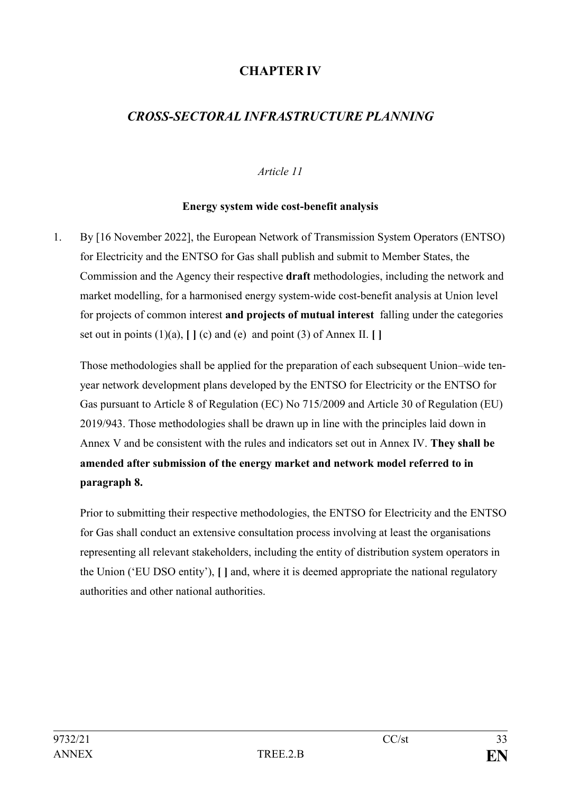# **CHAPTER IV**

# *CROSS-SECTORAL INFRASTRUCTURE PLANNING*

### *Article 11*

#### **Energy system wide cost-benefit analysis**

1. By [16 November 2022], the European Network of Transmission System Operators (ENTSO) for Electricity and the ENTSO for Gas shall publish and submit to Member States, the Commission and the Agency their respective **draft** methodologies, including the network and market modelling, for a harmonised energy system-wide cost-benefit analysis at Union level for projects of common interest **and projects of mutual interest** falling under the categories set out in points  $(1)(a)$ ,  $[ (c)$  and  $(e)$  and point  $(3)$  of Annex II.  $[ ]$ 

Those methodologies shall be applied for the preparation of each subsequent Union–wide tenyear network development plans developed by the ENTSO for Electricity or the ENTSO for Gas pursuant to Article 8 of Regulation (EC) No 715/2009 and Article 30 of Regulation (EU) 2019/943. Those methodologies shall be drawn up in line with the principles laid down in Annex V and be consistent with the rules and indicators set out in Annex IV. **They shall be amended after submission of the energy market and network model referred to in paragraph 8.**

Prior to submitting their respective methodologies, the ENTSO for Electricity and the ENTSO for Gas shall conduct an extensive consultation process involving at least the organisations representing all relevant stakeholders, including the entity of distribution system operators in the Union ('EU DSO entity'), **[ ]** and, where it is deemed appropriate the national regulatory authorities and other national authorities.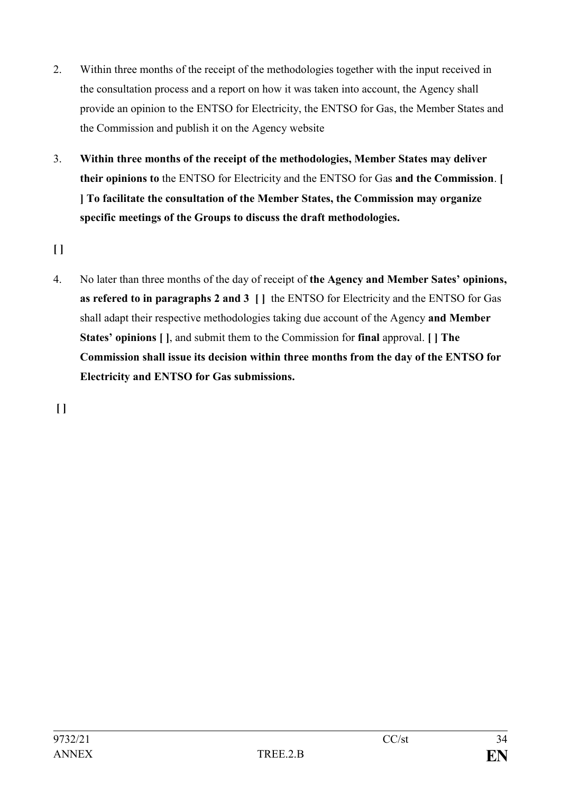- 2. Within three months of the receipt of the methodologies together with the input received in the consultation process and a report on how it was taken into account, the Agency shall provide an opinion to the ENTSO for Electricity, the ENTSO for Gas, the Member States and the Commission and publish it on the Agency website
- 3. **Within three months of the receipt of the methodologies, Member States may deliver their opinions to** the ENTSO for Electricity and the ENTSO for Gas **and the Commission**. **[ ] To facilitate the consultation of the Member States, the Commission may organize specific meetings of the Groups to discuss the draft methodologies.**

**[ ]**

4. No later than three months of the day of receipt of **the Agency and Member Sates' opinions, as refered to in paragraphs 2 and 3 [ ]** the ENTSO for Electricity and the ENTSO for Gas shall adapt their respective methodologies taking due account of the Agency **and Member States' opinions [ ]**, and submit them to the Commission for **final** approval. **[ ] The Commission shall issue its decision within three months from the day of the ENTSO for Electricity and ENTSO for Gas submissions.**

**[ ]**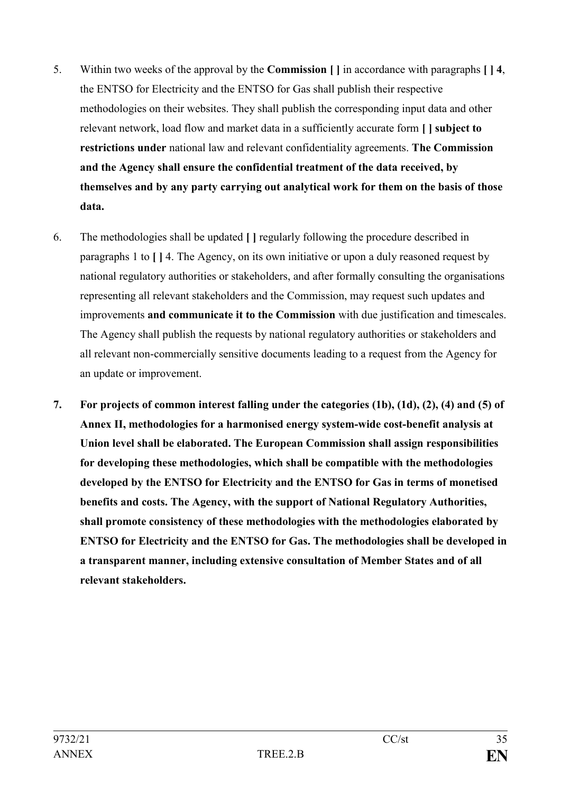- 5. Within two weeks of the approval by the **Commission [ ]** in accordance with paragraphs **[ ] 4**, the ENTSO for Electricity and the ENTSO for Gas shall publish their respective methodologies on their websites. They shall publish the corresponding input data and other relevant network, load flow and market data in a sufficiently accurate form **[ ] subject to restrictions under** national law and relevant confidentiality agreements. **The Commission and the Agency shall ensure the confidential treatment of the data received, by themselves and by any party carrying out analytical work for them on the basis of those data.**
- 6. The methodologies shall be updated **[ ]** regularly following the procedure described in paragraphs 1 to **[ ]** 4. The Agency, on its own initiative or upon a duly reasoned request by national regulatory authorities or stakeholders, and after formally consulting the organisations representing all relevant stakeholders and the Commission, may request such updates and improvements **and communicate it to the Commission** with due justification and timescales. The Agency shall publish the requests by national regulatory authorities or stakeholders and all relevant non-commercially sensitive documents leading to a request from the Agency for an update or improvement.
- **7. For projects of common interest falling under the categories (1b), (1d), (2), (4) and (5) of Annex II, methodologies for a harmonised energy system-wide cost-benefit analysis at Union level shall be elaborated. The European Commission shall assign responsibilities for developing these methodologies, which shall be compatible with the methodologies developed by the ENTSO for Electricity and the ENTSO for Gas in terms of monetised benefits and costs. The Agency, with the support of National Regulatory Authorities, shall promote consistency of these methodologies with the methodologies elaborated by ENTSO for Electricity and the ENTSO for Gas. The methodologies shall be developed in a transparent manner, including extensive consultation of Member States and of all relevant stakeholders.**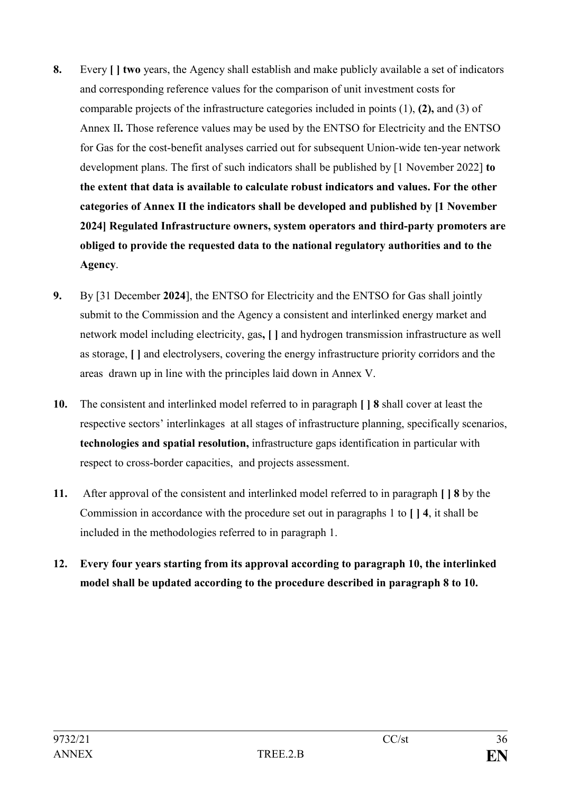- **8.** Every **[ ] two** years, the Agency shall establish and make publicly available a set of indicators and corresponding reference values for the comparison of unit investment costs for comparable projects of the infrastructure categories included in points (1), **(2),** and (3) of Annex II**.** Those reference values may be used by the ENTSO for Electricity and the ENTSO for Gas for the cost-benefit analyses carried out for subsequent Union-wide ten-year network development plans. The first of such indicators shall be published by [1 November 2022] **to the extent that data is available to calculate robust indicators and values. For the other categories of Annex II the indicators shall be developed and published by [1 November 2024] Regulated Infrastructure owners, system operators and third-party promoters are obliged to provide the requested data to the national regulatory authorities and to the Agency**.
- **9.** By [31 December **2024**], the ENTSO for Electricity and the ENTSO for Gas shall jointly submit to the Commission and the Agency a consistent and interlinked energy market and network model including electricity, gas**, [ ]** and hydrogen transmission infrastructure as well as storage, **[ ]** and electrolysers, covering the energy infrastructure priority corridors and the areas drawn up in line with the principles laid down in Annex V.
- **10.** The consistent and interlinked model referred to in paragraph **[ ] 8** shall cover at least the respective sectors' interlinkages at all stages of infrastructure planning, specifically scenarios, **technologies and spatial resolution,** infrastructure gaps identification in particular with respect to cross-border capacities, and projects assessment.
- **11.** After approval of the consistent and interlinked model referred to in paragraph **[ ] 8** by the Commission in accordance with the procedure set out in paragraphs 1 to **[ ] 4**, it shall be included in the methodologies referred to in paragraph 1.
- **12. Every four years starting from its approval according to paragraph 10, the interlinked model shall be updated according to the procedure described in paragraph 8 to 10.**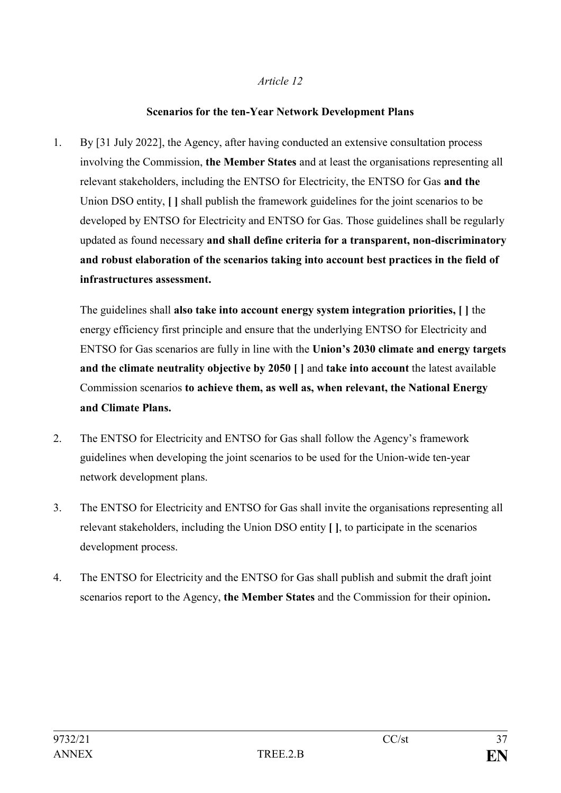#### **Scenarios for the ten-Year Network Development Plans**

1. By [31 July 2022], the Agency, after having conducted an extensive consultation process involving the Commission, **the Member States** and at least the organisations representing all relevant stakeholders, including the ENTSO for Electricity, the ENTSO for Gas **and the** Union DSO entity, **[ ]** shall publish the framework guidelines for the joint scenarios to be developed by ENTSO for Electricity and ENTSO for Gas. Those guidelines shall be regularly updated as found necessary **and shall define criteria for a transparent, non-discriminatory and robust elaboration of the scenarios taking into account best practices in the field of infrastructures assessment.**

The guidelines shall **also take into account energy system integration priorities, [ ]** the energy efficiency first principle and ensure that the underlying ENTSO for Electricity and ENTSO for Gas scenarios are fully in line with the **Union's 2030 climate and energy targets and the climate neutrality objective by 2050 [ ]** and **take into account** the latest available Commission scenarios **to achieve them, as well as, when relevant, the National Energy and Climate Plans.** 

- 2. The ENTSO for Electricity and ENTSO for Gas shall follow the Agency's framework guidelines when developing the joint scenarios to be used for the Union-wide ten-year network development plans.
- 3. The ENTSO for Electricity and ENTSO for Gas shall invite the organisations representing all relevant stakeholders, including the Union DSO entity **[ ]**, to participate in the scenarios development process.
- 4. The ENTSO for Electricity and the ENTSO for Gas shall publish and submit the draft joint scenarios report to the Agency, **the Member States** and the Commission for their opinion**.**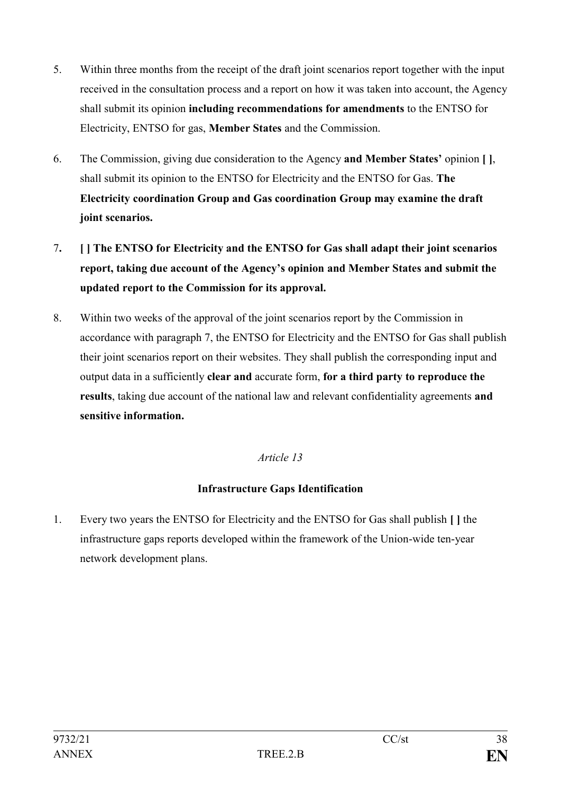- 5. Within three months from the receipt of the draft joint scenarios report together with the input received in the consultation process and a report on how it was taken into account, the Agency shall submit its opinion **including recommendations for amendments** to the ENTSO for Electricity, ENTSO for gas, **Member States** and the Commission.
- 6. The Commission, giving due consideration to the Agency **and Member States'** opinion **[ ]**, shall submit its opinion to the ENTSO for Electricity and the ENTSO for Gas. **The Electricity coordination Group and Gas coordination Group may examine the draft joint scenarios.**
- 7**. [ ] The ENTSO for Electricity and the ENTSO for Gas shall adapt their joint scenarios report, taking due account of the Agency's opinion and Member States and submit the updated report to the Commission for its approval.**
- 8. Within two weeks of the approval of the joint scenarios report by the Commission in accordance with paragraph 7, the ENTSO for Electricity and the ENTSO for Gas shall publish their joint scenarios report on their websites. They shall publish the corresponding input and output data in a sufficiently **clear and** accurate form, **for a third party to reproduce the results**, taking due account of the national law and relevant confidentiality agreements **and sensitive information.**

# **Infrastructure Gaps Identification**

1. Every two years the ENTSO for Electricity and the ENTSO for Gas shall publish **[ ]** the infrastructure gaps reports developed within the framework of the Union-wide ten-year network development plans.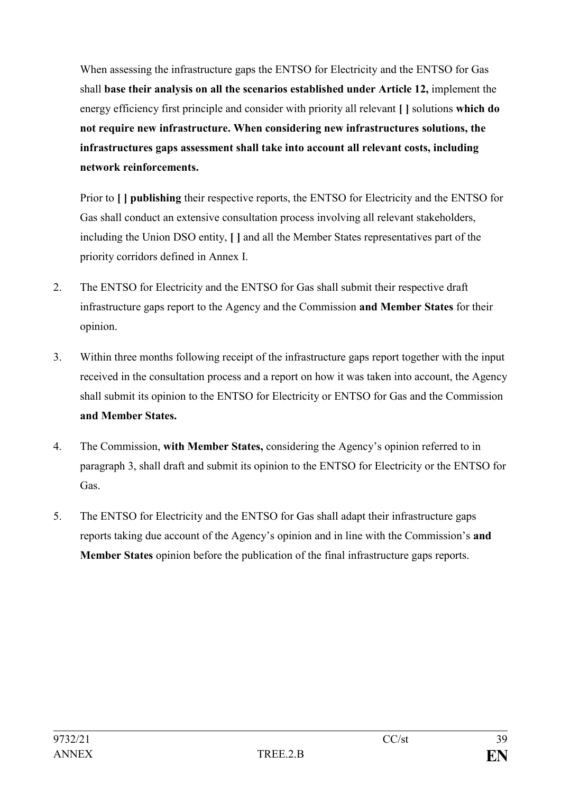When assessing the infrastructure gaps the ENTSO for Electricity and the ENTSO for Gas shall **base their analysis on all the scenarios established under Article 12,** implement the energy efficiency first principle and consider with priority all relevant **[ ]** solutions **which do not require new infrastructure. When considering new infrastructures solutions, the infrastructures gaps assessment shall take into account all relevant costs, including network reinforcements.**

Prior to **[ ] publishing** their respective reports, the ENTSO for Electricity and the ENTSO for Gas shall conduct an extensive consultation process involving all relevant stakeholders, including the Union DSO entity, **[ ]** and all the Member States representatives part of the priority corridors defined in Annex I.

- 2. The ENTSO for Electricity and the ENTSO for Gas shall submit their respective draft infrastructure gaps report to the Agency and the Commission **and Member States** for their opinion.
- 3. Within three months following receipt of the infrastructure gaps report together with the input received in the consultation process and a report on how it was taken into account, the Agency shall submit its opinion to the ENTSO for Electricity or ENTSO for Gas and the Commission **and Member States.**
- 4. The Commission, **with Member States,** considering the Agency's opinion referred to in paragraph 3, shall draft and submit its opinion to the ENTSO for Electricity or the ENTSO for Gas.
- 5. The ENTSO for Electricity and the ENTSO for Gas shall adapt their infrastructure gaps reports taking due account of the Agency's opinion and in line with the Commission's **and Member States** opinion before the publication of the final infrastructure gaps reports.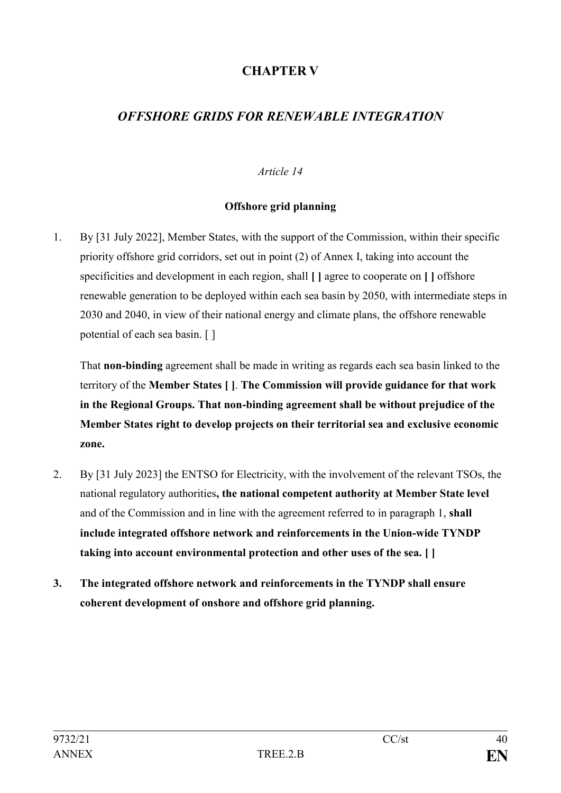# **CHAPTER V**

# *OFFSHORE GRIDS FOR RENEWABLE INTEGRATION*

### *Article 14*

### **Offshore grid planning**

1. By [31 July 2022], Member States, with the support of the Commission, within their specific priority offshore grid corridors, set out in point (2) of Annex I, taking into account the specificities and development in each region, shall **[ ]** agree to cooperate on **[ ]** offshore renewable generation to be deployed within each sea basin by 2050, with intermediate steps in 2030 and 2040, in view of their national energy and climate plans, the offshore renewable potential of each sea basin. [ ]

That **non-binding** agreement shall be made in writing as regards each sea basin linked to the territory of the **Member States [ ]**. **The Commission will provide guidance for that work in the Regional Groups. That non-binding agreement shall be without prejudice of the Member States right to develop projects on their territorial sea and exclusive economic zone.**

- 2. By [31 July 2023] the ENTSO for Electricity, with the involvement of the relevant TSOs, the national regulatory authorities**, the national competent authority at Member State level** and of the Commission and in line with the agreement referred to in paragraph 1, **shall include integrated offshore network and reinforcements in the Union-wide TYNDP taking into account environmental protection and other uses of the sea. [ ]**
- **3. The integrated offshore network and reinforcements in the TYNDP shall ensure coherent development of onshore and offshore grid planning.**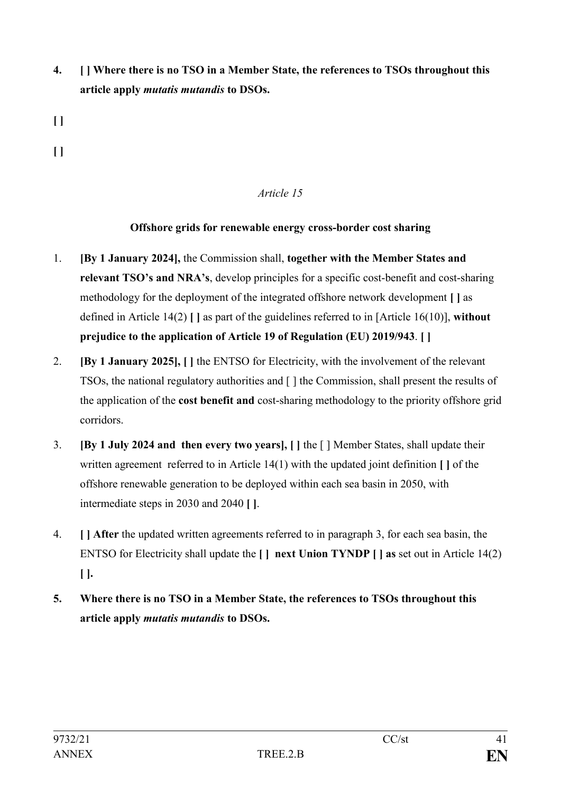- **4. [ ] Where there is no TSO in a Member State, the references to TSOs throughout this article apply** *mutatis mutandis* **to DSOs.**
- **[ ]**
- **[ ]**

### **Offshore grids for renewable energy cross-border cost sharing**

- 1. **[By 1 January 2024],** the Commission shall, **together with the Member States and relevant TSO's and NRA's**, develop principles for a specific cost-benefit and cost-sharing methodology for the deployment of the integrated offshore network development **[ ]** as defined in Article 14(2) **[ ]** as part of the guidelines referred to in [Article 16(10)], **without prejudice to the application of Article 19 of Regulation (EU) 2019/943**. **[ ]**
- 2. **[By 1 January 2025], [ ]** the ENTSO for Electricity, with the involvement of the relevant TSOs, the national regulatory authorities and [ ] the Commission, shall present the results of the application of the **cost benefit and** cost-sharing methodology to the priority offshore grid corridors.
- 3. **[By 1 July 2024 and then every two years], [ ]** the [ ] Member States, shall update their written agreement referred to in Article 14(1) with the updated joint definition **[ ]** of the offshore renewable generation to be deployed within each sea basin in 2050, with intermediate steps in 2030 and 2040 **[ ]**.
- 4. **[ ] After** the updated written agreements referred to in paragraph 3, for each sea basin, the ENTSO for Electricity shall update the **[ ] next Union TYNDP [ ] as** set out in Article 14(2) **[ ].**
- **5. Where there is no TSO in a Member State, the references to TSOs throughout this article apply** *mutatis mutandis* **to DSOs.**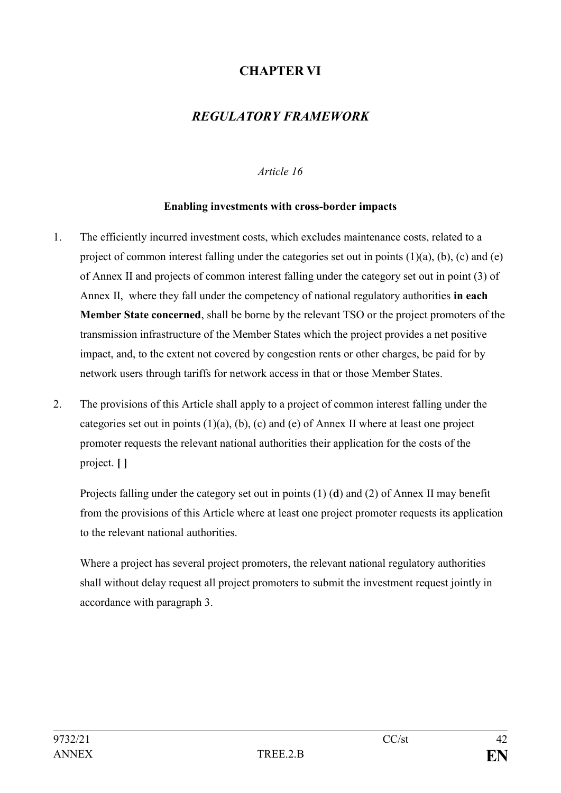# **CHAPTER VI**

# *REGULATORY FRAMEWORK*

### *Article 16*

### **Enabling investments with cross-border impacts**

- 1. The efficiently incurred investment costs, which excludes maintenance costs, related to a project of common interest falling under the categories set out in points  $(1)(a)$ ,  $(b)$ ,  $(c)$  and  $(e)$ of Annex II and projects of common interest falling under the category set out in point (3) of Annex II, where they fall under the competency of national regulatory authorities **in each Member State concerned**, shall be borne by the relevant TSO or the project promoters of the transmission infrastructure of the Member States which the project provides a net positive impact, and, to the extent not covered by congestion rents or other charges, be paid for by network users through tariffs for network access in that or those Member States.
- 2. The provisions of this Article shall apply to a project of common interest falling under the categories set out in points  $(1)(a)$ ,  $(b)$ ,  $(c)$  and  $(e)$  of Annex II where at least one project promoter requests the relevant national authorities their application for the costs of the project. **[ ]**

Projects falling under the category set out in points (1) (**d**) and (2) of Annex II may benefit from the provisions of this Article where at least one project promoter requests its application to the relevant national authorities.

Where a project has several project promoters, the relevant national regulatory authorities shall without delay request all project promoters to submit the investment request jointly in accordance with paragraph 3.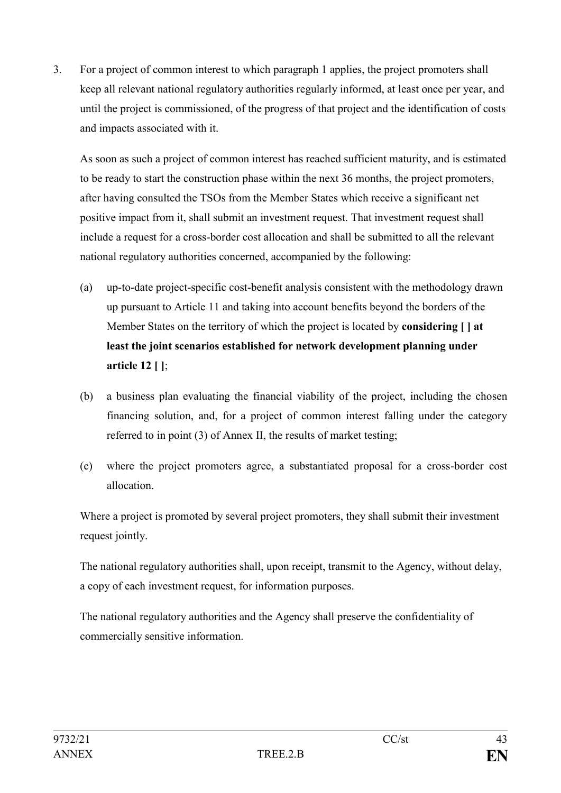3. For a project of common interest to which paragraph 1 applies, the project promoters shall keep all relevant national regulatory authorities regularly informed, at least once per year, and until the project is commissioned, of the progress of that project and the identification of costs and impacts associated with it.

As soon as such a project of common interest has reached sufficient maturity, and is estimated to be ready to start the construction phase within the next 36 months, the project promoters, after having consulted the TSOs from the Member States which receive a significant net positive impact from it, shall submit an investment request. That investment request shall include a request for a cross-border cost allocation and shall be submitted to all the relevant national regulatory authorities concerned, accompanied by the following:

- (a) up-to-date project-specific cost-benefit analysis consistent with the methodology drawn up pursuant to Article 11 and taking into account benefits beyond the borders of the Member States on the territory of which the project is located by **considering [ ] at least the joint scenarios established for network development planning under article 12 [ ]**;
- (b) a business plan evaluating the financial viability of the project, including the chosen financing solution, and, for a project of common interest falling under the category referred to in point (3) of Annex II, the results of market testing;
- (c) where the project promoters agree, a substantiated proposal for a cross-border cost allocation.

Where a project is promoted by several project promoters, they shall submit their investment request jointly.

The national regulatory authorities shall, upon receipt, transmit to the Agency, without delay, a copy of each investment request, for information purposes.

The national regulatory authorities and the Agency shall preserve the confidentiality of commercially sensitive information.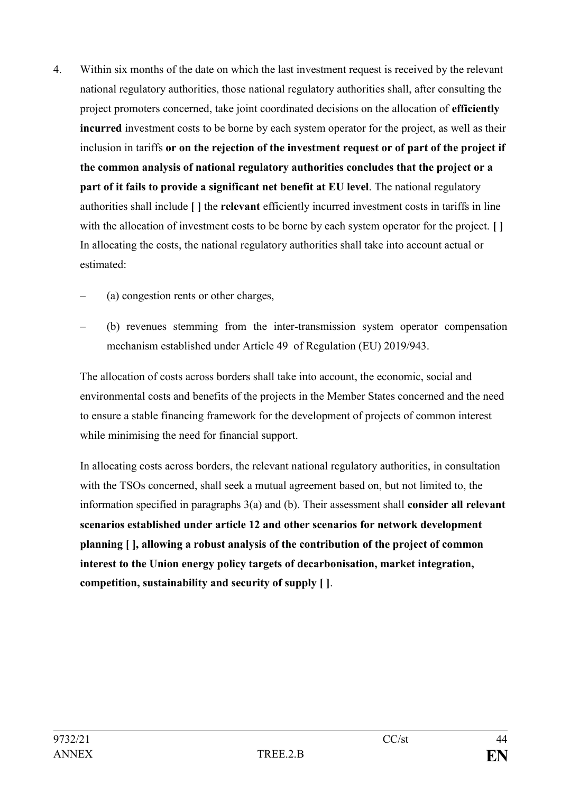- 4. Within six months of the date on which the last investment request is received by the relevant national regulatory authorities, those national regulatory authorities shall, after consulting the project promoters concerned, take joint coordinated decisions on the allocation of **efficiently incurred** investment costs to be borne by each system operator for the project, as well as their inclusion in tariffs **or on the rejection of the investment request or of part of the project if the common analysis of national regulatory authorities concludes that the project or a part of it fails to provide a significant net benefit at EU level**. The national regulatory authorities shall include **[ ]** the **relevant** efficiently incurred investment costs in tariffs in line with the allocation of investment costs to be borne by each system operator for the project. **[ ]** In allocating the costs, the national regulatory authorities shall take into account actual or estimated:
	- (a) congestion rents or other charges,
	- (b) revenues stemming from the inter-transmission system operator compensation mechanism established under Article 49 of Regulation (EU) 2019/943.

The allocation of costs across borders shall take into account, the economic, social and environmental costs and benefits of the projects in the Member States concerned and the need to ensure a stable financing framework for the development of projects of common interest while minimising the need for financial support.

In allocating costs across borders, the relevant national regulatory authorities, in consultation with the TSOs concerned, shall seek a mutual agreement based on, but not limited to, the information specified in paragraphs 3(a) and (b). Their assessment shall **consider all relevant scenarios established under article 12 and other scenarios for network development planning [ ], allowing a robust analysis of the contribution of the project of common interest to the Union energy policy targets of decarbonisation, market integration, competition, sustainability and security of supply [ ]**.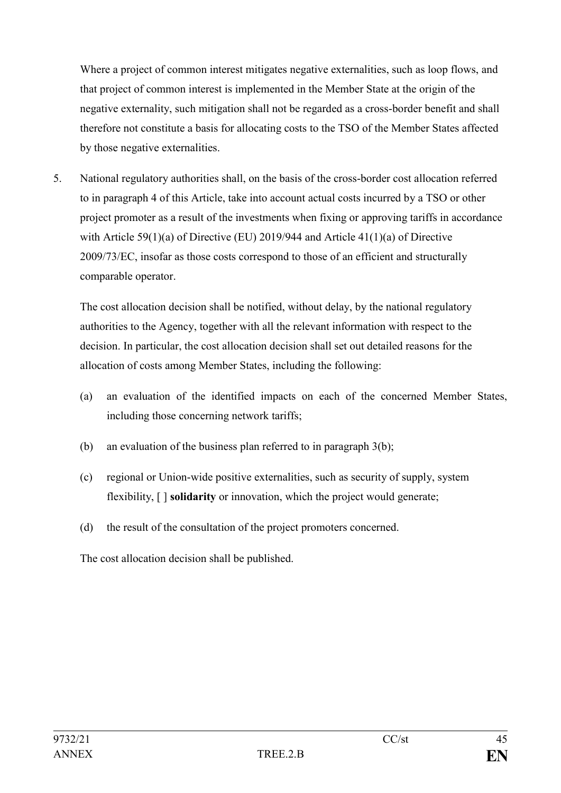Where a project of common interest mitigates negative externalities, such as loop flows, and that project of common interest is implemented in the Member State at the origin of the negative externality, such mitigation shall not be regarded as a cross-border benefit and shall therefore not constitute a basis for allocating costs to the TSO of the Member States affected by those negative externalities.

5. National regulatory authorities shall, on the basis of the cross-border cost allocation referred to in paragraph 4 of this Article, take into account actual costs incurred by a TSO or other project promoter as a result of the investments when fixing or approving tariffs in accordance with Article 59(1)(a) of Directive (EU) 2019/944 and Article 41(1)(a) of Directive 2009/73/EC, insofar as those costs correspond to those of an efficient and structurally comparable operator.

The cost allocation decision shall be notified, without delay, by the national regulatory authorities to the Agency, together with all the relevant information with respect to the decision. In particular, the cost allocation decision shall set out detailed reasons for the allocation of costs among Member States, including the following:

- (a) an evaluation of the identified impacts on each of the concerned Member States, including those concerning network tariffs;
- (b) an evaluation of the business plan referred to in paragraph 3(b);
- (c) regional or Union-wide positive externalities, such as security of supply, system flexibility, [ ] **solidarity** or innovation, which the project would generate;
- (d) the result of the consultation of the project promoters concerned.

The cost allocation decision shall be published.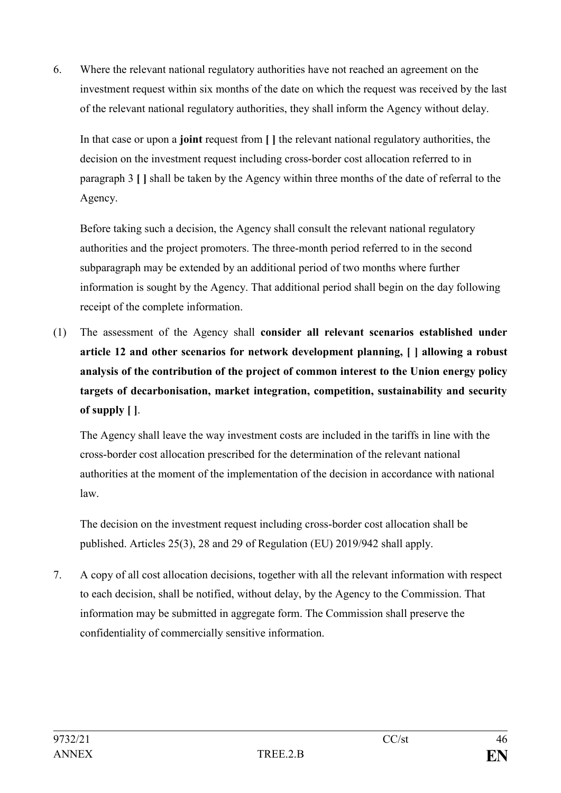6. Where the relevant national regulatory authorities have not reached an agreement on the investment request within six months of the date on which the request was received by the last of the relevant national regulatory authorities, they shall inform the Agency without delay.

In that case or upon a **joint** request from **[ ]** the relevant national regulatory authorities, the decision on the investment request including cross-border cost allocation referred to in paragraph 3 **[ ]** shall be taken by the Agency within three months of the date of referral to the Agency.

Before taking such a decision, the Agency shall consult the relevant national regulatory authorities and the project promoters. The three-month period referred to in the second subparagraph may be extended by an additional period of two months where further information is sought by the Agency. That additional period shall begin on the day following receipt of the complete information.

(1) The assessment of the Agency shall **consider all relevant scenarios established under article 12 and other scenarios for network development planning, [ ] allowing a robust analysis of the contribution of the project of common interest to the Union energy policy targets of decarbonisation, market integration, competition, sustainability and security of supply [ ]**.

The Agency shall leave the way investment costs are included in the tariffs in line with the cross-border cost allocation prescribed for the determination of the relevant national authorities at the moment of the implementation of the decision in accordance with national law.

The decision on the investment request including cross-border cost allocation shall be published. Articles 25(3), 28 and 29 of Regulation (EU) 2019/942 shall apply.

7. A copy of all cost allocation decisions, together with all the relevant information with respect to each decision, shall be notified, without delay, by the Agency to the Commission. That information may be submitted in aggregate form. The Commission shall preserve the confidentiality of commercially sensitive information.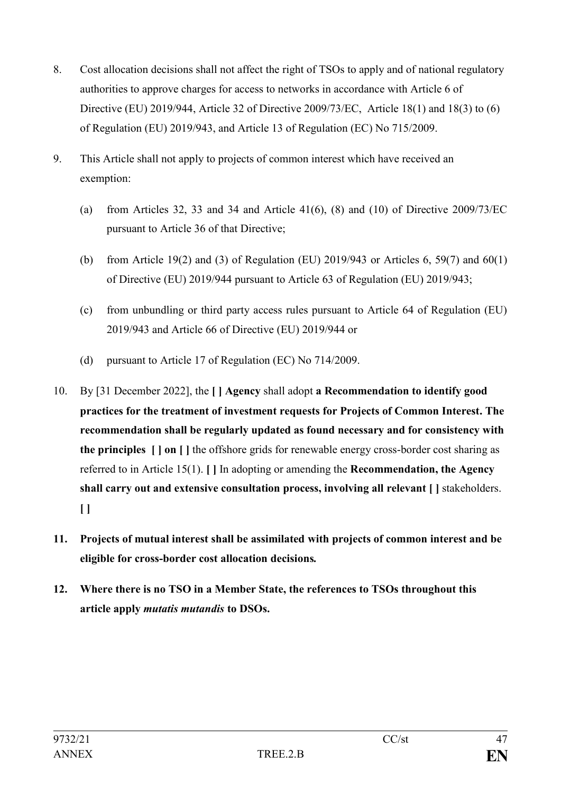- 8. Cost allocation decisions shall not affect the right of TSOs to apply and of national regulatory authorities to approve charges for access to networks in accordance with Article 6 of Directive (EU) 2019/944, Article 32 of Directive 2009/73/EC, Article 18(1) and 18(3) to (6) of Regulation (EU) 2019/943, and Article 13 of Regulation (EC) No 715/2009.
- 9. This Article shall not apply to projects of common interest which have received an exemption:
	- (a) from Articles 32, 33 and 34 and Article  $41(6)$ ,  $(8)$  and  $(10)$  of Directive 2009/73/EC pursuant to Article 36 of that Directive;
	- (b) from Article 19(2) and (3) of Regulation (EU) 2019/943 or Articles 6, 59(7) and 60(1) of Directive (EU) 2019/944 pursuant to Article 63 of Regulation (EU) 2019/943;
	- (c) from unbundling or third party access rules pursuant to Article 64 of Regulation (EU) 2019/943 and Article 66 of Directive (EU) 2019/944 or
	- (d) pursuant to Article 17 of Regulation (EC) No 714/2009.
- 10. By [31 December 2022], the **[ ] Agency** shall adopt **a Recommendation to identify good practices for the treatment of investment requests for Projects of Common Interest. The recommendation shall be regularly updated as found necessary and for consistency with the principles [ ] on [ ]** the offshore grids for renewable energy cross-border cost sharing as referred to in Article 15(1). **[ ]** In adopting or amending the **Recommendation, the Agency shall carry out and extensive consultation process, involving all relevant [ ]** stakeholders. **[ ]**
- **11. Projects of mutual interest shall be assimilated with projects of common interest and be eligible for cross-border cost allocation decisions***.*
- **12. Where there is no TSO in a Member State, the references to TSOs throughout this article apply** *mutatis mutandis* **to DSOs.**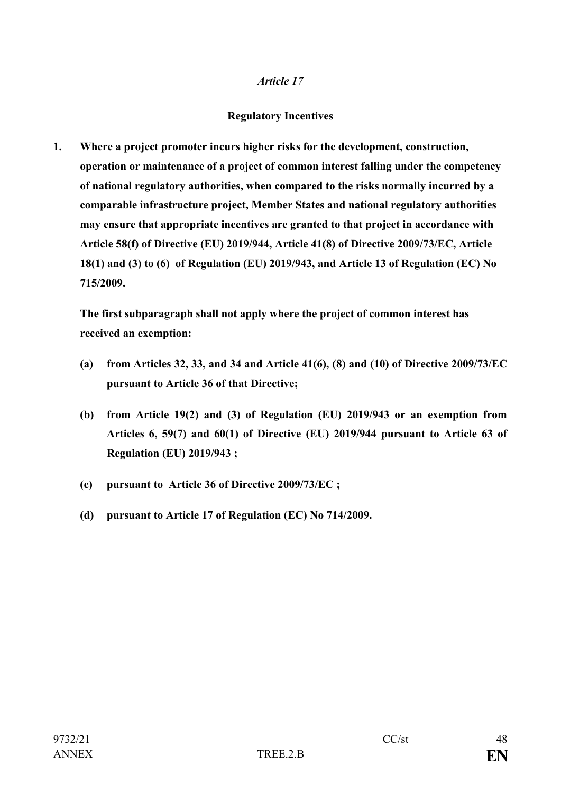### **Regulatory Incentives**

**1. Where a project promoter incurs higher risks for the development, construction, operation or maintenance of a project of common interest falling under the competency of national regulatory authorities, when compared to the risks normally incurred by a comparable infrastructure project, Member States and national regulatory authorities may ensure that appropriate incentives are granted to that project in accordance with Article 58(f) of Directive (EU) 2019/944, Article 41(8) of Directive 2009/73/EC, Article 18(1) and (3) to (6) of Regulation (EU) 2019/943, and Article 13 of Regulation (EC) No 715/2009.**

**The first subparagraph shall not apply where the project of common interest has received an exemption:**

- **(a) from Articles 32, 33, and 34 and Article 41(6), (8) and (10) of Directive 2009/73/EC pursuant to Article 36 of that Directive;**
- **(b) from Article 19(2) and (3) of Regulation (EU) 2019/943 or an exemption from Articles 6, 59(7) and 60(1) of Directive (EU) 2019/944 pursuant to Article 63 of Regulation (EU) 2019/943 ;**
- **(c) pursuant to Article 36 of Directive 2009/73/EC ;**
- **(d) pursuant to Article 17 of Regulation (EC) No 714/2009.**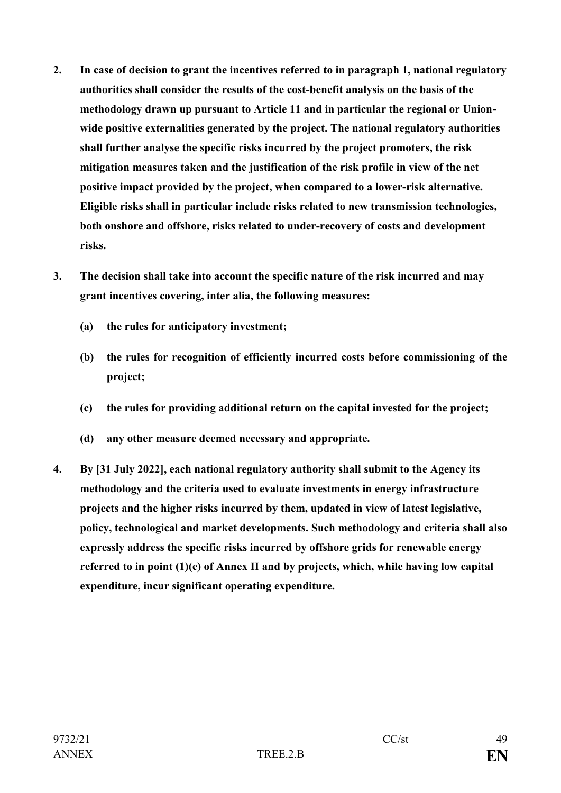- **2. In case of decision to grant the incentives referred to in paragraph 1, national regulatory authorities shall consider the results of the cost-benefit analysis on the basis of the methodology drawn up pursuant to Article 11 and in particular the regional or Unionwide positive externalities generated by the project. The national regulatory authorities shall further analyse the specific risks incurred by the project promoters, the risk mitigation measures taken and the justification of the risk profile in view of the net positive impact provided by the project, when compared to a lower-risk alternative. Eligible risks shall in particular include risks related to new transmission technologies, both onshore and offshore, risks related to under-recovery of costs and development risks.**
- **3. The decision shall take into account the specific nature of the risk incurred and may grant incentives covering, inter alia, the following measures:**
	- **(a) the rules for anticipatory investment;**
	- **(b) the rules for recognition of efficiently incurred costs before commissioning of the project;**
	- **(c) the rules for providing additional return on the capital invested for the project;**
	- **(d) any other measure deemed necessary and appropriate.**
- **4. By [31 July 2022], each national regulatory authority shall submit to the Agency its methodology and the criteria used to evaluate investments in energy infrastructure projects and the higher risks incurred by them, updated in view of latest legislative, policy, technological and market developments. Such methodology and criteria shall also expressly address the specific risks incurred by offshore grids for renewable energy referred to in point (1)(e) of Annex II and by projects, which, while having low capital expenditure, incur significant operating expenditure.**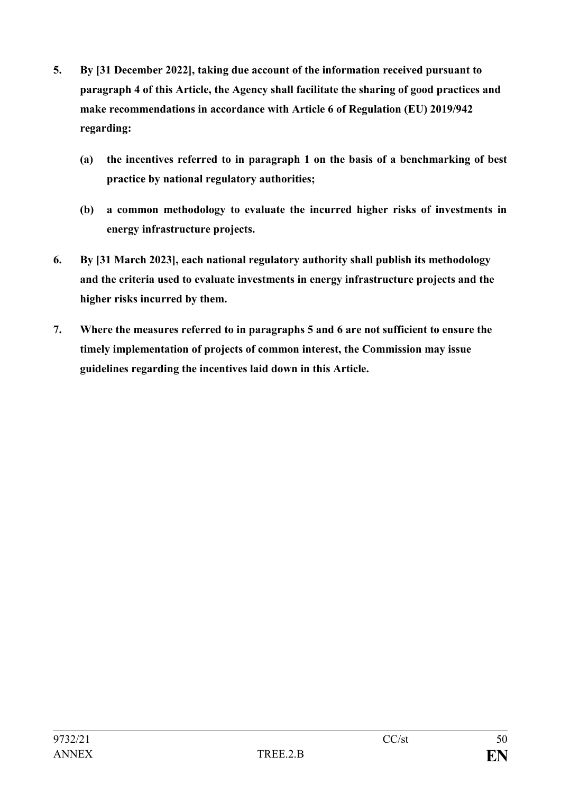- **5. By [31 December 2022], taking due account of the information received pursuant to paragraph 4 of this Article, the Agency shall facilitate the sharing of good practices and make recommendations in accordance with Article 6 of Regulation (EU) 2019/942 regarding:**
	- **(a) the incentives referred to in paragraph 1 on the basis of a benchmarking of best practice by national regulatory authorities;**
	- **(b) a common methodology to evaluate the incurred higher risks of investments in energy infrastructure projects.**
- **6. By [31 March 2023], each national regulatory authority shall publish its methodology and the criteria used to evaluate investments in energy infrastructure projects and the higher risks incurred by them.**
- **7. Where the measures referred to in paragraphs 5 and 6 are not sufficient to ensure the timely implementation of projects of common interest, the Commission may issue guidelines regarding the incentives laid down in this Article.**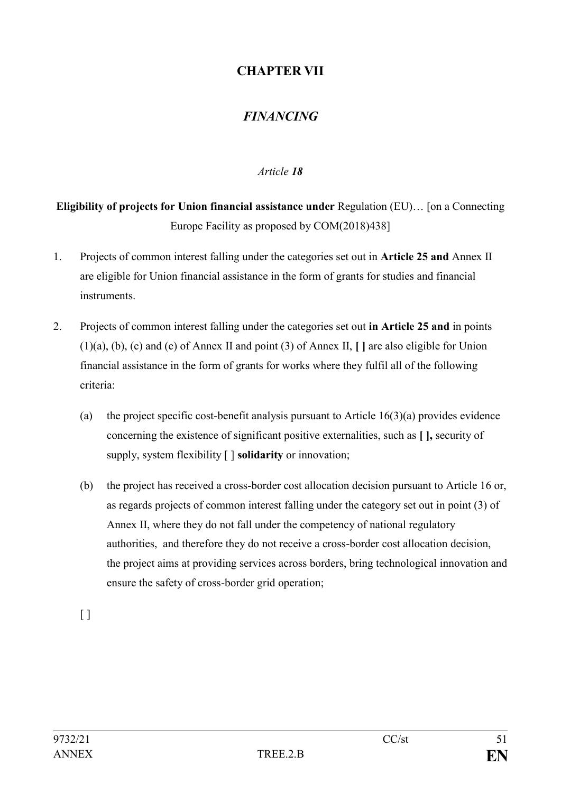# **CHAPTER VII**

# *FINANCING*

# *Article 18*

**Eligibility of projects for Union financial assistance under** Regulation (EU)… [on a Connecting Europe Facility as proposed by COM(2018)438]

- 1. Projects of common interest falling under the categories set out in **Article 25 and** Annex II are eligible for Union financial assistance in the form of grants for studies and financial instruments.
- 2. Projects of common interest falling under the categories set out **in Article 25 and** in points (1)(a), (b), (c) and (e) of Annex II and point (3) of Annex II, **[ ]** are also eligible for Union financial assistance in the form of grants for works where they fulfil all of the following criteria:
	- (a) the project specific cost-benefit analysis pursuant to Article  $16(3)(a)$  provides evidence concerning the existence of significant positive externalities, such as **[ ],** security of supply, system flexibility [ ] **solidarity** or innovation;
	- (b) the project has received a cross-border cost allocation decision pursuant to Article 16 or, as regards projects of common interest falling under the category set out in point (3) of Annex II, where they do not fall under the competency of national regulatory authorities, and therefore they do not receive a cross-border cost allocation decision, the project aims at providing services across borders, bring technological innovation and ensure the safety of cross-border grid operation;

 $\lceil$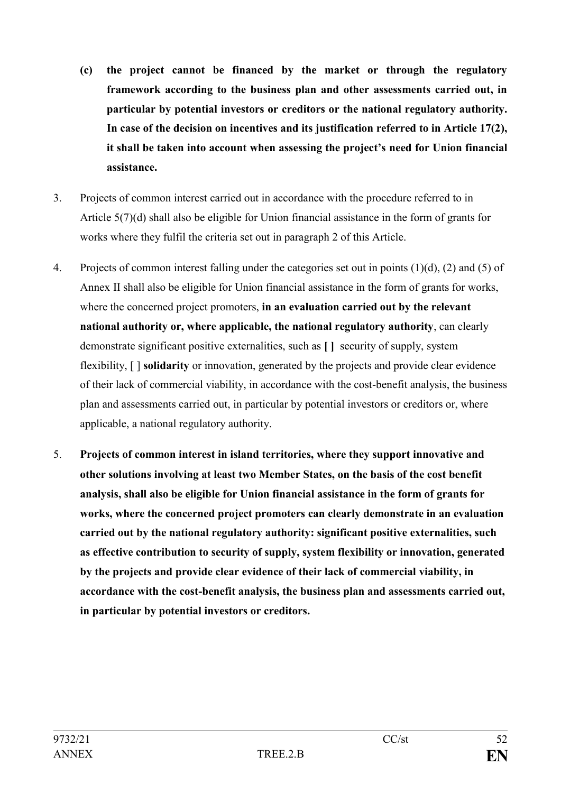- **(c) the project cannot be financed by the market or through the regulatory framework according to the business plan and other assessments carried out, in particular by potential investors or creditors or the national regulatory authority. In case of the decision on incentives and its justification referred to in Article 17(2), it shall be taken into account when assessing the project's need for Union financial assistance.**
- 3. Projects of common interest carried out in accordance with the procedure referred to in Article 5(7)(d) shall also be eligible for Union financial assistance in the form of grants for works where they fulfil the criteria set out in paragraph 2 of this Article.
- 4. Projects of common interest falling under the categories set out in points (1)(d), (2) and (5) of Annex II shall also be eligible for Union financial assistance in the form of grants for works, where the concerned project promoters, **in an evaluation carried out by the relevant national authority or, where applicable, the national regulatory authority**, can clearly demonstrate significant positive externalities, such as **[ ]** security of supply, system flexibility, [ ] **solidarity** or innovation, generated by the projects and provide clear evidence of their lack of commercial viability, in accordance with the cost-benefit analysis, the business plan and assessments carried out, in particular by potential investors or creditors or, where applicable, a national regulatory authority.
- 5. **Projects of common interest in island territories, where they support innovative and other solutions involving at least two Member States, on the basis of the cost benefit analysis, shall also be eligible for Union financial assistance in the form of grants for works, where the concerned project promoters can clearly demonstrate in an evaluation carried out by the national regulatory authority: significant positive externalities, such as effective contribution to security of supply, system flexibility or innovation, generated by the projects and provide clear evidence of their lack of commercial viability, in accordance with the cost-benefit analysis, the business plan and assessments carried out, in particular by potential investors or creditors.**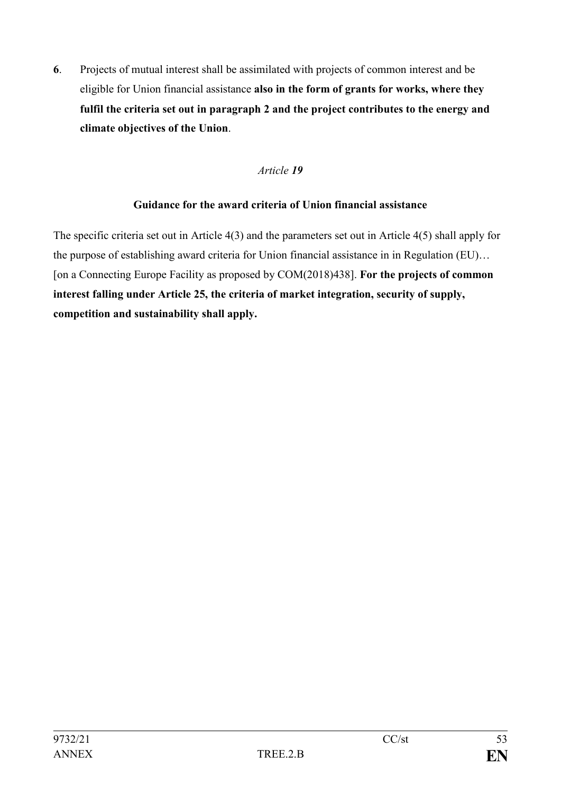**6**. Projects of mutual interest shall be assimilated with projects of common interest and be eligible for Union financial assistance **also in the form of grants for works, where they fulfil the criteria set out in paragraph 2 and the project contributes to the energy and climate objectives of the Union**.

### *Article 19*

### **Guidance for the award criteria of Union financial assistance**

The specific criteria set out in Article 4(3) and the parameters set out in Article 4(5) shall apply for the purpose of establishing award criteria for Union financial assistance in in Regulation (EU)… [on a Connecting Europe Facility as proposed by COM(2018)438]. **For the projects of common interest falling under Article 25, the criteria of market integration, security of supply, competition and sustainability shall apply.**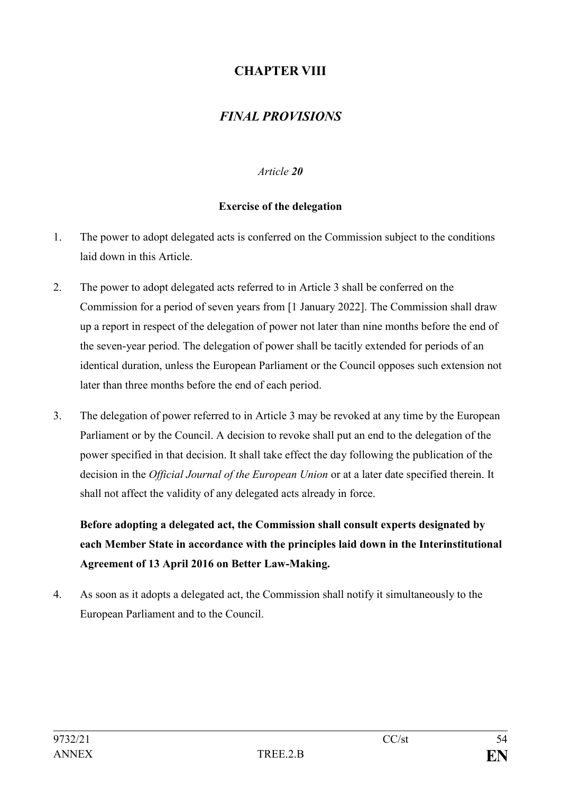# **CHAPTER VIII**

# *FINAL PROVISIONS*

### *Article 20*

### **Exercise of the delegation**

- 1. The power to adopt delegated acts is conferred on the Commission subject to the conditions laid down in this Article.
- 2. The power to adopt delegated acts referred to in Article 3 shall be conferred on the Commission for a period of seven years from [1 January 2022]. The Commission shall draw up a report in respect of the delegation of power not later than nine months before the end of the seven-year period. The delegation of power shall be tacitly extended for periods of an identical duration, unless the European Parliament or the Council opposes such extension not later than three months before the end of each period.
- 3. The delegation of power referred to in Article 3 may be revoked at any time by the European Parliament or by the Council. A decision to revoke shall put an end to the delegation of the power specified in that decision. It shall take effect the day following the publication of the decision in the *Official Journal of the European Union* or at a later date specified therein. It shall not affect the validity of any delegated acts already in force.

**Before adopting a delegated act, the Commission shall consult experts designated by each Member State in accordance with the principles laid down in the Interinstitutional Agreement of 13 April 2016 on Better Law-Making.**

4. As soon as it adopts a delegated act, the Commission shall notify it simultaneously to the European Parliament and to the Council.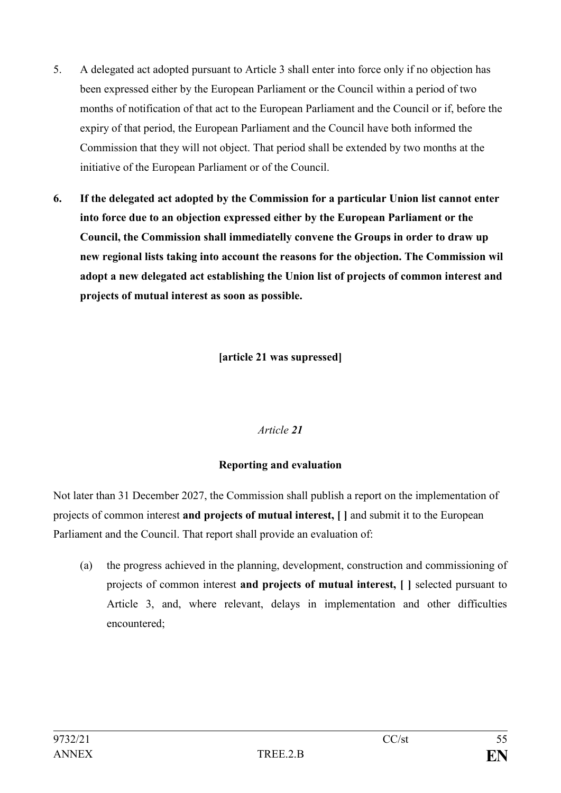- 5. A delegated act adopted pursuant to Article 3 shall enter into force only if no objection has been expressed either by the European Parliament or the Council within a period of two months of notification of that act to the European Parliament and the Council or if, before the expiry of that period, the European Parliament and the Council have both informed the Commission that they will not object. That period shall be extended by two months at the initiative of the European Parliament or of the Council.
- **6. If the delegated act adopted by the Commission for a particular Union list cannot enter into force due to an objection expressed either by the European Parliament or the Council, the Commission shall immediatelly convene the Groups in order to draw up new regional lists taking into account the reasons for the objection. The Commission wil adopt a new delegated act establishing the Union list of projects of common interest and projects of mutual interest as soon as possible.**

**[article 21 was supressed]**

# *Article 21*

### **Reporting and evaluation**

Not later than 31 December 2027, the Commission shall publish a report on the implementation of projects of common interest **and projects of mutual interest, [ ]** and submit it to the European Parliament and the Council. That report shall provide an evaluation of:

(a) the progress achieved in the planning, development, construction and commissioning of projects of common interest **and projects of mutual interest, [ ]** selected pursuant to Article 3, and, where relevant, delays in implementation and other difficulties encountered;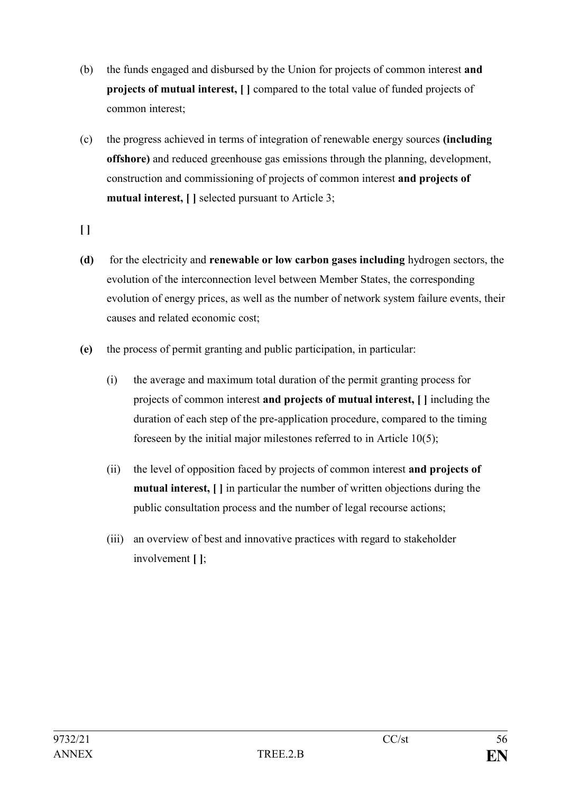- (b) the funds engaged and disbursed by the Union for projects of common interest **and projects of mutual interest, [ ]** compared to the total value of funded projects of common interest;
- (c) the progress achieved in terms of integration of renewable energy sources **(including offshore)** and reduced greenhouse gas emissions through the planning, development, construction and commissioning of projects of common interest **and projects of mutual interest, [ ]** selected pursuant to Article 3;
- **[ ]**
- **(d)** for the electricity and **renewable or low carbon gases including** hydrogen sectors, the evolution of the interconnection level between Member States, the corresponding evolution of energy prices, as well as the number of network system failure events, their causes and related economic cost;
- **(e)** the process of permit granting and public participation, in particular:
	- (i) the average and maximum total duration of the permit granting process for projects of common interest **and projects of mutual interest, [ ]** including the duration of each step of the pre-application procedure, compared to the timing foreseen by the initial major milestones referred to in Article 10(5);
	- (ii) the level of opposition faced by projects of common interest **and projects of mutual interest, [ ]** in particular the number of written objections during the public consultation process and the number of legal recourse actions;
	- (iii) an overview of best and innovative practices with regard to stakeholder involvement **[ ]**;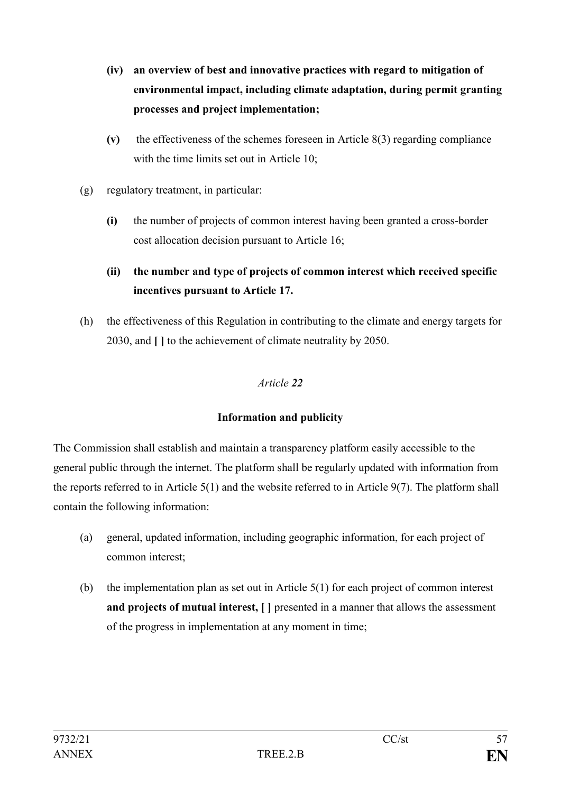- **(iv) an overview of best and innovative practices with regard to mitigation of environmental impact, including climate adaptation, during permit granting processes and project implementation;**
- **(v)** the effectiveness of the schemes foreseen in Article 8(3) regarding compliance with the time limits set out in Article 10;
- (g) regulatory treatment, in particular:
	- **(i)** the number of projects of common interest having been granted a cross-border cost allocation decision pursuant to Article 16;

# **(ii) the number and type of projects of common interest which received specific incentives pursuant to Article 17.**

(h) the effectiveness of this Regulation in contributing to the climate and energy targets for 2030, and **[ ]** to the achievement of climate neutrality by 2050.

# *Article 22*

# **Information and publicity**

The Commission shall establish and maintain a transparency platform easily accessible to the general public through the internet. The platform shall be regularly updated with information from the reports referred to in Article 5(1) and the website referred to in Article 9(7). The platform shall contain the following information:

- (a) general, updated information, including geographic information, for each project of common interest;
- (b) the implementation plan as set out in Article 5(1) for each project of common interest **and projects of mutual interest, [ ]** presented in a manner that allows the assessment of the progress in implementation at any moment in time;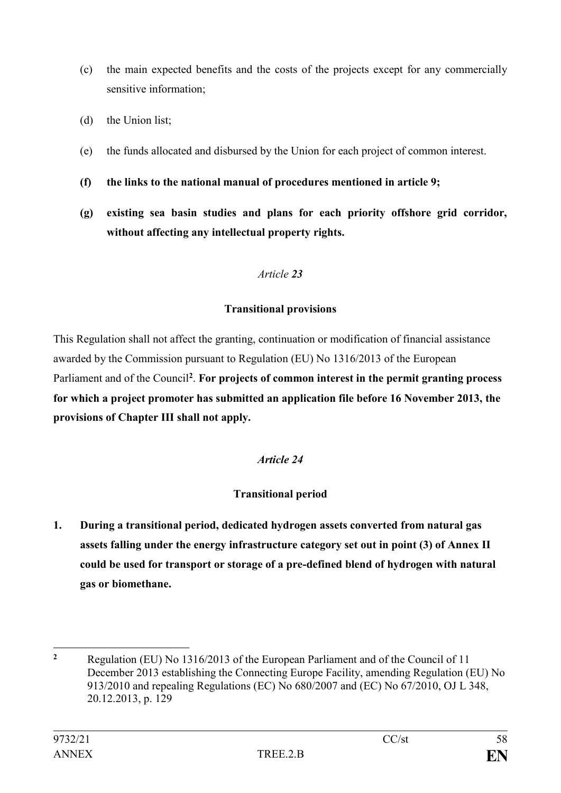- (c) the main expected benefits and the costs of the projects except for any commercially sensitive information;
- (d) the Union list;
- (e) the funds allocated and disbursed by the Union for each project of common interest.
- **(f) the links to the national manual of procedures mentioned in article 9;**
- **(g) existing sea basin studies and plans for each priority offshore grid corridor, without affecting any intellectual property rights.**

# **Transitional provisions**

This Regulation shall not affect the granting, continuation or modification of financial assistance awarded by the Commission pursuant to Regulation (EU) No 1316/2013 of the European Parliament and of the Council**<sup>2</sup>** . **For projects of common interest in the permit granting process for which a project promoter has submitted an application file before 16 November 2013, the provisions of Chapter III shall not apply.**

# *Article 24*

# **Transitional period**

**1. During a transitional period, dedicated hydrogen assets converted from natural gas assets falling under the energy infrastructure category set out in point (3) of Annex II could be used for transport or storage of a pre-defined blend of hydrogen with natural gas or biomethane.** 

<sup>1</sup> **<sup>2</sup>** Regulation (EU) No 1316/2013 of the European Parliament and of the Council of 11 December 2013 establishing the Connecting Europe Facility, amending Regulation (EU) No 913/2010 and repealing Regulations (EC) No 680/2007 and (EC) No 67/2010, OJ L 348, 20.12.2013, p. 129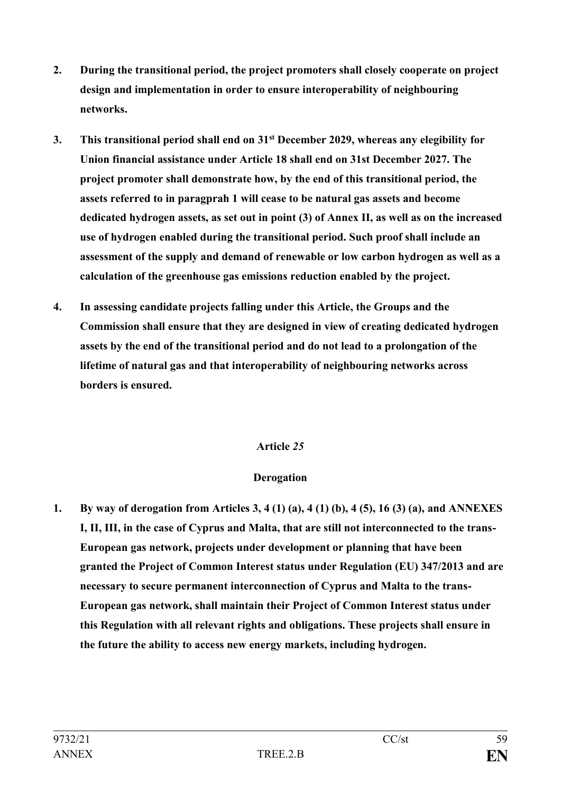- **2. During the transitional period, the project promoters shall closely cooperate on project design and implementation in order to ensure interoperability of neighbouring networks.**
- **3. This transitional period shall end on 31st December 2029, whereas any elegibility for Union financial assistance under Article 18 shall end on 31st December 2027. The project promoter shall demonstrate how, by the end of this transitional period, the assets referred to in paragprah 1 will cease to be natural gas assets and become dedicated hydrogen assets, as set out in point (3) of Annex II, as well as on the increased use of hydrogen enabled during the transitional period. Such proof shall include an assessment of the supply and demand of renewable or low carbon hydrogen as well as a calculation of the greenhouse gas emissions reduction enabled by the project.**
- **4. In assessing candidate projects falling under this Article, the Groups and the Commission shall ensure that they are designed in view of creating dedicated hydrogen assets by the end of the transitional period and do not lead to a prolongation of the lifetime of natural gas and that interoperability of neighbouring networks across borders is ensured.**

### **Derogation**

**1. By way of derogation from Articles 3, 4 (1) (a), 4 (1) (b), 4 (5), 16 (3) (a), and ANNEXES I, II, III, in the case of Cyprus and Malta, that are still not interconnected to the trans-European gas network, projects under development or planning that have been granted the Project of Common Interest status under Regulation (EU) 347/2013 and are necessary to secure permanent interconnection of Cyprus and Malta to the trans-European gas network, shall maintain their Project of Common Interest status under this Regulation with all relevant rights and obligations. These projects shall ensure in the future the ability to access new energy markets, including hydrogen.**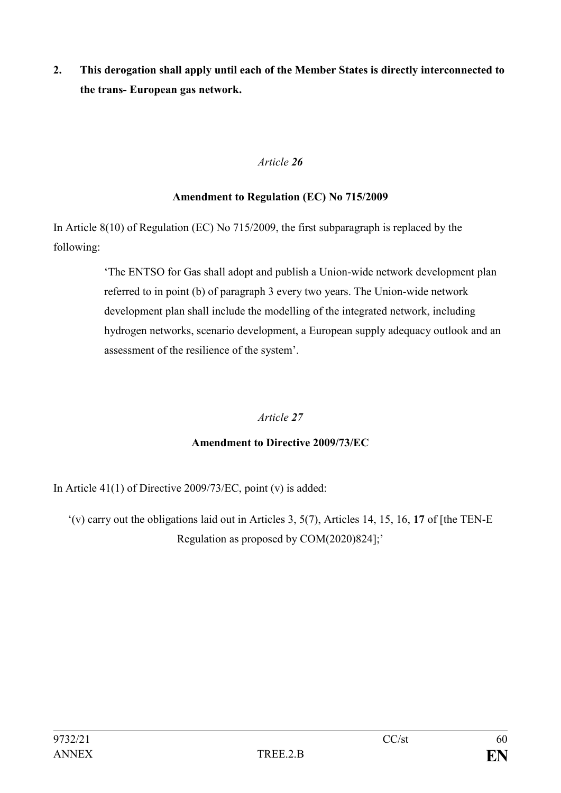**2. This derogation shall apply until each of the Member States is directly interconnected to the trans- European gas network.**

# *Article 26*

# **Amendment to Regulation (EC) No 715/2009**

In Article 8(10) of Regulation (EC) No 715/2009, the first subparagraph is replaced by the following:

> 'The ENTSO for Gas shall adopt and publish a Union-wide network development plan referred to in point (b) of paragraph 3 every two years. The Union-wide network development plan shall include the modelling of the integrated network, including hydrogen networks, scenario development, a European supply adequacy outlook and an assessment of the resilience of the system'.

# *Article 27*

# **Amendment to Directive 2009/73/EC**

In Article  $41(1)$  of Directive 2009/73/EC, point (v) is added:

'(v) carry out the obligations laid out in Articles 3, 5(7), Articles 14, 15, 16, **17** of [the TEN-E Regulation as proposed by COM(2020)824];'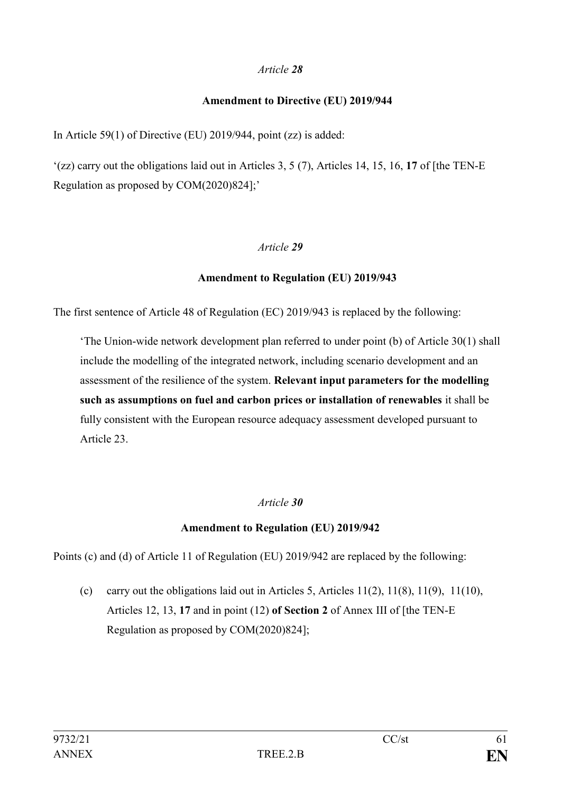### **Amendment to Directive (EU) 2019/944**

In Article 59(1) of Directive (EU) 2019/944, point (zz) is added:

'(zz) carry out the obligations laid out in Articles 3, 5 (7), Articles 14, 15, 16, **17** of [the TEN-E Regulation as proposed by COM(2020)824];'

# *Article 29*

### **Amendment to Regulation (EU) 2019/943**

The first sentence of Article 48 of Regulation (EC) 2019/943 is replaced by the following:

'The Union-wide network development plan referred to under point (b) of Article 30(1) shall include the modelling of the integrated network, including scenario development and an assessment of the resilience of the system. **Relevant input parameters for the modelling such as assumptions on fuel and carbon prices or installation of renewables** it shall be fully consistent with the European resource adequacy assessment developed pursuant to Article 23.

# *Article 30*

# **Amendment to Regulation (EU) 2019/942**

Points (c) and (d) of Article 11 of Regulation (EU) 2019/942 are replaced by the following:

(c) carry out the obligations laid out in Articles 5, Articles  $11(2)$ ,  $11(8)$ ,  $11(9)$ ,  $11(10)$ , Articles 12, 13, **17** and in point (12) **of Section 2** of Annex III of [the TEN-E Regulation as proposed by COM(2020)824];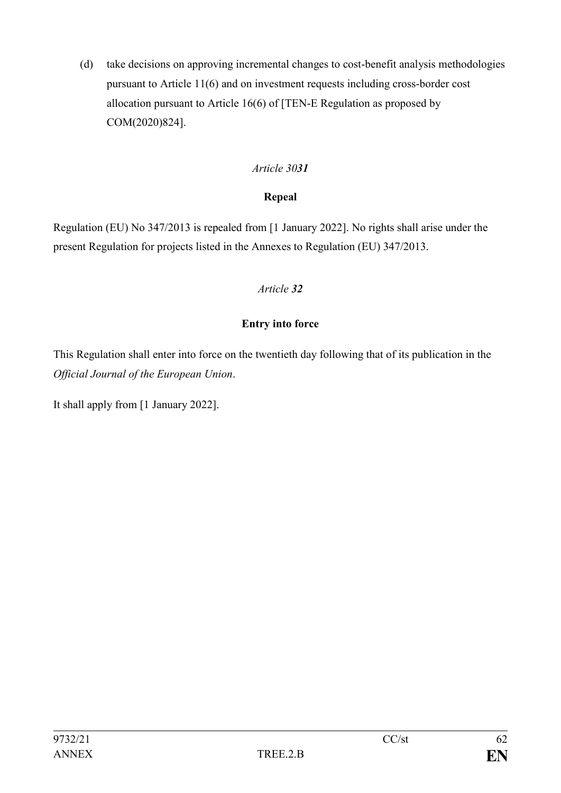(d) take decisions on approving incremental changes to cost-benefit analysis methodologies pursuant to Article 11(6) and on investment requests including cross-border cost allocation pursuant to Article 16(6) of [TEN-E Regulation as proposed by COM(2020)824].

# *Article 3031*

# **Repeal**

Regulation (EU) No 347/2013 is repealed from [1 January 2022]. No rights shall arise under the present Regulation for projects listed in the Annexes to Regulation (EU) 347/2013.

# *Article 32*

# **Entry into force**

This Regulation shall enter into force on the twentieth day following that of its publication in the *Official Journal of the European Union*.

It shall apply from [1 January 2022].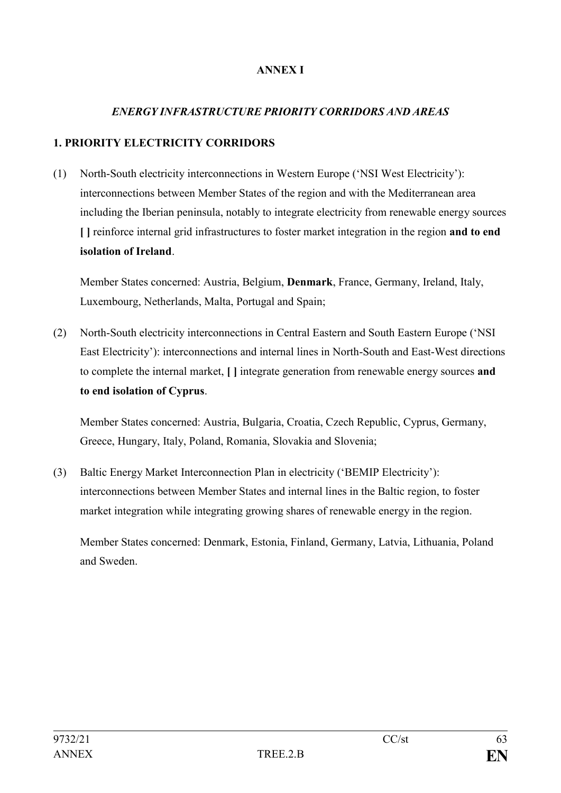# **ANNEX I**

### *ENERGY INFRASTRUCTURE PRIORITY CORRIDORS AND AREAS*

#### **1. PRIORITY ELECTRICITY CORRIDORS**

(1) North-South electricity interconnections in Western Europe ('NSI West Electricity'): interconnections between Member States of the region and with the Mediterranean area including the Iberian peninsula, notably to integrate electricity from renewable energy sources **[ ]** reinforce internal grid infrastructures to foster market integration in the region **and to end isolation of Ireland**.

Member States concerned: Austria, Belgium, **Denmark**, France, Germany, Ireland, Italy, Luxembourg, Netherlands, Malta, Portugal and Spain;

(2) North-South electricity interconnections in Central Eastern and South Eastern Europe ('NSI East Electricity'): interconnections and internal lines in North-South and East-West directions to complete the internal market, **[ ]** integrate generation from renewable energy sources **and to end isolation of Cyprus**.

Member States concerned: Austria, Bulgaria, Croatia, Czech Republic, Cyprus, Germany, Greece, Hungary, Italy, Poland, Romania, Slovakia and Slovenia;

(3) Baltic Energy Market Interconnection Plan in electricity ('BEMIP Electricity'): interconnections between Member States and internal lines in the Baltic region, to foster market integration while integrating growing shares of renewable energy in the region.

Member States concerned: Denmark, Estonia, Finland, Germany, Latvia, Lithuania, Poland and Sweden.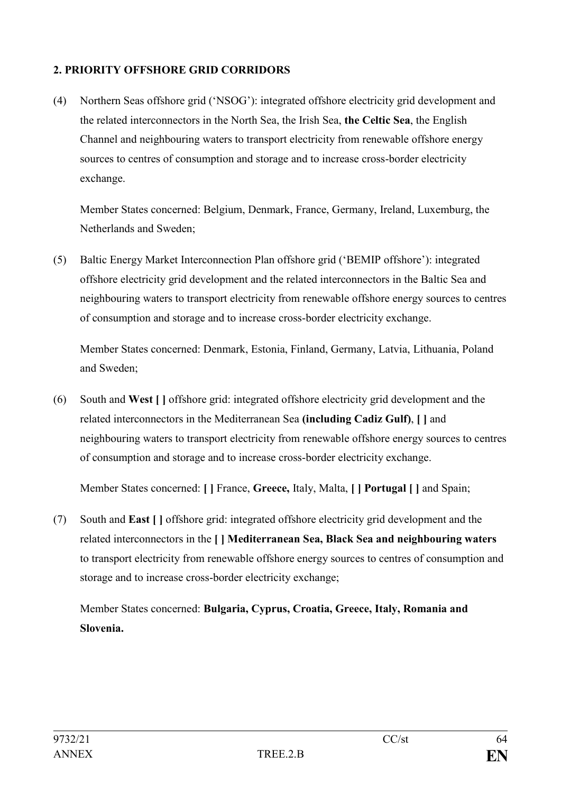# **2. PRIORITY OFFSHORE GRID CORRIDORS**

(4) Northern Seas offshore grid ('NSOG'): integrated offshore electricity grid development and the related interconnectors in the North Sea, the Irish Sea, **the Celtic Sea**, the English Channel and neighbouring waters to transport electricity from renewable offshore energy sources to centres of consumption and storage and to increase cross-border electricity exchange.

Member States concerned: Belgium, Denmark, France, Germany, Ireland, Luxemburg, the Netherlands and Sweden;

(5) Baltic Energy Market Interconnection Plan offshore grid ('BEMIP offshore'): integrated offshore electricity grid development and the related interconnectors in the Baltic Sea and neighbouring waters to transport electricity from renewable offshore energy sources to centres of consumption and storage and to increase cross-border electricity exchange.

Member States concerned: Denmark, Estonia, Finland, Germany, Latvia, Lithuania, Poland and Sweden;

(6) South and **West [ ]** offshore grid: integrated offshore electricity grid development and the related interconnectors in the Mediterranean Sea **(including Cadiz Gulf)**, **[ ]** and neighbouring waters to transport electricity from renewable offshore energy sources to centres of consumption and storage and to increase cross-border electricity exchange.

Member States concerned: **[ ]** France, **Greece,** Italy, Malta, **[ ] Portugal [ ]** and Spain;

(7) South and **East [ ]** offshore grid: integrated offshore electricity grid development and the related interconnectors in the **[ ] Mediterranean Sea, Black Sea and neighbouring waters** to transport electricity from renewable offshore energy sources to centres of consumption and storage and to increase cross-border electricity exchange;

Member States concerned: **Bulgaria, Cyprus, Croatia, Greece, Italy, Romania and Slovenia.**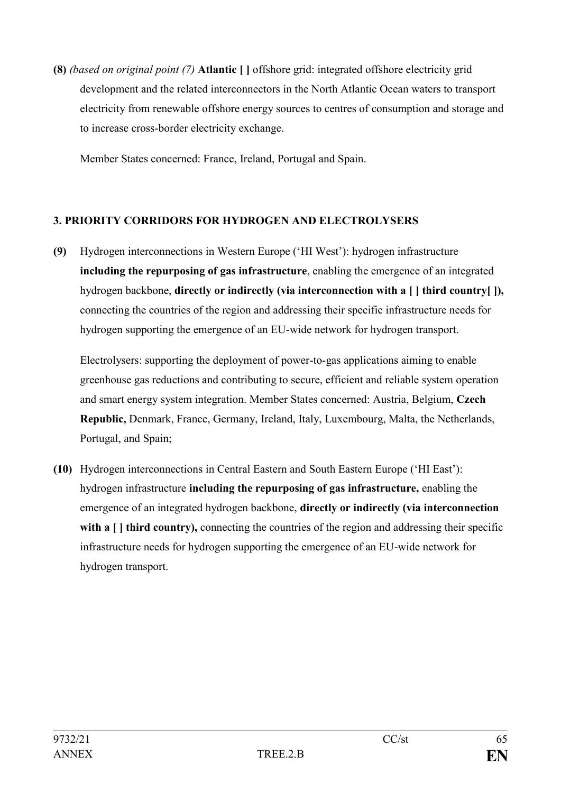**(8)** *(based on original point (7)* **Atlantic [ ]** offshore grid: integrated offshore electricity grid development and the related interconnectors in the North Atlantic Ocean waters to transport electricity from renewable offshore energy sources to centres of consumption and storage and to increase cross-border electricity exchange.

Member States concerned: France, Ireland, Portugal and Spain.

### **3. PRIORITY CORRIDORS FOR HYDROGEN AND ELECTROLYSERS**

**(9)** Hydrogen interconnections in Western Europe ('HI West'): hydrogen infrastructure **including the repurposing of gas infrastructure**, enabling the emergence of an integrated hydrogen backbone, **directly or indirectly (via interconnection with a** [ ] **third country** [ ], connecting the countries of the region and addressing their specific infrastructure needs for hydrogen supporting the emergence of an EU-wide network for hydrogen transport.

Electrolysers: supporting the deployment of power-to-gas applications aiming to enable greenhouse gas reductions and contributing to secure, efficient and reliable system operation and smart energy system integration. Member States concerned: Austria, Belgium, **Czech Republic,** Denmark, France, Germany, Ireland, Italy, Luxembourg, Malta, the Netherlands, Portugal, and Spain;

**(10)** Hydrogen interconnections in Central Eastern and South Eastern Europe ('HI East'): hydrogen infrastructure **including the repurposing of gas infrastructure,** enabling the emergence of an integrated hydrogen backbone, **directly or indirectly (via interconnection**  with a  $\Box$  third country), connecting the countries of the region and addressing their specific infrastructure needs for hydrogen supporting the emergence of an EU-wide network for hydrogen transport.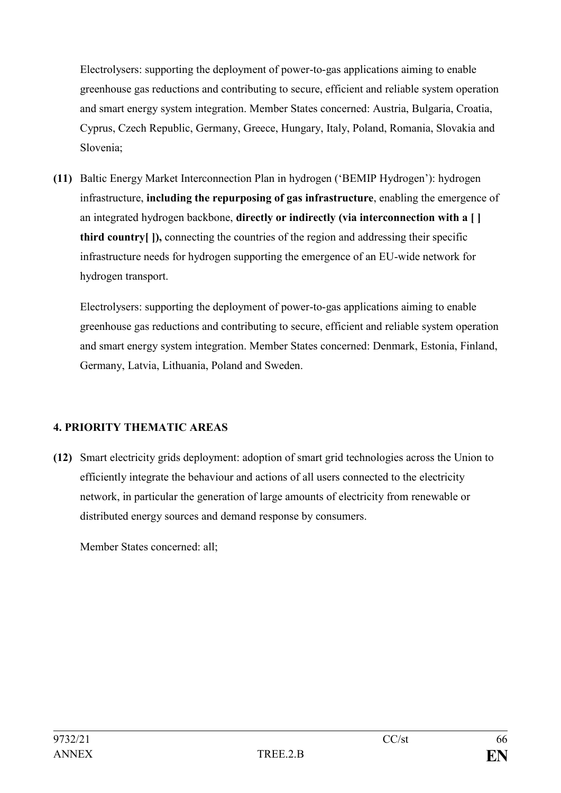Electrolysers: supporting the deployment of power-to-gas applications aiming to enable greenhouse gas reductions and contributing to secure, efficient and reliable system operation and smart energy system integration. Member States concerned: Austria, Bulgaria, Croatia, Cyprus, Czech Republic, Germany, Greece, Hungary, Italy, Poland, Romania, Slovakia and Slovenia;

**(11)** Baltic Energy Market Interconnection Plan in hydrogen ('BEMIP Hydrogen'): hydrogen infrastructure, **including the repurposing of gas infrastructure**, enabling the emergence of an integrated hydrogen backbone, **directly or indirectly (via interconnection with a [ ] third country[ ]),** connecting the countries of the region and addressing their specific infrastructure needs for hydrogen supporting the emergence of an EU-wide network for hydrogen transport.

Electrolysers: supporting the deployment of power-to-gas applications aiming to enable greenhouse gas reductions and contributing to secure, efficient and reliable system operation and smart energy system integration. Member States concerned: Denmark, Estonia, Finland, Germany, Latvia, Lithuania, Poland and Sweden.

# **4. PRIORITY THEMATIC AREAS**

**(12)** Smart electricity grids deployment: adoption of smart grid technologies across the Union to efficiently integrate the behaviour and actions of all users connected to the electricity network, in particular the generation of large amounts of electricity from renewable or distributed energy sources and demand response by consumers.

Member States concerned: all;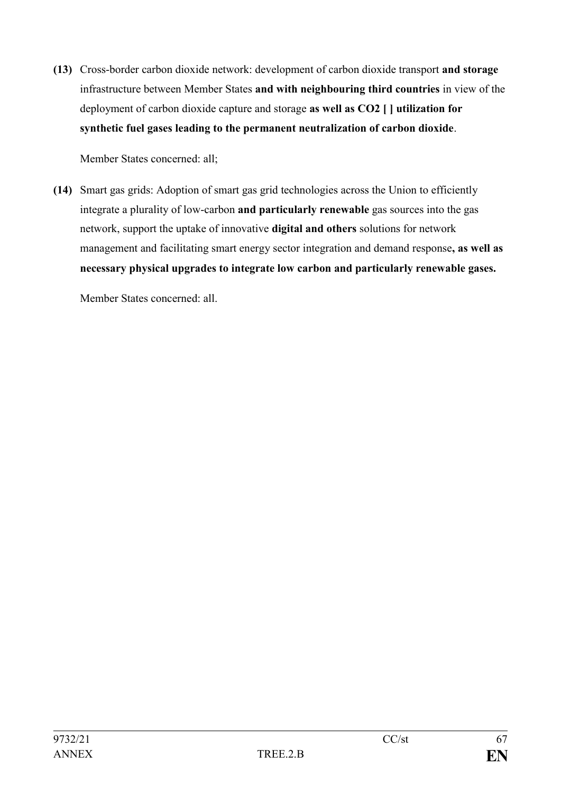**(13)** Cross-border carbon dioxide network: development of carbon dioxide transport **and storage** infrastructure between Member States **and with neighbouring third countries** in view of the deployment of carbon dioxide capture and storage **as well as CO2 [ ] utilization for synthetic fuel gases leading to the permanent neutralization of carbon dioxide**.

Member States concerned: all;

**(14)** Smart gas grids: Adoption of smart gas grid technologies across the Union to efficiently integrate a plurality of low-carbon **and particularly renewable** gas sources into the gas network, support the uptake of innovative **digital and others** solutions for network management and facilitating smart energy sector integration and demand response**, as well as necessary physical upgrades to integrate low carbon and particularly renewable gases.**

Member States concerned: all.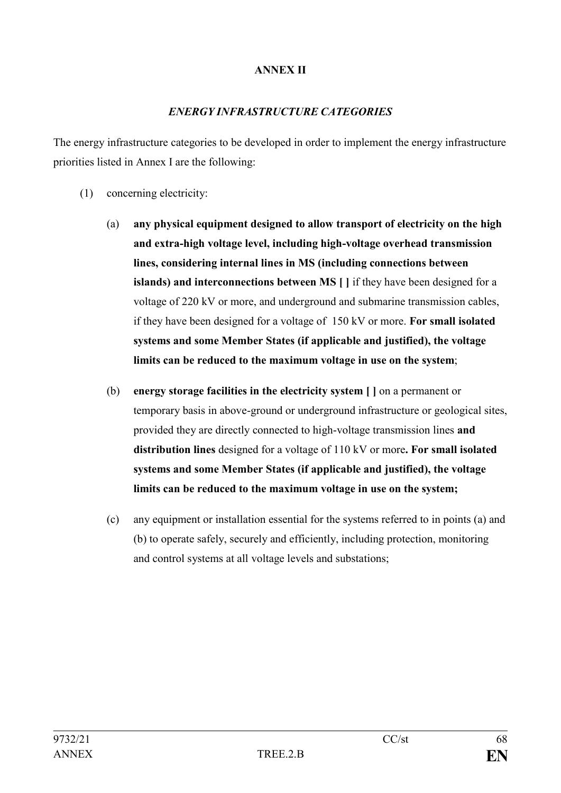### **ANNEX II**

### *ENERGY INFRASTRUCTURE CATEGORIES*

The energy infrastructure categories to be developed in order to implement the energy infrastructure priorities listed in Annex I are the following:

- (1) concerning electricity:
	- (a) **any physical equipment designed to allow transport of electricity on the high and extra-high voltage level, including high-voltage overhead transmission lines, considering internal lines in MS (including connections between islands) and interconnections between MS [ ]** if they have been designed for a voltage of 220 kV or more, and underground and submarine transmission cables, if they have been designed for a voltage of 150 kV or more. **For small isolated systems and some Member States (if applicable and justified), the voltage limits can be reduced to the maximum voltage in use on the system**;
	- (b) **energy storage facilities in the electricity system [ ]** on a permanent or temporary basis in above-ground or underground infrastructure or geological sites, provided they are directly connected to high-voltage transmission lines **and distribution lines** designed for a voltage of 110 kV or more**. For small isolated systems and some Member States (if applicable and justified), the voltage limits can be reduced to the maximum voltage in use on the system;**
	- (c) any equipment or installation essential for the systems referred to in points (a) and (b) to operate safely, securely and efficiently, including protection, monitoring and control systems at all voltage levels and substations;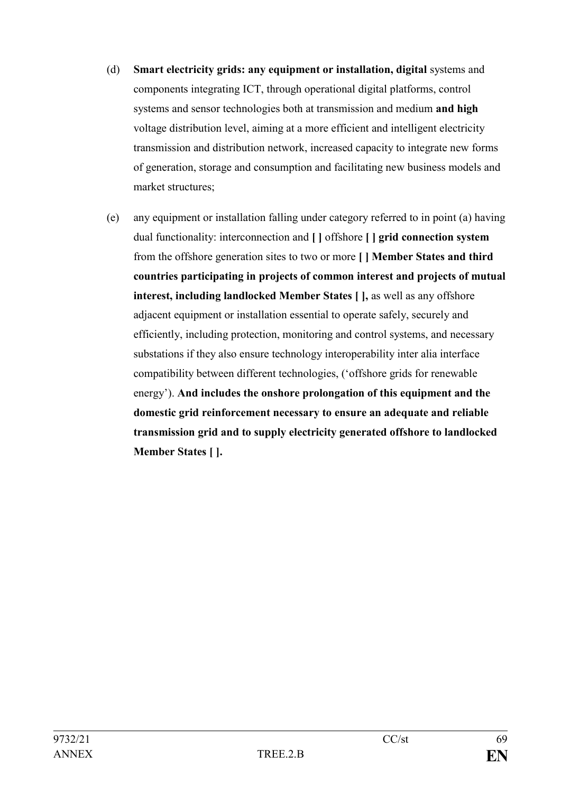- (d) **Smart electricity grids: any equipment or installation, digital** systems and components integrating ICT, through operational digital platforms, control systems and sensor technologies both at transmission and medium **and high** voltage distribution level, aiming at a more efficient and intelligent electricity transmission and distribution network, increased capacity to integrate new forms of generation, storage and consumption and facilitating new business models and market structures;
- (e) any equipment or installation falling under category referred to in point (a) having dual functionality: interconnection and **[ ]** offshore **[ ] grid connection system** from the offshore generation sites to two or more **[ ] Member States and third countries participating in projects of common interest and projects of mutual interest, including landlocked Member States [ ],** as well as any offshore adjacent equipment or installation essential to operate safely, securely and efficiently, including protection, monitoring and control systems, and necessary substations if they also ensure technology interoperability inter alia interface compatibility between different technologies, ('offshore grids for renewable energy'). **And includes the onshore prolongation of this equipment and the domestic grid reinforcement necessary to ensure an adequate and reliable transmission grid and to supply electricity generated offshore to landlocked Member States [ ].**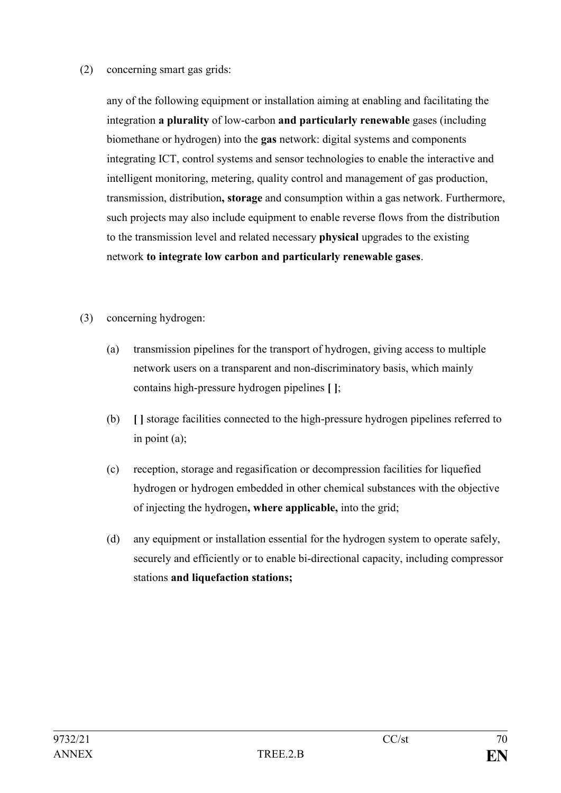### (2) concerning smart gas grids:

any of the following equipment or installation aiming at enabling and facilitating the integration **a plurality** of low-carbon **and particularly renewable** gases (including biomethane or hydrogen) into the **gas** network: digital systems and components integrating ICT, control systems and sensor technologies to enable the interactive and intelligent monitoring, metering, quality control and management of gas production, transmission, distribution**, storage** and consumption within a gas network. Furthermore, such projects may also include equipment to enable reverse flows from the distribution to the transmission level and related necessary **physical** upgrades to the existing network **to integrate low carbon and particularly renewable gases**.

- (3) concerning hydrogen:
	- (a) transmission pipelines for the transport of hydrogen, giving access to multiple network users on a transparent and non-discriminatory basis, which mainly contains high-pressure hydrogen pipelines **[ ]**;
	- (b) **[ ]** storage facilities connected to the high-pressure hydrogen pipelines referred to in point (a);
	- (c) reception, storage and regasification or decompression facilities for liquefied hydrogen or hydrogen embedded in other chemical substances with the objective of injecting the hydrogen**, where applicable,** into the grid;
	- (d) any equipment or installation essential for the hydrogen system to operate safely, securely and efficiently or to enable bi-directional capacity, including compressor stations **and liquefaction stations;**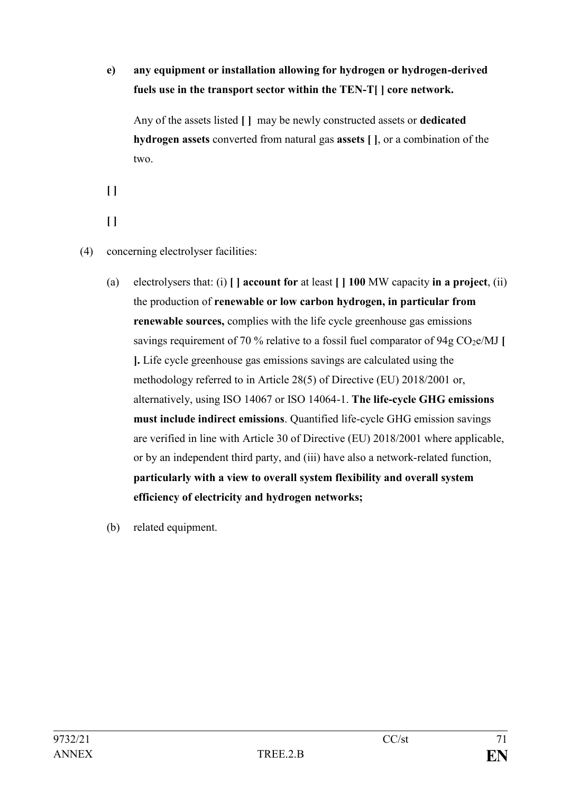# **e) any equipment or installation allowing for hydrogen or hydrogen-derived fuels use in the transport sector within the TEN-T[ ] core network.**

Any of the assets listed **[ ]** may be newly constructed assets or **dedicated hydrogen assets** converted from natural gas **assets [ ]**, or a combination of the two.

**[ ]** 

- **[ ]**
- (4) concerning electrolyser facilities:
	- (a) electrolysers that: (i) **[ ] account for** at least **[ ] 100** MW capacity **in a project**, (ii) the production of **renewable or low carbon hydrogen, in particular from renewable sources,** complies with the life cycle greenhouse gas emissions savings requirement of 70 % relative to a fossil fuel comparator of 94g  $CO<sub>2</sub>e/MJ$  [ **].** Life cycle greenhouse gas emissions savings are calculated using the methodology referred to in Article 28(5) of Directive (EU) 2018/2001 or, alternatively, using ISO 14067 or ISO 14064-1. **The life-cycle GHG emissions must include indirect emissions**. Quantified life-cycle GHG emission savings are verified in line with Article 30 of Directive (EU) 2018/2001 where applicable, or by an independent third party, and (iii) have also a network-related function, **particularly with a view to overall system flexibility and overall system efficiency of electricity and hydrogen networks;**
	- (b) related equipment.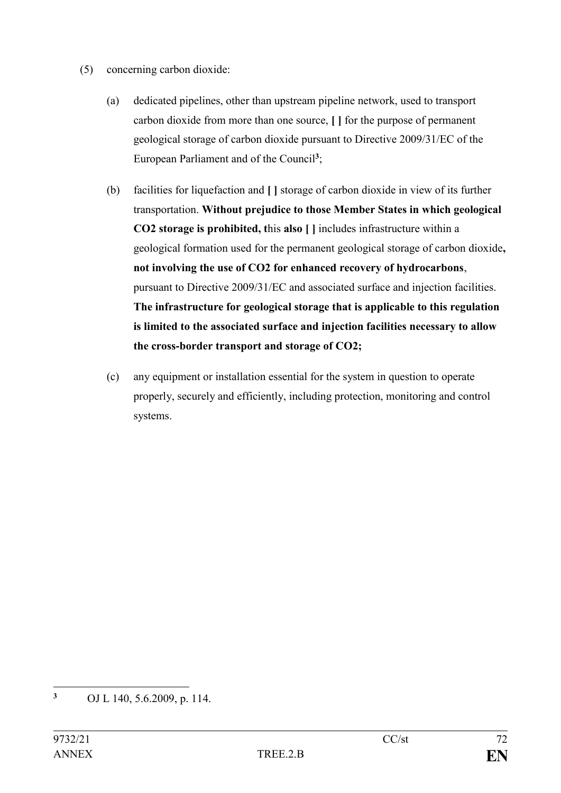- (5) concerning carbon dioxide:
	- (a) dedicated pipelines, other than upstream pipeline network, used to transport carbon dioxide from more than one source, **[ ]** for the purpose of permanent geological storage of carbon dioxide pursuant to Directive 2009/31/EC of the European Parliament and of the Council**<sup>3</sup>** ;
	- (b) facilities for liquefaction and **[ ]** storage of carbon dioxide in view of its further transportation. **Without prejudice to those Member States in which geological CO2 storage is prohibited, t**his **also [ ]** includes infrastructure within a geological formation used for the permanent geological storage of carbon dioxide**, not involving the use of CO2 for enhanced recovery of hydrocarbons**, pursuant to Directive 2009/31/EC and associated surface and injection facilities. **The infrastructure for geological storage that is applicable to this regulation is limited to the associated surface and injection facilities necessary to allow the cross-border transport and storage of CO2;**
	- (c) any equipment or installation essential for the system in question to operate properly, securely and efficiently, including protection, monitoring and control systems.

 $\overline{3}$ **<sup>3</sup>** OJ L 140, 5.6.2009, p. 114.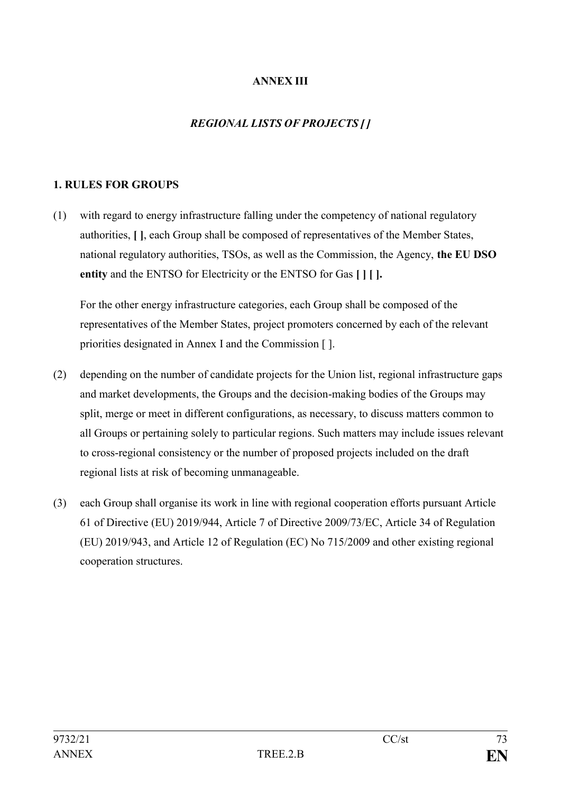## **ANNEX III**

## *REGIONAL LISTS OF PROJECTS [ ]*

## **1. RULES FOR GROUPS**

(1) with regard to energy infrastructure falling under the competency of national regulatory authorities, **[ ]**, each Group shall be composed of representatives of the Member States, national regulatory authorities, TSOs, as well as the Commission, the Agency, **the EU DSO entity** and the ENTSO for Electricity or the ENTSO for Gas **[ ] [ ].**

For the other energy infrastructure categories, each Group shall be composed of the representatives of the Member States, project promoters concerned by each of the relevant priorities designated in Annex I and the Commission [ ].

- (2) depending on the number of candidate projects for the Union list, regional infrastructure gaps and market developments, the Groups and the decision-making bodies of the Groups may split, merge or meet in different configurations, as necessary, to discuss matters common to all Groups or pertaining solely to particular regions. Such matters may include issues relevant to cross-regional consistency or the number of proposed projects included on the draft regional lists at risk of becoming unmanageable.
- (3) each Group shall organise its work in line with regional cooperation efforts pursuant Article 61 of Directive (EU) 2019/944, Article 7 of Directive 2009/73/EC, Article 34 of Regulation (EU) 2019/943, and Article 12 of Regulation (EC) No 715/2009 and other existing regional cooperation structures.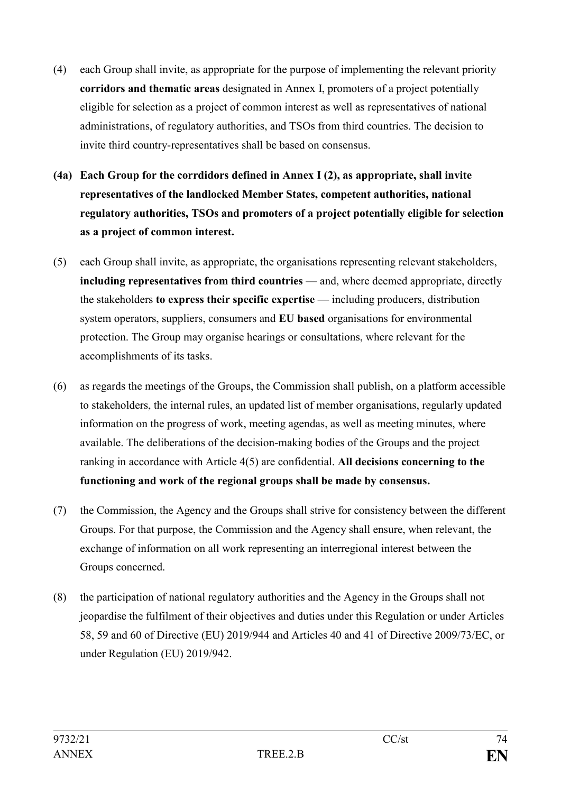- (4) each Group shall invite, as appropriate for the purpose of implementing the relevant priority **corridors and thematic areas** designated in Annex I, promoters of a project potentially eligible for selection as a project of common interest as well as representatives of national administrations, of regulatory authorities, and TSOs from third countries. The decision to invite third country-representatives shall be based on consensus.
- **(4a) Each Group for the corrdidors defined in Annex I (2), as appropriate, shall invite representatives of the landlocked Member States, competent authorities, national regulatory authorities, TSOs and promoters of a project potentially eligible for selection as a project of common interest.**
- (5) each Group shall invite, as appropriate, the organisations representing relevant stakeholders, **including representatives from third countries** — and, where deemed appropriate, directly the stakeholders **to express their specific expertise** — including producers, distribution system operators, suppliers, consumers and **EU based** organisations for environmental protection. The Group may organise hearings or consultations, where relevant for the accomplishments of its tasks.
- (6) as regards the meetings of the Groups, the Commission shall publish, on a platform accessible to stakeholders, the internal rules, an updated list of member organisations, regularly updated information on the progress of work, meeting agendas, as well as meeting minutes, where available. The deliberations of the decision-making bodies of the Groups and the project ranking in accordance with Article 4(5) are confidential. **All decisions concerning to the functioning and work of the regional groups shall be made by consensus.**
- (7) the Commission, the Agency and the Groups shall strive for consistency between the different Groups. For that purpose, the Commission and the Agency shall ensure, when relevant, the exchange of information on all work representing an interregional interest between the Groups concerned.
- (8) the participation of national regulatory authorities and the Agency in the Groups shall not jeopardise the fulfilment of their objectives and duties under this Regulation or under Articles 58, 59 and 60 of Directive (EU) 2019/944 and Articles 40 and 41 of Directive 2009/73/EC, or under Regulation (EU) 2019/942.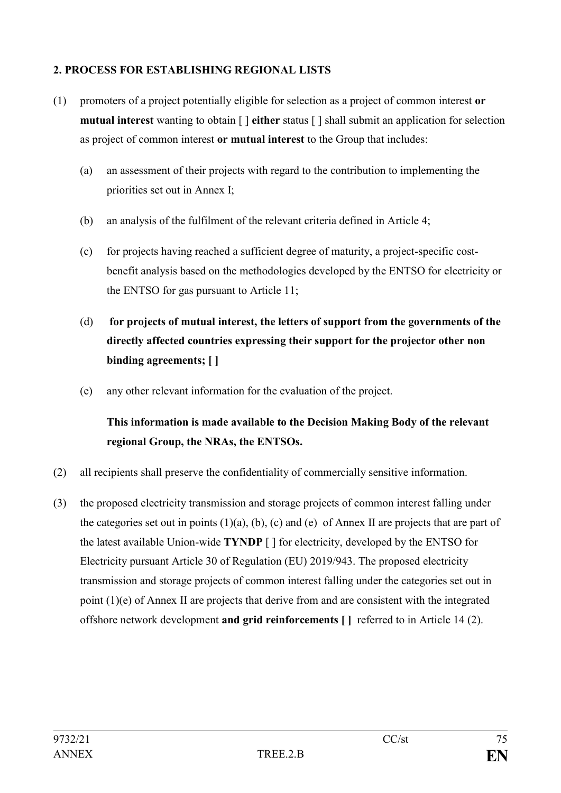## **2. PROCESS FOR ESTABLISHING REGIONAL LISTS**

- (1) promoters of a project potentially eligible for selection as a project of common interest **or mutual interest** wanting to obtain [ ] **either** status [ ] shall submit an application for selection as project of common interest **or mutual interest** to the Group that includes:
	- (a) an assessment of their projects with regard to the contribution to implementing the priorities set out in Annex I;
	- (b) an analysis of the fulfilment of the relevant criteria defined in Article 4;
	- (c) for projects having reached a sufficient degree of maturity, a project-specific costbenefit analysis based on the methodologies developed by the ENTSO for electricity or the ENTSO for gas pursuant to Article 11;
	- (d) **for projects of mutual interest, the letters of support from the governments of the directly affected countries expressing their support for the projector other non binding agreements; [ ]**
	- (e) any other relevant information for the evaluation of the project.

# **This information is made available to the Decision Making Body of the relevant regional Group, the NRAs, the ENTSOs.**

- (2) all recipients shall preserve the confidentiality of commercially sensitive information.
- (3) the proposed electricity transmission and storage projects of common interest falling under the categories set out in points  $(1)(a)$ ,  $(b)$ ,  $(c)$  and  $(e)$  of Annex II are projects that are part of the latest available Union-wide **TYNDP** [ ] for electricity, developed by the ENTSO for Electricity pursuant Article 30 of Regulation (EU) 2019/943. The proposed electricity transmission and storage projects of common interest falling under the categories set out in point (1)(e) of Annex II are projects that derive from and are consistent with the integrated offshore network development **and grid reinforcements [ ]** referred to in Article 14 (2).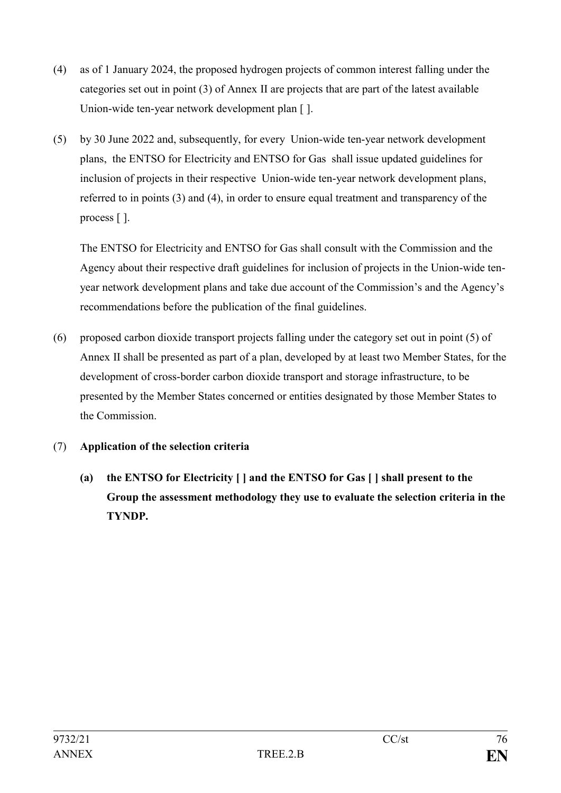- (4) as of 1 January 2024, the proposed hydrogen projects of common interest falling under the categories set out in point (3) of Annex II are projects that are part of the latest available Union-wide ten-year network development plan [ ].
- (5) by 30 June 2022 and, subsequently, for every Union-wide ten-year network development plans, the ENTSO for Electricity and ENTSO for Gas shall issue updated guidelines for inclusion of projects in their respective Union-wide ten-year network development plans, referred to in points (3) and (4), in order to ensure equal treatment and transparency of the process [ ].

The ENTSO for Electricity and ENTSO for Gas shall consult with the Commission and the Agency about their respective draft guidelines for inclusion of projects in the Union-wide tenyear network development plans and take due account of the Commission's and the Agency's recommendations before the publication of the final guidelines.

(6) proposed carbon dioxide transport projects falling under the category set out in point (5) of Annex II shall be presented as part of a plan, developed by at least two Member States, for the development of cross-border carbon dioxide transport and storage infrastructure, to be presented by the Member States concerned or entities designated by those Member States to the Commission.

## (7) **Application of the selection criteria**

**(a) the ENTSO for Electricity [ ] and the ENTSO for Gas [ ] shall present to the Group the assessment methodology they use to evaluate the selection criteria in the TYNDP.**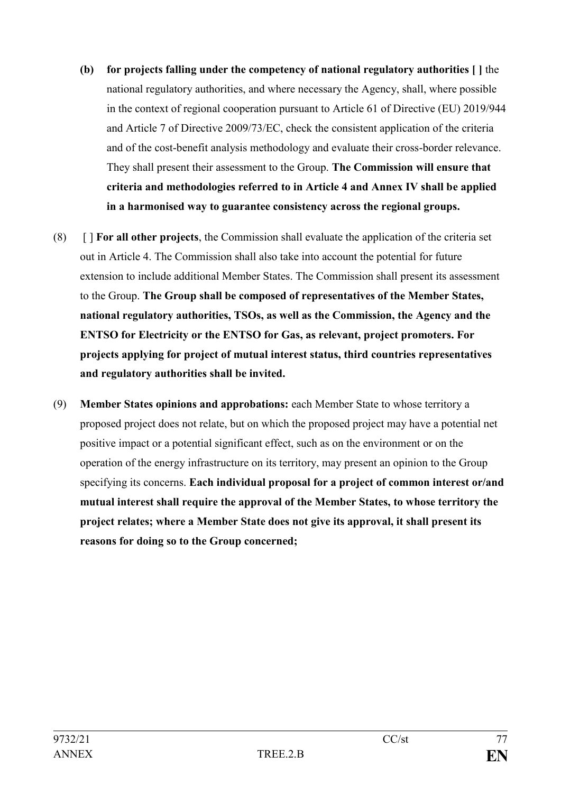- **(b) for projects falling under the competency of national regulatory authorities [ ]** the national regulatory authorities, and where necessary the Agency, shall, where possible in the context of regional cooperation pursuant to Article 61 of Directive (EU) 2019/944 and Article 7 of Directive 2009/73/EC, check the consistent application of the criteria and of the cost-benefit analysis methodology and evaluate their cross-border relevance. They shall present their assessment to the Group. **The Commission will ensure that criteria and methodologies referred to in Article 4 and Annex IV shall be applied in a harmonised way to guarantee consistency across the regional groups.**
- (8) [ ] **For all other projects**, the Commission shall evaluate the application of the criteria set out in Article 4. The Commission shall also take into account the potential for future extension to include additional Member States. The Commission shall present its assessment to the Group. **The Group shall be composed of representatives of the Member States, national regulatory authorities, TSOs, as well as the Commission, the Agency and the ENTSO for Electricity or the ENTSO for Gas, as relevant, project promoters. For projects applying for project of mutual interest status, third countries representatives and regulatory authorities shall be invited.**
- (9) **Member States opinions and approbations:** each Member State to whose territory a proposed project does not relate, but on which the proposed project may have a potential net positive impact or a potential significant effect, such as on the environment or on the operation of the energy infrastructure on its territory, may present an opinion to the Group specifying its concerns. **Each individual proposal for a project of common interest or/and mutual interest shall require the approval of the Member States, to whose territory the project relates; where a Member State does not give its approval, it shall present its reasons for doing so to the Group concerned;**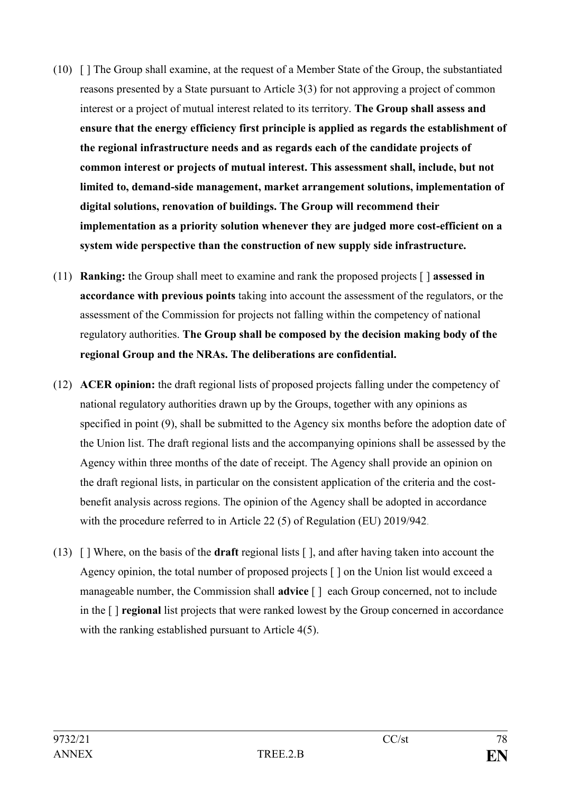- (10) [ ] The Group shall examine, at the request of a Member State of the Group, the substantiated reasons presented by a State pursuant to Article 3(3) for not approving a project of common interest or a project of mutual interest related to its territory. **The Group shall assess and ensure that the energy efficiency first principle is applied as regards the establishment of the regional infrastructure needs and as regards each of the candidate projects of common interest or projects of mutual interest. This assessment shall, include, but not limited to, demand-side management, market arrangement solutions, implementation of digital solutions, renovation of buildings. The Group will recommend their implementation as a priority solution whenever they are judged more cost-efficient on a system wide perspective than the construction of new supply side infrastructure.**
- (11) **Ranking:** the Group shall meet to examine and rank the proposed projects [ ] **assessed in accordance with previous points** taking into account the assessment of the regulators, or the assessment of the Commission for projects not falling within the competency of national regulatory authorities. **The Group shall be composed by the decision making body of the regional Group and the NRAs. The deliberations are confidential.**
- (12) **ACER opinion:** the draft regional lists of proposed projects falling under the competency of national regulatory authorities drawn up by the Groups, together with any opinions as specified in point (9), shall be submitted to the Agency six months before the adoption date of the Union list. The draft regional lists and the accompanying opinions shall be assessed by the Agency within three months of the date of receipt. The Agency shall provide an opinion on the draft regional lists, in particular on the consistent application of the criteria and the costbenefit analysis across regions. The opinion of the Agency shall be adopted in accordance with the procedure referred to in Article 22 (5) of Regulation (EU) 2019/942.
- (13) [ ] Where, on the basis of the **draft** regional lists [ ], and after having taken into account the Agency opinion, the total number of proposed projects [ ] on the Union list would exceed a manageable number, the Commission shall **advice** [ ] each Group concerned, not to include in the [ ] **regional** list projects that were ranked lowest by the Group concerned in accordance with the ranking established pursuant to Article 4(5).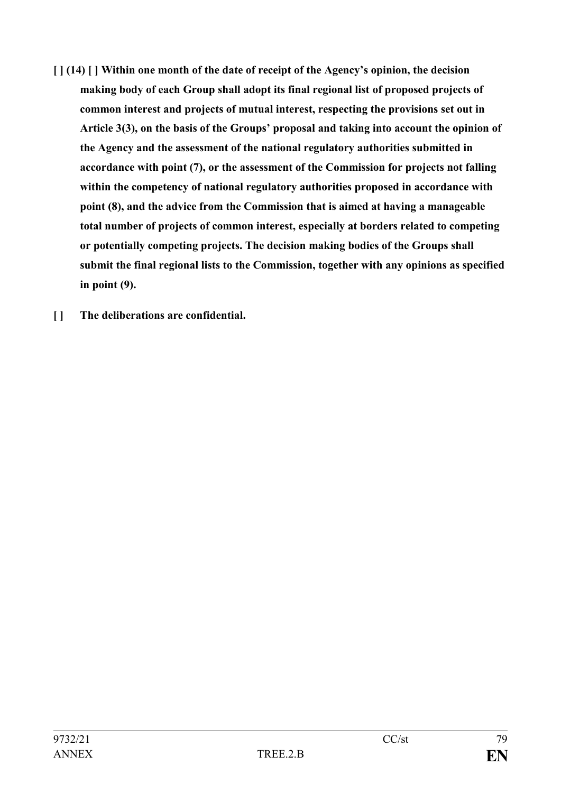- **[ ] (14) [ ] Within one month of the date of receipt of the Agency's opinion, the decision making body of each Group shall adopt its final regional list of proposed projects of common interest and projects of mutual interest, respecting the provisions set out in Article 3(3), on the basis of the Groups' proposal and taking into account the opinion of the Agency and the assessment of the national regulatory authorities submitted in accordance with point (7), or the assessment of the Commission for projects not falling within the competency of national regulatory authorities proposed in accordance with point (8), and the advice from the Commission that is aimed at having a manageable total number of projects of common interest, especially at borders related to competing or potentially competing projects. The decision making bodies of the Groups shall submit the final regional lists to the Commission, together with any opinions as specified in point (9).**
- **[ ] The deliberations are confidential.**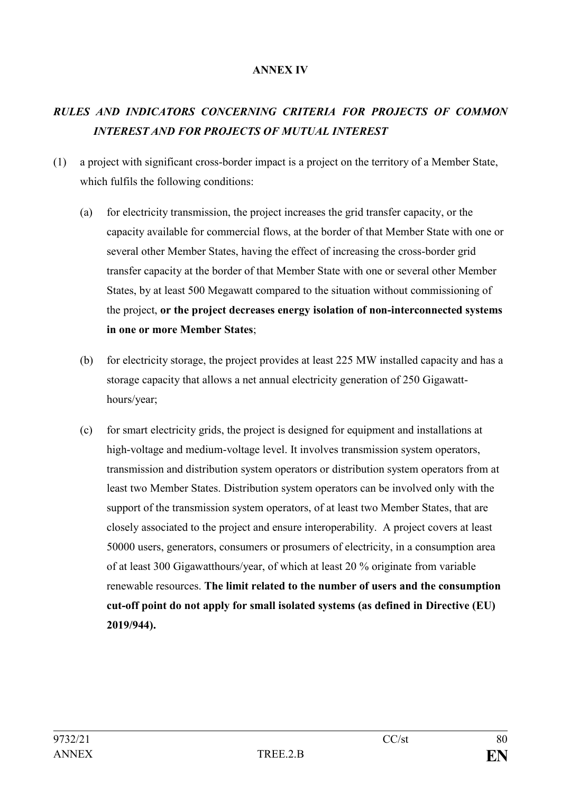#### **ANNEX IV**

# *RULES AND INDICATORS CONCERNING CRITERIA FOR PROJECTS OF COMMON INTEREST AND FOR PROJECTS OF MUTUAL INTEREST*

- (1) a project with significant cross-border impact is a project on the territory of a Member State, which fulfils the following conditions:
	- (a) for electricity transmission, the project increases the grid transfer capacity, or the capacity available for commercial flows, at the border of that Member State with one or several other Member States, having the effect of increasing the cross-border grid transfer capacity at the border of that Member State with one or several other Member States, by at least 500 Megawatt compared to the situation without commissioning of the project, **or the project decreases energy isolation of non-interconnected systems in one or more Member States**;
	- (b) for electricity storage, the project provides at least 225 MW installed capacity and has a storage capacity that allows a net annual electricity generation of 250 Gigawatthours/year;
	- (c) for smart electricity grids, the project is designed for equipment and installations at high-voltage and medium-voltage level. It involves transmission system operators, transmission and distribution system operators or distribution system operators from at least two Member States. Distribution system operators can be involved only with the support of the transmission system operators, of at least two Member States, that are closely associated to the project and ensure interoperability. A project covers at least 50000 users, generators, consumers or prosumers of electricity, in a consumption area of at least 300 Gigawatthours/year, of which at least 20 % originate from variable renewable resources. **The limit related to the number of users and the consumption cut-off point do not apply for small isolated systems (as defined in Directive (EU) 2019/944).**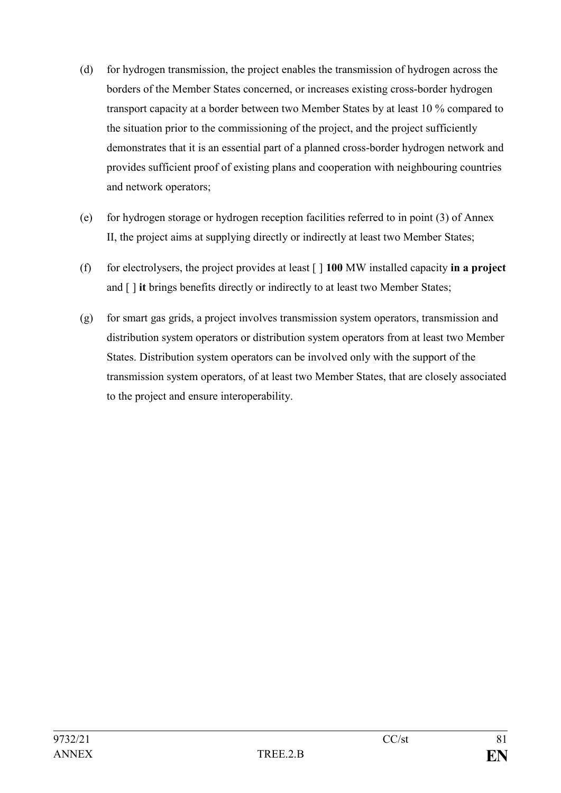- (d) for hydrogen transmission, the project enables the transmission of hydrogen across the borders of the Member States concerned, or increases existing cross-border hydrogen transport capacity at a border between two Member States by at least 10 % compared to the situation prior to the commissioning of the project, and the project sufficiently demonstrates that it is an essential part of a planned cross-border hydrogen network and provides sufficient proof of existing plans and cooperation with neighbouring countries and network operators;
- (e) for hydrogen storage or hydrogen reception facilities referred to in point (3) of Annex II, the project aims at supplying directly or indirectly at least two Member States;
- (f) for electrolysers, the project provides at least [ ] **100** MW installed capacity **in a project** and [ ] **it** brings benefits directly or indirectly to at least two Member States;
- (g) for smart gas grids, a project involves transmission system operators, transmission and distribution system operators or distribution system operators from at least two Member States. Distribution system operators can be involved only with the support of the transmission system operators, of at least two Member States, that are closely associated to the project and ensure interoperability.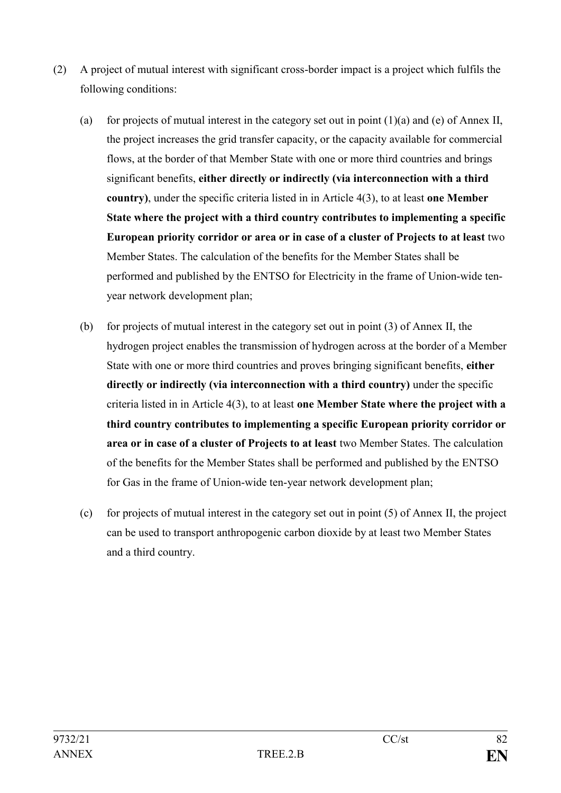- (2) A project of mutual interest with significant cross-border impact is a project which fulfils the following conditions:
	- (a) for projects of mutual interest in the category set out in point  $(1)(a)$  and (e) of Annex II, the project increases the grid transfer capacity, or the capacity available for commercial flows, at the border of that Member State with one or more third countries and brings significant benefits, **either directly or indirectly (via interconnection with a third country)**, under the specific criteria listed in in Article 4(3), to at least **one Member State where the project with a third country contributes to implementing a specific European priority corridor or area or in case of a cluster of Projects to at least** two Member States. The calculation of the benefits for the Member States shall be performed and published by the ENTSO for Electricity in the frame of Union-wide tenyear network development plan;
	- (b) for projects of mutual interest in the category set out in point (3) of Annex II, the hydrogen project enables the transmission of hydrogen across at the border of a Member State with one or more third countries and proves bringing significant benefits, **either directly or indirectly (via interconnection with a third country)** under the specific criteria listed in in Article 4(3), to at least **one Member State where the project with a third country contributes to implementing a specific European priority corridor or area or in case of a cluster of Projects to at least** two Member States. The calculation of the benefits for the Member States shall be performed and published by the ENTSO for Gas in the frame of Union-wide ten-year network development plan;
	- (c) for projects of mutual interest in the category set out in point  $(5)$  of Annex II, the project can be used to transport anthropogenic carbon dioxide by at least two Member States and a third country.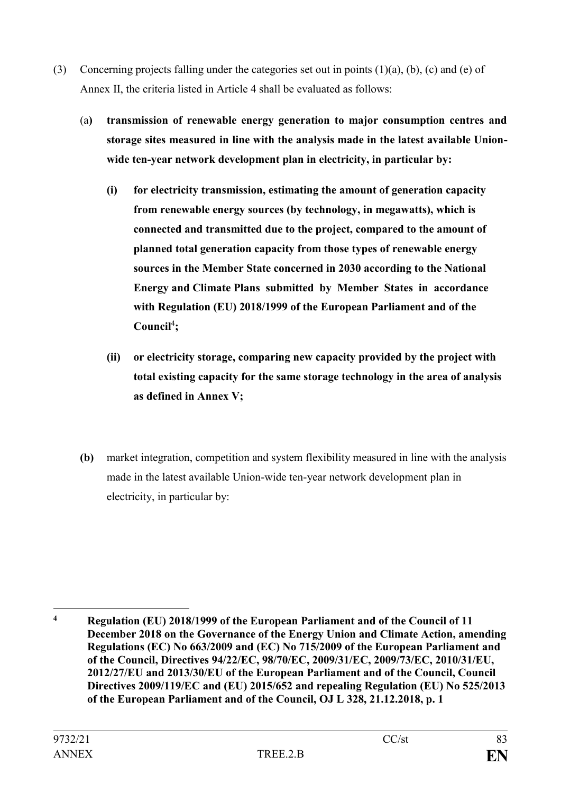- (3) Concerning projects falling under the categories set out in points (1)(a), (b), (c) and (e) of Annex II, the criteria listed in Article 4 shall be evaluated as follows:
	- (a**) transmission of renewable energy generation to major consumption centres and storage sites measured in line with the analysis made in the latest available Unionwide ten-year network development plan in electricity, in particular by:**
		- **(i) for electricity transmission, estimating the amount of generation capacity from renewable energy sources (by technology, in megawatts), which is connected and transmitted due to the project, compared to the amount of planned total generation capacity from those types of renewable energy sources in the Member State concerned in 2030 according to the National Energy and Climate Plans submitted by Member States in accordance with Regulation (EU) 2018/1999 of the European Parliament and of the**  Council<sup>4</sup>;
		- **(ii) or electricity storage, comparing new capacity provided by the project with total existing capacity for the same storage technology in the area of analysis as defined in Annex V;**
	- **(b)** market integration, competition and system flexibility measured in line with the analysis made in the latest available Union-wide ten-year network development plan in electricity, in particular by:

<sup>&</sup>lt;u>.</u> **<sup>4</sup> Regulation (EU) 2018/1999 of the European Parliament and of the Council of 11 December 2018 on the Governance of the Energy Union and Climate Action, amending Regulations (EC) No 663/2009 and (EC) No 715/2009 of the European Parliament and of the Council, Directives 94/22/EC, 98/70/EC, 2009/31/EC, 2009/73/EC, 2010/31/EU, 2012/27/EU and 2013/30/EU of the European Parliament and of the Council, Council Directives 2009/119/EC and (EU) 2015/652 and repealing Regulation (EU) No 525/2013 of the European Parliament and of the Council, OJ L 328, 21.12.2018, p. 1**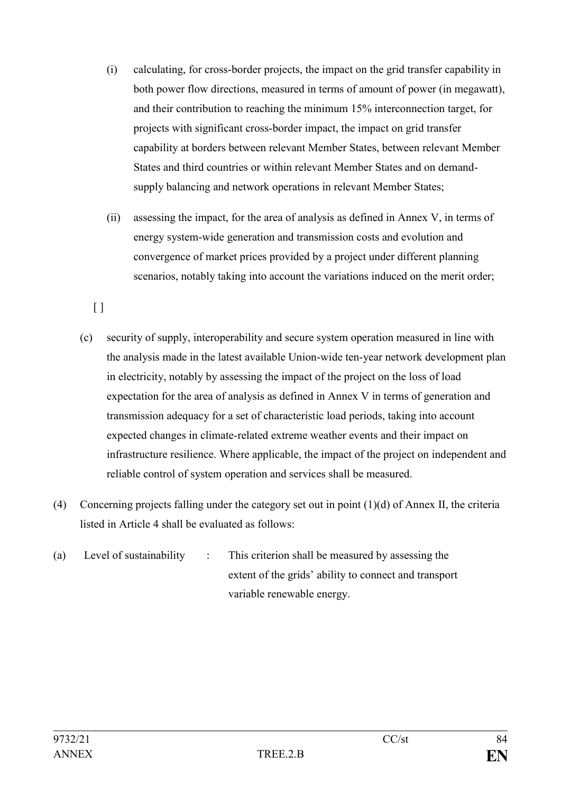- (i) calculating, for cross-border projects, the impact on the grid transfer capability in both power flow directions, measured in terms of amount of power (in megawatt), and their contribution to reaching the minimum 15% interconnection target, for projects with significant cross-border impact, the impact on grid transfer capability at borders between relevant Member States, between relevant Member States and third countries or within relevant Member States and on demandsupply balancing and network operations in relevant Member States;
- (ii) assessing the impact, for the area of analysis as defined in Annex V, in terms of energy system-wide generation and transmission costs and evolution and convergence of market prices provided by a project under different planning scenarios, notably taking into account the variations induced on the merit order;

 $[ ]$ 

- (c) security of supply, interoperability and secure system operation measured in line with the analysis made in the latest available Union-wide ten-year network development plan in electricity, notably by assessing the impact of the project on the loss of load expectation for the area of analysis as defined in Annex V in terms of generation and transmission adequacy for a set of characteristic load periods, taking into account expected changes in climate-related extreme weather events and their impact on infrastructure resilience. Where applicable, the impact of the project on independent and reliable control of system operation and services shall be measured.
- (4) Concerning projects falling under the category set out in point (1)(d) of Annex II, the criteria listed in Article 4 shall be evaluated as follows:
- (a) Level of sustainability : This criterion shall be measured by assessing the extent of the grids' ability to connect and transport variable renewable energy.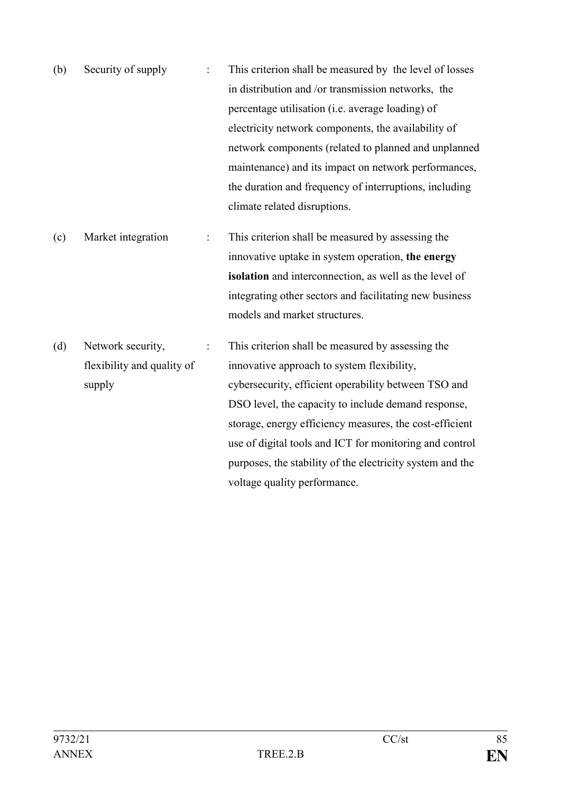- (b) Security of supply : This criterion shall be measured by the level of losses in distribution and /or transmission networks, the percentage utilisation (i.e. average loading) of electricity network components, the availability of network components (related to planned and unplanned maintenance) and its impact on network performances, the duration and frequency of interruptions, including climate related disruptions.
- (c) Market integration : This criterion shall be measured by assessing the innovative uptake in system operation, **the energy isolation** and interconnection, as well as the level of integrating other sectors and facilitating new business models and market structures.
- (d) Network security, flexibility and quality of supply : This criterion shall be measured by assessing the innovative approach to system flexibility, cybersecurity, efficient operability between TSO and DSO level, the capacity to include demand response, storage, energy efficiency measures, the cost-efficient use of digital tools and ICT for monitoring and control purposes, the stability of the electricity system and the voltage quality performance.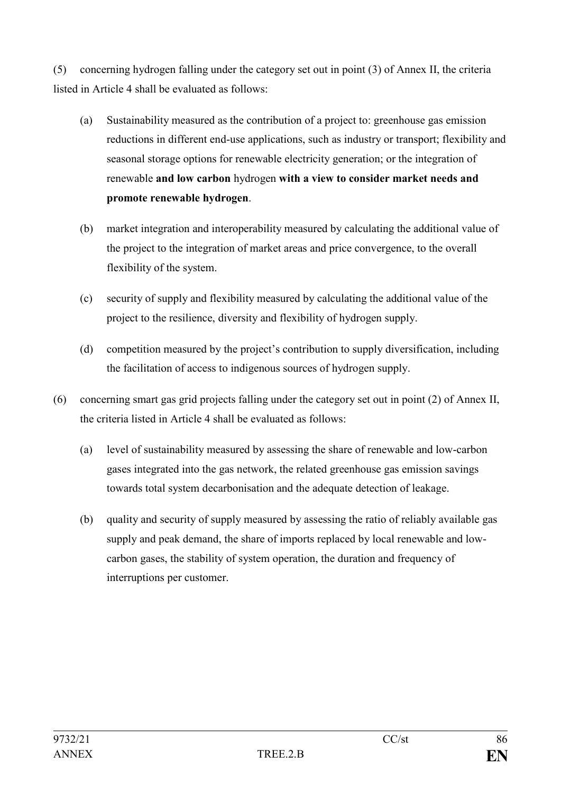(5) concerning hydrogen falling under the category set out in point (3) of Annex II, the criteria listed in Article 4 shall be evaluated as follows:

- (a) Sustainability measured as the contribution of a project to: greenhouse gas emission reductions in different end-use applications, such as industry or transport; flexibility and seasonal storage options for renewable electricity generation; or the integration of renewable **and low carbon** hydrogen **with a view to consider market needs and promote renewable hydrogen**.
- (b) market integration and interoperability measured by calculating the additional value of the project to the integration of market areas and price convergence, to the overall flexibility of the system.
- (c) security of supply and flexibility measured by calculating the additional value of the project to the resilience, diversity and flexibility of hydrogen supply.
- (d) competition measured by the project's contribution to supply diversification, including the facilitation of access to indigenous sources of hydrogen supply.
- (6) concerning smart gas grid projects falling under the category set out in point (2) of Annex II, the criteria listed in Article 4 shall be evaluated as follows:
	- (a) level of sustainability measured by assessing the share of renewable and low-carbon gases integrated into the gas network, the related greenhouse gas emission savings towards total system decarbonisation and the adequate detection of leakage.
	- (b) quality and security of supply measured by assessing the ratio of reliably available gas supply and peak demand, the share of imports replaced by local renewable and lowcarbon gases, the stability of system operation, the duration and frequency of interruptions per customer.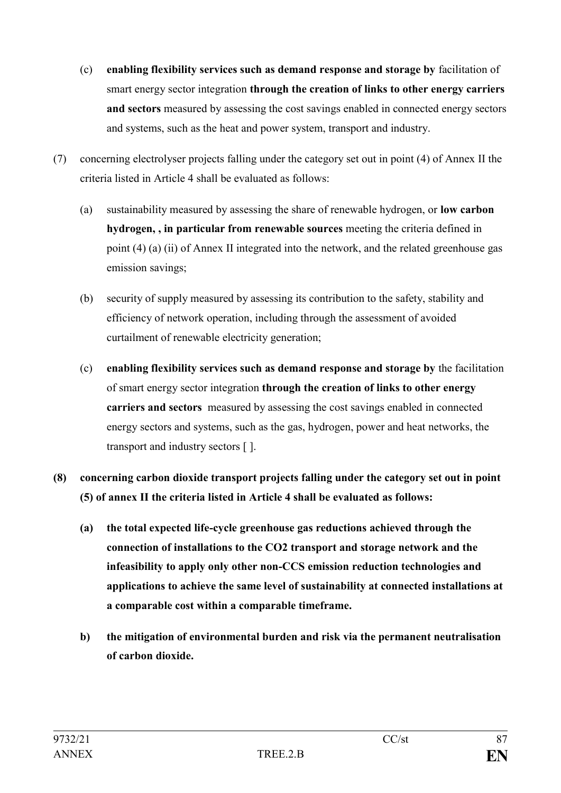- (c) **enabling flexibility services such as demand response and storage by** facilitation of smart energy sector integration **through the creation of links to other energy carriers and sectors** measured by assessing the cost savings enabled in connected energy sectors and systems, such as the heat and power system, transport and industry.
- (7) concerning electrolyser projects falling under the category set out in point (4) of Annex II the criteria listed in Article 4 shall be evaluated as follows:
	- (a) sustainability measured by assessing the share of renewable hydrogen, or **low carbon hydrogen, , in particular from renewable sources** meeting the criteria defined in point (4) (a) (ii) of Annex II integrated into the network, and the related greenhouse gas emission savings;
	- (b) security of supply measured by assessing its contribution to the safety, stability and efficiency of network operation, including through the assessment of avoided curtailment of renewable electricity generation;
	- (c) **enabling flexibility services such as demand response and storage by** the facilitation of smart energy sector integration **through the creation of links to other energy carriers and sectors** measured by assessing the cost savings enabled in connected energy sectors and systems, such as the gas, hydrogen, power and heat networks, the transport and industry sectors [ ].
- **(8) concerning carbon dioxide transport projects falling under the category set out in point (5) of annex II the criteria listed in Article 4 shall be evaluated as follows:** 
	- **(a) the total expected life-cycle greenhouse gas reductions achieved through the connection of installations to the CO2 transport and storage network and the infeasibility to apply only other non-CCS emission reduction technologies and applications to achieve the same level of sustainability at connected installations at a comparable cost within a comparable timeframe.**
	- **b) the mitigation of environmental burden and risk via the permanent neutralisation of carbon dioxide.**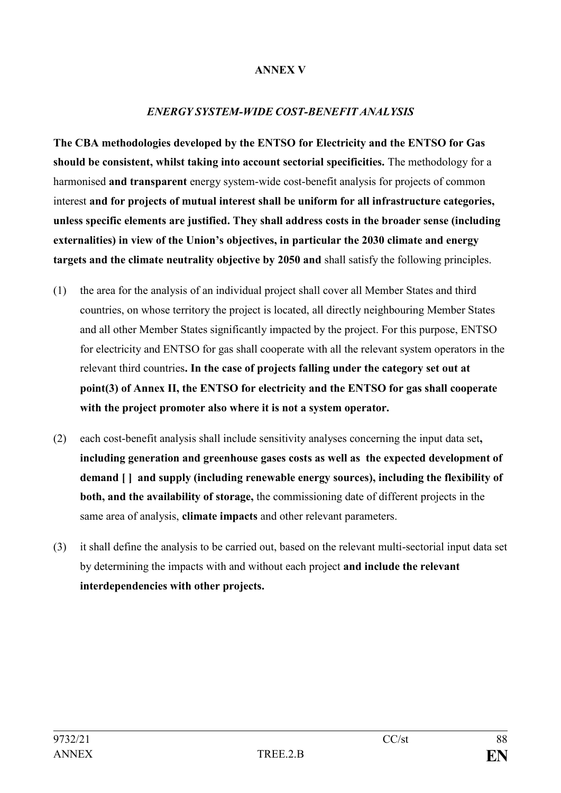#### **ANNEX V**

#### *ENERGY SYSTEM-WIDE COST-BENEFIT ANALYSIS*

**The CBA methodologies developed by the ENTSO for Electricity and the ENTSO for Gas should be consistent, whilst taking into account sectorial specificities.** The methodology for a harmonised **and transparent** energy system-wide cost-benefit analysis for projects of common interest **and for projects of mutual interest shall be uniform for all infrastructure categories, unless specific elements are justified. They shall address costs in the broader sense (including externalities) in view of the Union's objectives, in particular the 2030 climate and energy targets and the climate neutrality objective by 2050 and** shall satisfy the following principles.

- (1) the area for the analysis of an individual project shall cover all Member States and third countries, on whose territory the project is located, all directly neighbouring Member States and all other Member States significantly impacted by the project. For this purpose, ENTSO for electricity and ENTSO for gas shall cooperate with all the relevant system operators in the relevant third countries**. In the case of projects falling under the category set out at point(3) of Annex II, the ENTSO for electricity and the ENTSO for gas shall cooperate with the project promoter also where it is not a system operator.**
- (2) each cost-benefit analysis shall include sensitivity analyses concerning the input data set**, including generation and greenhouse gases costs as well as the expected development of demand [ ] and supply (including renewable energy sources), including the flexibility of both, and the availability of storage,** the commissioning date of different projects in the same area of analysis, **climate impacts** and other relevant parameters.
- (3) it shall define the analysis to be carried out, based on the relevant multi-sectorial input data set by determining the impacts with and without each project **and include the relevant interdependencies with other projects.**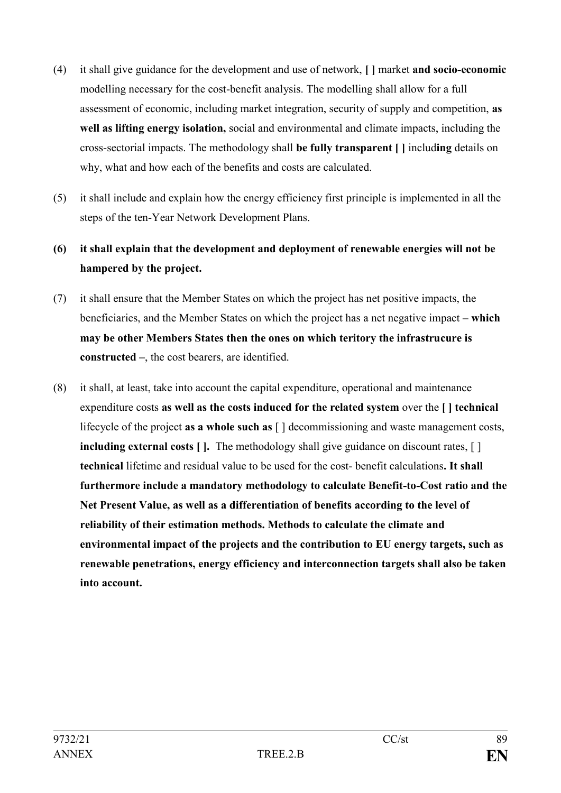- (4) it shall give guidance for the development and use of network, **[ ]** market **and socio-economic** modelling necessary for the cost-benefit analysis. The modelling shall allow for a full assessment of economic, including market integration, security of supply and competition, **as well as lifting energy isolation,** social and environmental and climate impacts, including the cross-sectorial impacts. The methodology shall **be fully transparent [ ]** includ**ing** details on why, what and how each of the benefits and costs are calculated.
- (5) it shall include and explain how the energy efficiency first principle is implemented in all the steps of the ten-Year Network Development Plans.
- **(6) it shall explain that the development and deployment of renewable energies will not be hampered by the project.**
- (7) it shall ensure that the Member States on which the project has net positive impacts, the beneficiaries, and the Member States on which the project has a net negative impact **– which may be other Members States then the ones on which teritory the infrastrucure is constructed –**, the cost bearers, are identified.
- (8) it shall, at least, take into account the capital expenditure, operational and maintenance expenditure costs **as well as the costs induced for the related system** over the **[ ] technical** lifecycle of the project **as a whole such as** [ ] decommissioning and waste management costs, **including external costs** [ ]. The methodology shall give guidance on discount rates, [ ] **technical** lifetime and residual value to be used for the cost- benefit calculations**. It shall furthermore include a mandatory methodology to calculate Benefit-to-Cost ratio and the Net Present Value, as well as a differentiation of benefits according to the level of reliability of their estimation methods. Methods to calculate the climate and environmental impact of the projects and the contribution to EU energy targets, such as renewable penetrations, energy efficiency and interconnection targets shall also be taken into account.**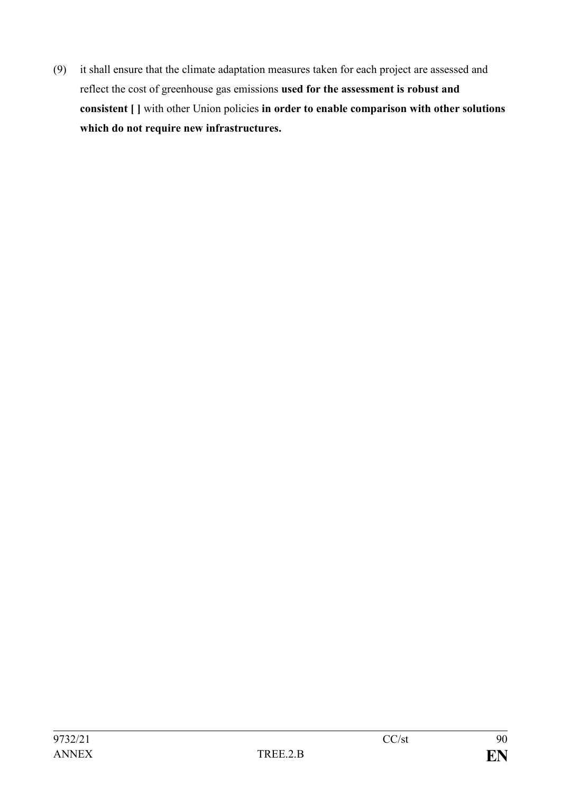(9) it shall ensure that the climate adaptation measures taken for each project are assessed and reflect the cost of greenhouse gas emissions **used for the assessment is robust and consistent [ ]** with other Union policies **in order to enable comparison with other solutions which do not require new infrastructures.**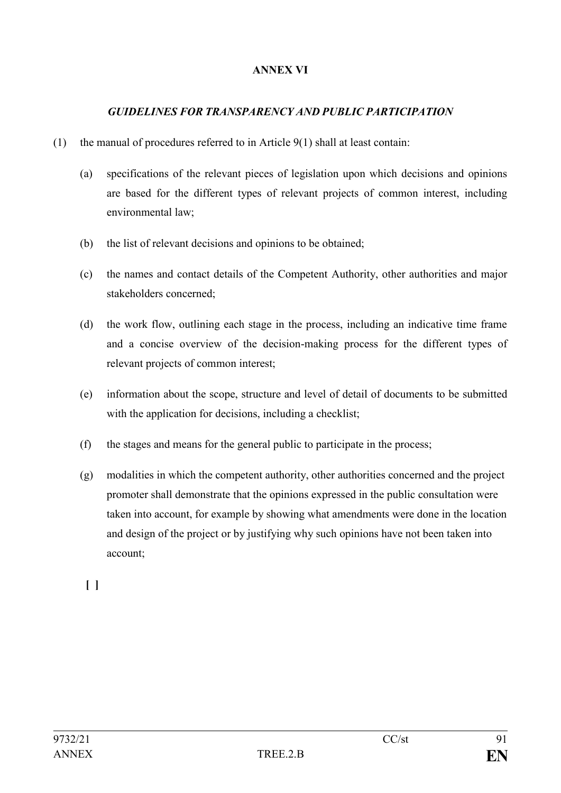### **ANNEX VI**

#### *GUIDELINES FOR TRANSPARENCY AND PUBLIC PARTICIPATION*

- (1) the manual of procedures referred to in Article 9(1) shall at least contain:
	- (a) specifications of the relevant pieces of legislation upon which decisions and opinions are based for the different types of relevant projects of common interest, including environmental law;
	- (b) the list of relevant decisions and opinions to be obtained;
	- (c) the names and contact details of the Competent Authority, other authorities and major stakeholders concerned;
	- (d) the work flow, outlining each stage in the process, including an indicative time frame and a concise overview of the decision-making process for the different types of relevant projects of common interest;
	- (e) information about the scope, structure and level of detail of documents to be submitted with the application for decisions, including a checklist;
	- (f) the stages and means for the general public to participate in the process;
	- (g) modalities in which the competent authority, other authorities concerned and the project promoter shall demonstrate that the opinions expressed in the public consultation were taken into account, for example by showing what amendments were done in the location and design of the project or by justifying why such opinions have not been taken into account;

**[ ]**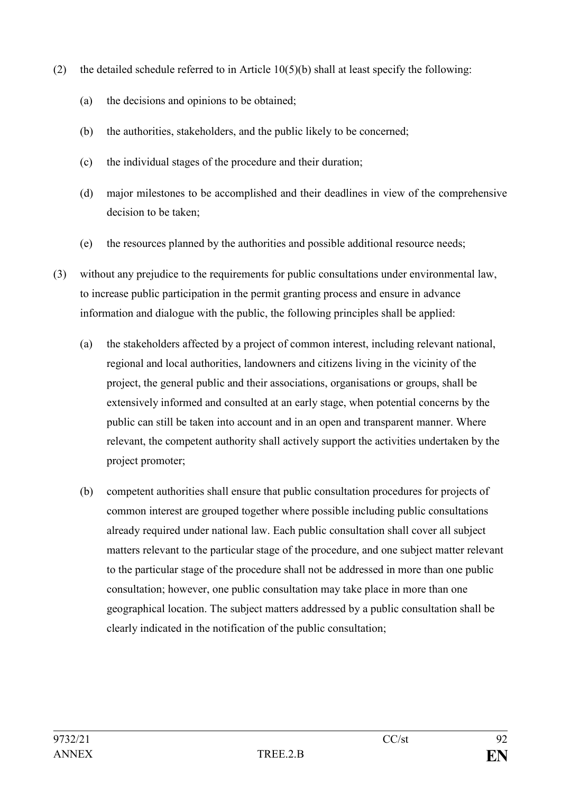- (2) the detailed schedule referred to in Article  $10(5)(b)$  shall at least specify the following:
	- (a) the decisions and opinions to be obtained;
	- (b) the authorities, stakeholders, and the public likely to be concerned;
	- (c) the individual stages of the procedure and their duration;
	- (d) major milestones to be accomplished and their deadlines in view of the comprehensive decision to be taken;
	- (e) the resources planned by the authorities and possible additional resource needs;
- (3) without any prejudice to the requirements for public consultations under environmental law, to increase public participation in the permit granting process and ensure in advance information and dialogue with the public, the following principles shall be applied:
	- (a) the stakeholders affected by a project of common interest, including relevant national, regional and local authorities, landowners and citizens living in the vicinity of the project, the general public and their associations, organisations or groups, shall be extensively informed and consulted at an early stage, when potential concerns by the public can still be taken into account and in an open and transparent manner. Where relevant, the competent authority shall actively support the activities undertaken by the project promoter;
	- (b) competent authorities shall ensure that public consultation procedures for projects of common interest are grouped together where possible including public consultations already required under national law. Each public consultation shall cover all subject matters relevant to the particular stage of the procedure, and one subject matter relevant to the particular stage of the procedure shall not be addressed in more than one public consultation; however, one public consultation may take place in more than one geographical location. The subject matters addressed by a public consultation shall be clearly indicated in the notification of the public consultation;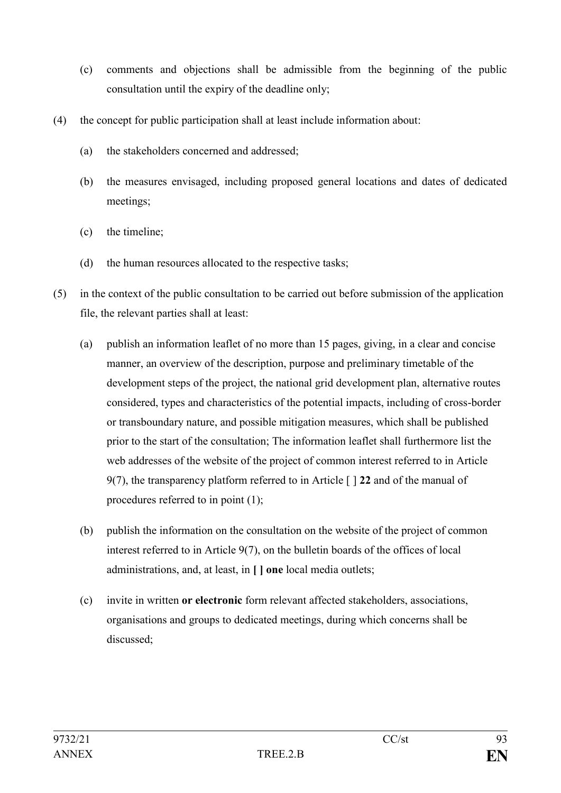- (c) comments and objections shall be admissible from the beginning of the public consultation until the expiry of the deadline only;
- (4) the concept for public participation shall at least include information about:
	- (a) the stakeholders concerned and addressed;
	- (b) the measures envisaged, including proposed general locations and dates of dedicated meetings;
	- (c) the timeline;
	- (d) the human resources allocated to the respective tasks;
- (5) in the context of the public consultation to be carried out before submission of the application file, the relevant parties shall at least:
	- (a) publish an information leaflet of no more than 15 pages, giving, in a clear and concise manner, an overview of the description, purpose and preliminary timetable of the development steps of the project, the national grid development plan, alternative routes considered, types and characteristics of the potential impacts, including of cross-border or transboundary nature, and possible mitigation measures, which shall be published prior to the start of the consultation; The information leaflet shall furthermore list the web addresses of the website of the project of common interest referred to in Article 9(7), the transparency platform referred to in Article [ ] **22** and of the manual of procedures referred to in point (1);
	- (b) publish the information on the consultation on the website of the project of common interest referred to in Article 9(7), on the bulletin boards of the offices of local administrations, and, at least, in **[ ] one** local media outlets;
	- (c) invite in written **or electronic** form relevant affected stakeholders, associations, organisations and groups to dedicated meetings, during which concerns shall be discussed;